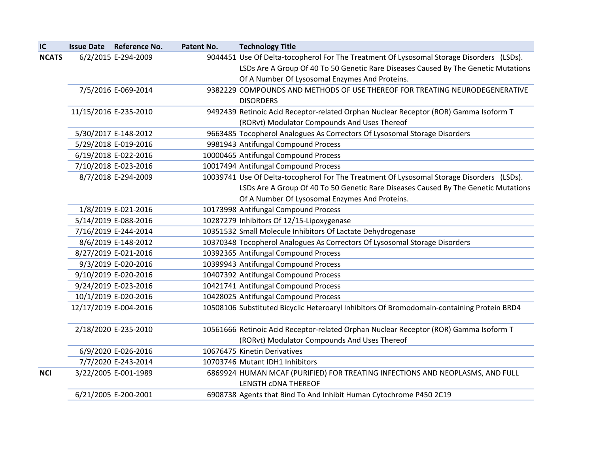| IC           | <b>Issue Date</b> | <b>Reference No.</b>  | Patent No. | <b>Technology Title</b>                                                                    |
|--------------|-------------------|-----------------------|------------|--------------------------------------------------------------------------------------------|
| <b>NCATS</b> |                   | 6/2/2015 E-294-2009   |            | 9044451 Use Of Delta-tocopherol For The Treatment Of Lysosomal Storage Disorders (LSDs).   |
|              |                   |                       |            | LSDs Are A Group Of 40 To 50 Genetic Rare Diseases Caused By The Genetic Mutations         |
|              |                   |                       |            | Of A Number Of Lysosomal Enzymes And Proteins.                                             |
|              |                   | 7/5/2016 E-069-2014   |            | 9382229 COMPOUNDS AND METHODS OF USE THEREOF FOR TREATING NEURODEGENERATIVE                |
|              |                   |                       |            | <b>DISORDERS</b>                                                                           |
|              |                   | 11/15/2016 E-235-2010 |            | 9492439 Retinoic Acid Receptor-related Orphan Nuclear Receptor (ROR) Gamma Isoform T       |
|              |                   |                       |            | (RORvt) Modulator Compounds And Uses Thereof                                               |
|              |                   | 5/30/2017 E-148-2012  |            | 9663485 Tocopherol Analogues As Correctors Of Lysosomal Storage Disorders                  |
|              |                   | 5/29/2018 E-019-2016  |            | 9981943 Antifungal Compound Process                                                        |
|              |                   | 6/19/2018 E-022-2016  |            | 10000465 Antifungal Compound Process                                                       |
|              |                   | 7/10/2018 E-023-2016  |            | 10017494 Antifungal Compound Process                                                       |
|              |                   | 8/7/2018 E-294-2009   |            | 10039741 Use Of Delta-tocopherol For The Treatment Of Lysosomal Storage Disorders (LSDs).  |
|              |                   |                       |            | LSDs Are A Group Of 40 To 50 Genetic Rare Diseases Caused By The Genetic Mutations         |
|              |                   |                       |            | Of A Number Of Lysosomal Enzymes And Proteins.                                             |
|              |                   | 1/8/2019 E-021-2016   |            | 10173998 Antifungal Compound Process                                                       |
|              |                   | 5/14/2019 E-088-2016  |            | 10287279 Inhibitors Of 12/15-Lipoxygenase                                                  |
|              |                   | 7/16/2019 E-244-2014  |            | 10351532 Small Molecule Inhibitors Of Lactate Dehydrogenase                                |
|              |                   | 8/6/2019 E-148-2012   |            | 10370348 Tocopherol Analogues As Correctors Of Lysosomal Storage Disorders                 |
|              |                   | 8/27/2019 E-021-2016  |            | 10392365 Antifungal Compound Process                                                       |
|              |                   | 9/3/2019 E-020-2016   |            | 10399943 Antifungal Compound Process                                                       |
|              |                   | 9/10/2019 E-020-2016  |            | 10407392 Antifungal Compound Process                                                       |
|              |                   | 9/24/2019 E-023-2016  |            | 10421741 Antifungal Compound Process                                                       |
|              |                   | 10/1/2019 E-020-2016  |            | 10428025 Antifungal Compound Process                                                       |
|              |                   | 12/17/2019 E-004-2016 |            | 10508106 Substituted Bicyclic Heteroaryl Inhibitors Of Bromodomain-containing Protein BRD4 |
|              |                   | 2/18/2020 E-235-2010  |            | 10561666 Retinoic Acid Receptor-related Orphan Nuclear Receptor (ROR) Gamma Isoform T      |
|              |                   |                       |            | (RORvt) Modulator Compounds And Uses Thereof                                               |
|              |                   | 6/9/2020 E-026-2016   |            | 10676475 Kinetin Derivatives                                                               |
|              |                   | 7/7/2020 E-243-2014   |            | 10703746 Mutant IDH1 Inhibitors                                                            |
| <b>NCI</b>   |                   | 3/22/2005 E-001-1989  |            | 6869924 HUMAN MCAF (PURIFIED) FOR TREATING INFECTIONS AND NEOPLASMS, AND FULL              |
|              |                   |                       |            | <b>LENGTH CDNA THEREOF</b>                                                                 |
|              |                   | 6/21/2005 E-200-2001  |            | 6908738 Agents that Bind To And Inhibit Human Cytochrome P450 2C19                         |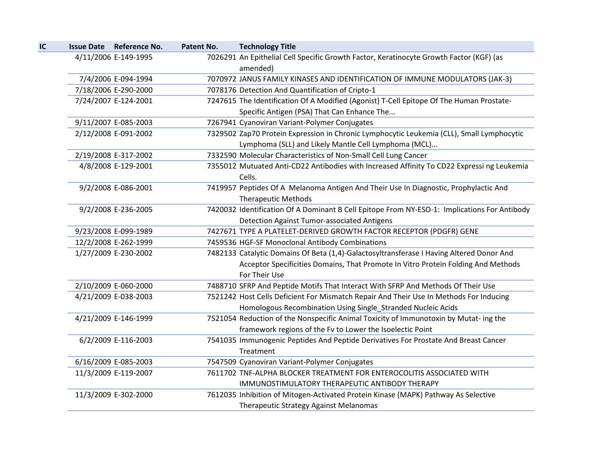| IC | Issue Date Reference No. | Patent No. | <b>Technology Title</b>                                                                              |
|----|--------------------------|------------|------------------------------------------------------------------------------------------------------|
|    | 4/11/2006 E-149-1995     |            | 7026291 An Epithelial Cell Specific Growth Factor, Keratinocyte Growth Factor (KGF) (as              |
|    |                          |            | amended)                                                                                             |
|    | 7/4/2006 E-094-1994      |            | 7070972 JANUS FAMILY KINASES AND IDENTIFICATION OF IMMUNE MODULATORS (JAK-3)                         |
|    | 7/18/2006 E-290-2000     |            | 7078176 Detection And Quantification of Cripto-1                                                     |
|    | 7/24/2007 E-124-2001     |            | 7247615 The Identification Of A Modified (Agonist) T-Cell Epitope Of The Human Prostate-             |
|    |                          |            | Specific Antigen (PSA) That Can Enhance The                                                          |
|    | 9/11/2007 E-085-2003     |            | 7267941 Cyanoviran Variant-Polymer Conjugates                                                        |
|    | 2/12/2008 E-091-2002     |            | 7329502 Zap70 Protein Expression in Chronic Lymphocytic Leukemia (CLL), Small Lymphocytic            |
|    |                          |            | Lymphoma (SLL) and Likely Mantle Cell Lymphoma (MCL)                                                 |
|    | 2/19/2008 E-317-2002     |            | 7332590 Molecular Characteristics of Non-Small Cell Lung Cancer                                      |
|    | 4/8/2008 E-129-2001      |            | 7355012 Mutuated Anti-CD22 Antibodies with Increased Affinity To CD22 Expressi ng Leukemia<br>Cells. |
|    | 9/2/2008 E-086-2001      |            | 7419957 Peptides Of A Melanoma Antigen And Their Use In Diagnostic, Prophylactic And                 |
|    |                          |            | <b>Therapeutic Methods</b>                                                                           |
|    | 9/2/2008 E-236-2005      |            | 7420032 Identification Of A Dominant B Cell Epitope From NY-ESO-1: Implications For Antibody         |
|    |                          |            | <b>Detection Against Tumor-associated Antigens</b>                                                   |
|    | 9/23/2008 E-099-1989     |            | 7427671 TYPE A PLATELET-DERIVED GROWTH FACTOR RECEPTOR (PDGFR) GENE                                  |
|    | 12/2/2008 E-262-1999     |            | 7459536 HGF-SF Monoclonal Antibody Combinations                                                      |
|    | 1/27/2009 E-230-2002     |            | 7482133 Catalytic Domains Of Beta (1,4)-Galactosyltransferase I Having Altered Donor And             |
|    |                          |            | Acceptor Specificities Domains, That Promote In Vitro Protein Folding And Methods                    |
|    |                          |            | For Their Use                                                                                        |
|    | 2/10/2009 E-060-2000     |            | 7488710 SFRP And Peptide Motifs That Interact With SFRP And Methods Of Their Use                     |
|    | 4/21/2009 E-038-2003     |            | 7521242 Host Cells Deficient For Mismatch Repair And Their Use In Methods For Inducing               |
|    |                          |            | Homologous Recombination Using Single_Stranded Nucleic Acids                                         |
|    | 4/21/2009 E-146-1999     |            | 7521054 Reduction of the Nonspecific Animal Toxicity of Immunotoxin by Mutat-ing the                 |
|    |                          |            | framework regions of the Fv to Lower the Isoelectic Point                                            |
|    | 6/2/2009 E-116-2003      |            | 7541035 Immunogenic Peptides And Peptide Derivatives For Prostate And Breast Cancer                  |
|    |                          |            | Treatment                                                                                            |
|    | 6/16/2009 E-085-2003     |            | 7547509 Cyanoviran Variant-Polymer Conjugates                                                        |
|    | 11/3/2009 E-119-2007     |            | 7611702 TNF-ALPHA BLOCKER TREATMENT FOR ENTEROCOLITIS ASSOCIATED WITH                                |
|    |                          |            | IMMUNOSTIMULATORY THERAPEUTIC ANTIBODY THERAPY                                                       |
|    | 11/3/2009 E-302-2000     |            | 7612035 Inhibition of Mitogen-Activated Protein Kinase (MAPK) Pathway As Selective                   |
|    |                          |            | Therapeutic Strategy Against Melanomas                                                               |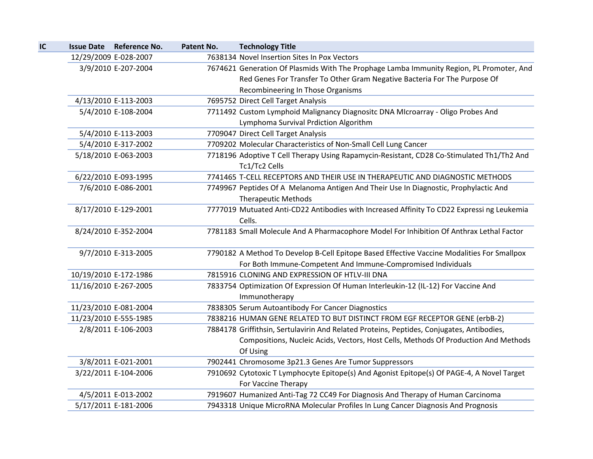| IC |                       | <b>Issue Date Reference No.</b> | Patent No. | <b>Technology Title</b>                                                                    |
|----|-----------------------|---------------------------------|------------|--------------------------------------------------------------------------------------------|
|    | 12/29/2009 E-028-2007 |                                 |            | 7638134 Novel Insertion Sites In Pox Vectors                                               |
|    |                       | 3/9/2010 E-207-2004             |            | 7674621 Generation Of Plasmids With The Prophage Lamba Immunity Region, PL Promoter, And   |
|    |                       |                                 |            | Red Genes For Transfer To Other Gram Negative Bacteria For The Purpose Of                  |
|    |                       |                                 |            | Recombineering In Those Organisms                                                          |
|    |                       | 4/13/2010 E-113-2003            |            | 7695752 Direct Cell Target Analysis                                                        |
|    |                       | 5/4/2010 E-108-2004             |            | 7711492 Custom Lymphoid Malignancy Diagnositc DNA MIcroarray - Oligo Probes And            |
|    |                       |                                 |            | Lymphoma Survival Prdiction Algorithm                                                      |
|    |                       | 5/4/2010 E-113-2003             |            | 7709047 Direct Cell Target Analysis                                                        |
|    |                       | 5/4/2010 E-317-2002             |            | 7709202 Molecular Characteristics of Non-Small Cell Lung Cancer                            |
|    |                       | 5/18/2010 E-063-2003            |            | 7718196 Adoptive T Cell Therapy Using Rapamycin-Resistant, CD28 Co-Stimulated Th1/Th2 And  |
|    |                       |                                 |            | Tc1/Tc2 Cells                                                                              |
|    |                       | 6/22/2010 E-093-1995            |            | 7741465 T-CELL RECEPTORS AND THEIR USE IN THERAPEUTIC AND DIAGNOSTIC METHODS               |
|    |                       | 7/6/2010 E-086-2001             |            | 7749967 Peptides Of A Melanoma Antigen And Their Use In Diagnostic, Prophylactic And       |
|    |                       |                                 |            | <b>Therapeutic Methods</b>                                                                 |
|    |                       | 8/17/2010 E-129-2001            |            | 7777019 Mutuated Anti-CD22 Antibodies with Increased Affinity To CD22 Expressi ng Leukemia |
|    |                       |                                 |            | Cells.                                                                                     |
|    |                       | 8/24/2010 E-352-2004            |            | 7781183 Small Molecule And A Pharmacophore Model For Inhibition Of Anthrax Lethal Factor   |
|    |                       |                                 |            |                                                                                            |
|    |                       | 9/7/2010 E-313-2005             |            | 7790182 A Method To Develop B-Cell Epitope Based Effective Vaccine Modalities For Smallpox |
|    |                       |                                 |            | For Both Immune-Competent And Immune-Compromised Individuals                               |
|    |                       | 10/19/2010 E-172-1986           |            | 7815916 CLONING AND EXPRESSION OF HTLV-III DNA                                             |
|    | 11/16/2010 E-267-2005 |                                 |            | 7833754 Optimization Of Expression Of Human Interleukin-12 (IL-12) For Vaccine And         |
|    |                       |                                 |            | Immunotherapy                                                                              |
|    |                       | 11/23/2010 E-081-2004           |            | 7838305 Serum Autoantibody For Cancer Diagnostics                                          |
|    |                       | 11/23/2010 E-555-1985           |            | 7838216 HUMAN GENE RELATED TO BUT DISTINCT FROM EGF RECEPTOR GENE (erbB-2)                 |
|    |                       | 2/8/2011 E-106-2003             |            | 7884178 Griffithsin, Sertulavirin And Related Proteins, Peptides, Conjugates, Antibodies,  |
|    |                       |                                 |            | Compositions, Nucleic Acids, Vectors, Host Cells, Methods Of Production And Methods        |
|    |                       |                                 |            | Of Using                                                                                   |
|    |                       | 3/8/2011 E-021-2001             |            | 7902441 Chromosome 3p21.3 Genes Are Tumor Suppressors                                      |
|    |                       | 3/22/2011 E-104-2006            |            | 7910692 Cytotoxic T Lymphocyte Epitope(s) And Agonist Epitope(s) Of PAGE-4, A Novel Target |
|    |                       |                                 |            | For Vaccine Therapy                                                                        |
|    |                       | 4/5/2011 E-013-2002             |            | 7919607 Humanized Anti-Tag 72 CC49 For Diagnosis And Therapy of Human Carcinoma            |
|    |                       | 5/17/2011 E-181-2006            |            | 7943318 Unique MicroRNA Molecular Profiles In Lung Cancer Diagnosis And Prognosis          |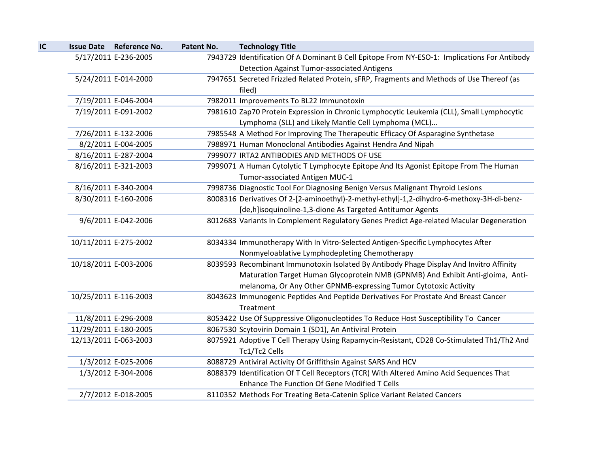| IC | Issue Date Reference No. | Patent No. | <b>Technology Title</b>                                                                      |
|----|--------------------------|------------|----------------------------------------------------------------------------------------------|
|    | 5/17/2011 E-236-2005     |            | 7943729 Identification Of A Dominant B Cell Epitope From NY-ESO-1: Implications For Antibody |
|    |                          |            | <b>Detection Against Tumor-associated Antigens</b>                                           |
|    | 5/24/2011 E-014-2000     |            | 7947651 Secreted Frizzled Related Protein, sFRP, Fragments and Methods of Use Thereof (as    |
|    |                          |            | filed)                                                                                       |
|    | 7/19/2011 E-046-2004     |            | 7982011 Improvements To BL22 Immunotoxin                                                     |
|    | 7/19/2011 E-091-2002     |            | 7981610 Zap70 Protein Expression in Chronic Lymphocytic Leukemia (CLL), Small Lymphocytic    |
|    |                          |            | Lymphoma (SLL) and Likely Mantle Cell Lymphoma (MCL)                                         |
|    | 7/26/2011 E-132-2006     |            | 7985548 A Method For Improving The Therapeutic Efficacy Of Asparagine Synthetase             |
|    | 8/2/2011 E-004-2005      |            | 7988971 Human Monoclonal Antibodies Against Hendra And Nipah                                 |
|    | 8/16/2011 E-287-2004     |            | 7999077 IRTA2 ANTIBODIES AND METHODS OF USE                                                  |
|    | 8/16/2011 E-321-2003     |            | 7999071 A Human Cytolytic T Lymphocyte Epitope And Its Agonist Epitope From The Human        |
|    |                          |            | Tumor-associated Antigen MUC-1                                                               |
|    | 8/16/2011 E-340-2004     |            | 7998736 Diagnostic Tool For Diagnosing Benign Versus Malignant Thyroid Lesions               |
|    | 8/30/2011 E-160-2006     |            | 8008316 Derivatives Of 2-[2-aminoethyl)-2-methyl-ethyl]-1,2-dihydro-6-methoxy-3H-di-benz-    |
|    |                          |            | [de,h]isoquinoline-1,3-dione As Targeted Antitumor Agents                                    |
|    | 9/6/2011 E-042-2006      |            | 8012683 Variants In Complement Regulatory Genes Predict Age-related Macular Degeneration     |
|    | 10/11/2011 E-275-2002    |            | 8034334 Immunotherapy With In Vitro-Selected Antigen-Specific Lymphocytes After              |
|    |                          |            | Nonmyeloablative Lymphodepleting Chemotherapy                                                |
|    | 10/18/2011 E-003-2006    |            | 8039593 Recombinant Immunotoxin Isolated By Antibody Phage Display And Invitro Affinity      |
|    |                          |            | Maturation Target Human Glycoprotein NMB (GPNMB) And Exhibit Anti-gloima, Anti-              |
|    |                          |            | melanoma, Or Any Other GPNMB-expressing Tumor Cytotoxic Activity                             |
|    | 10/25/2011 E-116-2003    |            | 8043623 Immunogenic Peptides And Peptide Derivatives For Prostate And Breast Cancer          |
|    |                          |            | Treatment                                                                                    |
|    | 11/8/2011 E-296-2008     |            | 8053422 Use Of Suppressive Oligonucleotides To Reduce Host Susceptibility To Cancer          |
|    | 11/29/2011 E-180-2005    |            | 8067530 Scytovirin Domain 1 (SD1), An Antiviral Protein                                      |
|    | 12/13/2011 E-063-2003    |            | 8075921 Adoptive T Cell Therapy Using Rapamycin-Resistant, CD28 Co-Stimulated Th1/Th2 And    |
|    |                          |            | Tc1/Tc2 Cells                                                                                |
|    | 1/3/2012 E-025-2006      |            | 8088729 Antiviral Activity Of Griffithsin Against SARS And HCV                               |
|    | 1/3/2012 E-304-2006      |            | 8088379 Identification Of T Cell Receptors (TCR) With Altered Amino Acid Sequences That      |
|    |                          |            | Enhance The Function Of Gene Modified T Cells                                                |
|    | 2/7/2012 E-018-2005      |            | 8110352 Methods For Treating Beta-Catenin Splice Variant Related Cancers                     |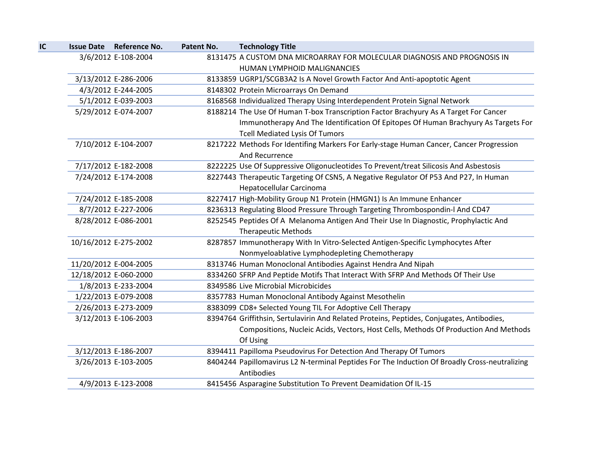| IC | <b>Issue Date Reference No.</b> | Patent No. | <b>Technology Title</b>                                                                                     |
|----|---------------------------------|------------|-------------------------------------------------------------------------------------------------------------|
|    | 3/6/2012 E-108-2004             |            | 8131475 A CUSTOM DNA MICROARRAY FOR MOLECULAR DIAGNOSIS AND PROGNOSIS IN<br>HUMAN LYMPHOID MALIGNANCIES     |
|    | 3/13/2012 E-286-2006            |            | 8133859 UGRP1/SCGB3A2 Is A Novel Growth Factor And Anti-apoptotic Agent                                     |
|    | 4/3/2012 E-244-2005             |            | 8148302 Protein Microarrays On Demand                                                                       |
|    | 5/1/2012 E-039-2003             |            | 8168568 Individualized Therapy Using Interdependent Protein Signal Network                                  |
|    | 5/29/2012 E-074-2007            |            | 8188214 The Use Of Human T-box Transcription Factor Brachyury As A Target For Cancer                        |
|    |                                 |            | Immunotherapy And The Identification Of Epitopes Of Human Brachyury As Targets For                          |
|    |                                 |            | <b>Tcell Mediated Lysis Of Tumors</b>                                                                       |
|    | 7/10/2012 E-104-2007            |            | 8217222 Methods For Identifing Markers For Early-stage Human Cancer, Cancer Progression                     |
|    |                                 |            | And Recurrence                                                                                              |
|    | 7/17/2012 E-182-2008            |            | 8222225 Use Of Suppressive Oligonucleotides To Prevent/treat Silicosis And Asbestosis                       |
|    | 7/24/2012 E-174-2008            |            | 8227443 Therapeutic Targeting Of CSN5, A Negative Regulator Of P53 And P27, In Human                        |
|    |                                 |            | Hepatocellular Carcinoma                                                                                    |
|    | 7/24/2012 E-185-2008            |            | 8227417 High-Mobility Group N1 Protein (HMGN1) Is An Immune Enhancer                                        |
|    | 8/7/2012 E-227-2006             |            | 8236313 Regulating Blood Pressure Through Targeting Thrombospondin-I And CD47                               |
|    | 8/28/2012 E-086-2001            |            | 8252545 Peptides Of A Melanoma Antigen And Their Use In Diagnostic, Prophylactic And                        |
|    |                                 |            | <b>Therapeutic Methods</b>                                                                                  |
|    | 10/16/2012 E-275-2002           |            | 8287857 Immunotherapy With In Vitro-Selected Antigen-Specific Lymphocytes After                             |
|    |                                 |            | Nonmyeloablative Lymphodepleting Chemotherapy                                                               |
|    | 11/20/2012 E-004-2005           |            | 8313746 Human Monoclonal Antibodies Against Hendra And Nipah                                                |
|    | 12/18/2012 E-060-2000           |            | 8334260 SFRP And Peptide Motifs That Interact With SFRP And Methods Of Their Use                            |
|    | 1/8/2013 E-233-2004             |            | 8349586 Live Microbial Microbicides                                                                         |
|    | 1/22/2013 E-079-2008            |            | 8357783 Human Monoclonal Antibody Against Mesothelin                                                        |
|    | 2/26/2013 E-273-2009            |            | 8383099 CD8+ Selected Young TIL For Adoptive Cell Therapy                                                   |
|    | 3/12/2013 E-106-2003            |            | 8394764 Griffithsin, Sertulavirin And Related Proteins, Peptides, Conjugates, Antibodies,                   |
|    |                                 |            | Compositions, Nucleic Acids, Vectors, Host Cells, Methods Of Production And Methods                         |
|    |                                 |            | Of Using                                                                                                    |
|    | 3/12/2013 E-186-2007            |            | 8394411 Papilloma Pseudovirus For Detection And Therapy Of Tumors                                           |
|    | 3/26/2013 E-103-2005            |            | 8404244 Papillomavirus L2 N-terminal Peptides For The Induction Of Broadly Cross-neutralizing<br>Antibodies |
|    | 4/9/2013 E-123-2008             |            | 8415456 Asparagine Substitution To Prevent Deamidation Of IL-15                                             |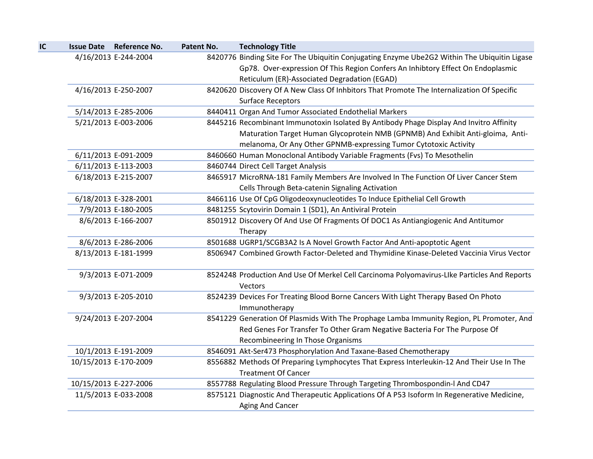| IC | <b>Issue Date Reference No.</b> | Patent No. | <b>Technology Title</b>                                                                             |
|----|---------------------------------|------------|-----------------------------------------------------------------------------------------------------|
|    | 4/16/2013 E-244-2004            |            | 8420776 Binding Site For The Ubiquitin Conjugating Enzyme Ube2G2 Within The Ubiquitin Ligase        |
|    |                                 |            | Gp78. Over-expression Of This Region Confers An Inhibtory Effect On Endoplasmic                     |
|    |                                 |            | Reticulum (ER)-Associated Degradation (EGAD)                                                        |
|    | 4/16/2013 E-250-2007            |            | 8420620 Discovery Of A New Class Of Inhbitors That Promote The Internalization Of Specific          |
|    |                                 |            | <b>Surface Receptors</b>                                                                            |
|    | 5/14/2013 E-285-2006            |            | 8440411 Organ And Tumor Associated Endothelial Markers                                              |
|    | 5/21/2013 E-003-2006            |            | 8445216 Recombinant Immunotoxin Isolated By Antibody Phage Display And Invitro Affinity             |
|    |                                 |            | Maturation Target Human Glycoprotein NMB (GPNMB) And Exhibit Anti-gloima, Anti-                     |
|    |                                 |            | melanoma, Or Any Other GPNMB-expressing Tumor Cytotoxic Activity                                    |
|    | 6/11/2013 E-091-2009            |            | 8460660 Human Monoclonal Antibody Variable Fragments (Fvs) To Mesothelin                            |
|    | 6/11/2013 E-113-2003            |            | 8460744 Direct Cell Target Analysis                                                                 |
|    | 6/18/2013 E-215-2007            |            | 8465917 MicroRNA-181 Family Members Are Involved In The Function Of Liver Cancer Stem               |
|    |                                 |            | Cells Through Beta-catenin Signaling Activation                                                     |
|    | 6/18/2013 E-328-2001            |            | 8466116 Use Of CpG Oligodeoxynucleotides To Induce Epithelial Cell Growth                           |
|    | 7/9/2013 E-180-2005             |            | 8481255 Scytovirin Domain 1 (SD1), An Antiviral Protein                                             |
|    | 8/6/2013 E-166-2007             |            | 8501912 Discovery Of And Use Of Fragments Of DOC1 As Antiangiogenic And Antitumor                   |
|    |                                 |            | Therapy                                                                                             |
|    | 8/6/2013 E-286-2006             |            | 8501688 UGRP1/SCGB3A2 Is A Novel Growth Factor And Anti-apoptotic Agent                             |
|    | 8/13/2013 E-181-1999            |            | 8506947 Combined Growth Factor-Deleted and Thymidine Kinase-Deleted Vaccinia Virus Vector           |
|    | 9/3/2013 E-071-2009             |            | 8524248 Production And Use Of Merkel Cell Carcinoma Polyomavirus-LIke Particles And Reports         |
|    |                                 |            | Vectors                                                                                             |
|    | 9/3/2013 E-205-2010             |            | 8524239 Devices For Treating Blood Borne Cancers With Light Therapy Based On Photo<br>Immunotherapy |
|    | 9/24/2013 E-207-2004            |            | 8541229 Generation Of Plasmids With The Prophage Lamba Immunity Region, PL Promoter, And            |
|    |                                 |            | Red Genes For Transfer To Other Gram Negative Bacteria For The Purpose Of                           |
|    |                                 |            | Recombineering In Those Organisms                                                                   |
|    | 10/1/2013 E-191-2009            |            | 8546091 Akt-Ser473 Phosphorylation And Taxane-Based Chemotherapy                                    |
|    | 10/15/2013 E-170-2009           |            | 8556882 Methods Of Preparing Lymphocytes That Express Interleukin-12 And Their Use In The           |
|    |                                 |            | <b>Treatment Of Cancer</b>                                                                          |
|    | 10/15/2013 E-227-2006           |            | 8557788 Regulating Blood Pressure Through Targeting Thrombospondin-I And CD47                       |
|    | 11/5/2013 E-033-2008            |            | 8575121 Diagnostic And Therapeutic Applications Of A P53 Isoform In Regenerative Medicine,          |
|    |                                 |            | Aging And Cancer                                                                                    |
|    |                                 |            |                                                                                                     |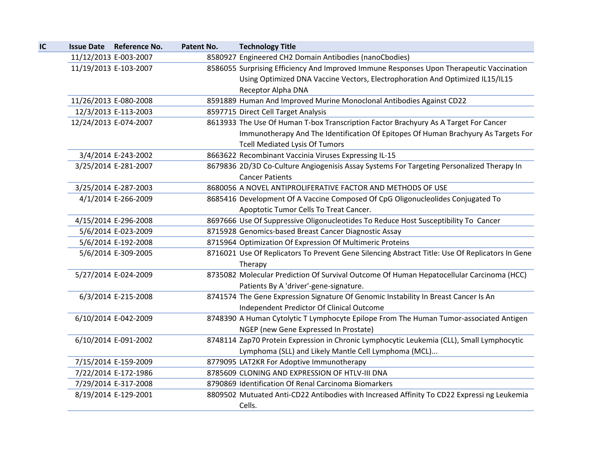| IC |                       | <b>Issue Date Reference No.</b> | Patent No. | <b>Technology Title</b>                                                                         |
|----|-----------------------|---------------------------------|------------|-------------------------------------------------------------------------------------------------|
|    | 11/12/2013 E-003-2007 |                                 |            | 8580927 Engineered CH2 Domain Antibodies (nanoCbodies)                                          |
|    | 11/19/2013 E-103-2007 |                                 |            | 8586055 Surprising Efficiency And Improved Immune Responses Upon Therapeutic Vaccination        |
|    |                       |                                 |            | Using Optimized DNA Vaccine Vectors, Electrophoration And Optimized IL15/IL15                   |
|    |                       |                                 |            | Receptor Alpha DNA                                                                              |
|    | 11/26/2013 E-080-2008 |                                 |            | 8591889 Human And Improved Murine Monoclonal Antibodies Against CD22                            |
|    |                       | 12/3/2013 E-113-2003            |            | 8597715 Direct Cell Target Analysis                                                             |
|    | 12/24/2013 E-074-2007 |                                 |            | 8613933 The Use Of Human T-box Transcription Factor Brachyury As A Target For Cancer            |
|    |                       |                                 |            | Immunotherapy And The Identification Of Epitopes Of Human Brachyury As Targets For              |
|    |                       |                                 |            | <b>Tcell Mediated Lysis Of Tumors</b>                                                           |
|    |                       | 3/4/2014 E-243-2002             |            | 8663622 Recombinant Vaccinia Viruses Expressing IL-15                                           |
|    |                       | 3/25/2014 E-281-2007            |            | 8679836 2D/3D Co-Culture Angiogenisis Assay Systems For Targeting Personalized Therapy In       |
|    |                       |                                 |            | <b>Cancer Patients</b>                                                                          |
|    |                       | 3/25/2014 E-287-2003            |            | 8680056 A NOVEL ANTIPROLIFERATIVE FACTOR AND METHODS OF USE                                     |
|    |                       | 4/1/2014 E-266-2009             |            | 8685416 Development Of A Vaccine Composed Of CpG Oligonucleolides Conjugated To                 |
|    |                       |                                 |            | Apoptotic Tumor Cells To Treat Cancer.                                                          |
|    |                       | 4/15/2014 E-296-2008            |            | 8697666 Use Of Suppressive Oligonucleotides To Reduce Host Susceptibility To Cancer             |
|    |                       | 5/6/2014 E-023-2009             |            | 8715928 Genomics-based Breast Cancer Diagnostic Assay                                           |
|    |                       | 5/6/2014 E-192-2008             |            | 8715964 Optimization Of Expression Of Multimeric Proteins                                       |
|    |                       | 5/6/2014 E-309-2005             |            | 8716021 Use Of Replicators To Prevent Gene Silencing Abstract Title: Use Of Replicators In Gene |
|    |                       |                                 |            | Therapy                                                                                         |
|    |                       | 5/27/2014 E-024-2009            |            | 8735082 Molecular Prediction Of Survival Outcome Of Human Hepatocellular Carcinoma (HCC)        |
|    |                       |                                 |            | Patients By A 'driver'-gene-signature.                                                          |
|    |                       | 6/3/2014 E-215-2008             |            | 8741574 The Gene Expression Signature Of Genomic Instability In Breast Cancer Is An             |
|    |                       |                                 |            | Independent Predictor Of Clinical Outcome                                                       |
|    |                       | 6/10/2014 E-042-2009            |            | 8748390 A Human Cytolytic T Lymphocyte Epilope From The Human Tumor-associated Antigen          |
|    |                       |                                 |            | NGEP (new Gene Expressed In Prostate)                                                           |
|    |                       | 6/10/2014 E-091-2002            |            | 8748114 Zap70 Protein Expression in Chronic Lymphocytic Leukemia (CLL), Small Lymphocytic       |
|    |                       |                                 |            | Lymphoma (SLL) and Likely Mantle Cell Lymphoma (MCL)                                            |
|    |                       | 7/15/2014 E-159-2009            |            | 8779095 LAT2KR For Adoptive Immunotherapy                                                       |
|    |                       | 7/22/2014 E-172-1986            |            | 8785609 CLONING AND EXPRESSION OF HTLV-III DNA                                                  |
|    |                       | 7/29/2014 E-317-2008            |            | 8790869 Identification Of Renal Carcinoma Biomarkers                                            |
|    |                       | 8/19/2014 E-129-2001            |            | 8809502 Mutuated Anti-CD22 Antibodies with Increased Affinity To CD22 Expressi ng Leukemia      |
|    |                       |                                 |            | Cells.                                                                                          |
|    |                       |                                 |            |                                                                                                 |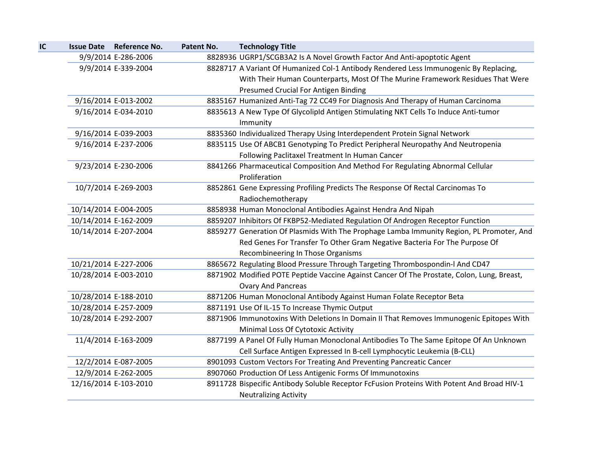| IC |                       | Issue Date Reference No. | Patent No. | <b>Technology Title</b>                                                                    |
|----|-----------------------|--------------------------|------------|--------------------------------------------------------------------------------------------|
|    |                       | 9/9/2014 E-286-2006      |            | 8828936 UGRP1/SCGB3A2 Is A Novel Growth Factor And Anti-apoptotic Agent                    |
|    |                       | 9/9/2014 E-339-2004      |            | 8828717 A Variant Of Humanized Col-1 Antibody Rendered Less Immunogenic By Replacing,      |
|    |                       |                          |            | With Their Human Counterparts, Most Of The Murine Framework Residues That Were             |
|    |                       |                          |            | Presumed Crucial For Antigen Binding                                                       |
|    |                       | 9/16/2014 E-013-2002     |            | 8835167 Humanized Anti-Tag 72 CC49 For Diagnosis And Therapy of Human Carcinoma            |
|    |                       | 9/16/2014 E-034-2010     |            | 8835613 A New Type Of GlycolipId Antigen Stimulating NKT Cells To Induce Anti-tumor        |
|    |                       |                          |            | Immunity                                                                                   |
|    |                       | 9/16/2014 E-039-2003     |            | 8835360 Individualized Therapy Using Interdependent Protein Signal Network                 |
|    |                       | 9/16/2014 E-237-2006     |            | 8835115 Use Of ABCB1 Genotyping To Predict Peripheral Neuropathy And Neutropenia           |
|    |                       |                          |            | Following Paclitaxel Treatment In Human Cancer                                             |
|    |                       | 9/23/2014 E-230-2006     |            | 8841266 Pharmaceutical Composition And Method For Regulating Abnormal Cellular             |
|    |                       |                          |            | Proliferation                                                                              |
|    |                       | 10/7/2014 E-269-2003     |            | 8852861 Gene Expressing Profiling Predicts The Response Of Rectal Carcinomas To            |
|    |                       |                          |            | Radiochemotherapy                                                                          |
|    | 10/14/2014 E-004-2005 |                          |            | 8858938 Human Monoclonal Antibodies Against Hendra And Nipah                               |
|    | 10/14/2014 E-162-2009 |                          |            | 8859207 Inhibitors Of FKBP52-Mediated Regulation Of Androgen Receptor Function             |
|    | 10/14/2014 E-207-2004 |                          |            | 8859277 Generation Of Plasmids With The Prophage Lamba Immunity Region, PL Promoter, And   |
|    |                       |                          |            | Red Genes For Transfer To Other Gram Negative Bacteria For The Purpose Of                  |
|    |                       |                          |            | Recombineering In Those Organisms                                                          |
|    | 10/21/2014 E-227-2006 |                          |            | 8865672 Regulating Blood Pressure Through Targeting Thrombospondin-I And CD47              |
|    | 10/28/2014 E-003-2010 |                          |            | 8871902 Modified POTE Peptide Vaccine Against Cancer Of The Prostate, Colon, Lung, Breast, |
|    |                       |                          |            | <b>Ovary And Pancreas</b>                                                                  |
|    |                       | 10/28/2014 E-188-2010    |            | 8871206 Human Monoclonal Antibody Against Human Folate Receptor Beta                       |
|    | 10/28/2014 E-257-2009 |                          |            | 8871191 Use Of IL-15 To Increase Thymic Output                                             |
|    | 10/28/2014 E-292-2007 |                          |            | 8871906 Immunotoxins With Deletions In Domain II That Removes Immunogenic Epitopes With    |
|    |                       |                          |            | Minimal Loss Of Cytotoxic Activity                                                         |
|    |                       | 11/4/2014 E-163-2009     |            | 8877199 A Panel Of Fully Human Monoclonal Antibodies To The Same Epitope Of An Unknown     |
|    |                       |                          |            | Cell Surface Antigen Expressed In B-cell Lymphocytic Leukemia (B-CLL)                      |
|    |                       | 12/2/2014 E-087-2005     |            | 8901093 Custom Vectors For Treating And Preventing Pancreatic Cancer                       |
|    |                       | 12/9/2014 E-262-2005     |            | 8907060 Production Of Less Antigenic Forms Of Immunotoxins                                 |
|    | 12/16/2014 E-103-2010 |                          |            | 8911728 Bispecific Antibody Soluble Receptor FcFusion Proteins With Potent And Broad HIV-1 |
|    |                       |                          |            | <b>Neutralizing Activity</b>                                                               |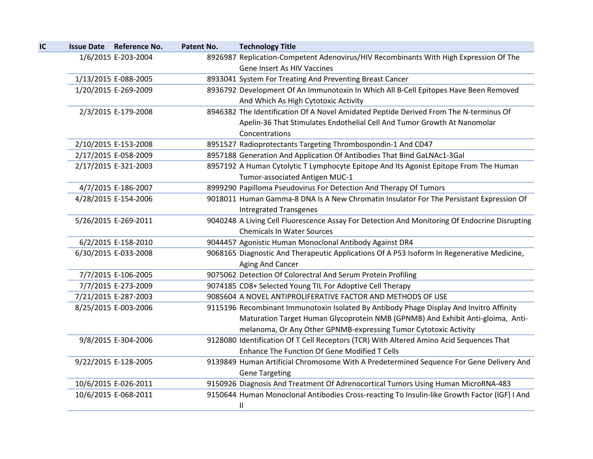| IC | <b>Issue Date Reference No.</b> | Patent No. | <b>Technology Title</b>                                                                       |
|----|---------------------------------|------------|-----------------------------------------------------------------------------------------------|
|    | 1/6/2015 E-203-2004             |            | 8926987 Replication-Competent Adenovirus/HIV Recombinants With High Expression Of The         |
|    |                                 |            | Gene Insert As HIV Vaccines                                                                   |
|    | 1/13/2015 E-088-2005            |            | 8933041 System For Treating And Preventing Breast Cancer                                      |
|    | 1/20/2015 E-269-2009            |            | 8936792 Development Of An Immunotoxin In Which All B-Cell Epitopes Have Been Removed          |
|    |                                 |            | And Which As High Cytotoxic Activity                                                          |
|    | 2/3/2015 E-179-2008             |            | 8946382 The Identification Of A Novel Amidated Peptide Derived From The N-terminus Of         |
|    |                                 |            | Apelin-36 That Stimulates Endothelial Cell And Tumor Growth At Nanomolar                      |
|    |                                 |            | Concentrations                                                                                |
|    | 2/10/2015 E-153-2008            |            | 8951527 Radioprotectants Targeting Thrombospondin-1 And CD47                                  |
|    | 2/17/2015 E-058-2009            |            | 8957188 Generation And Application Of Antibodies That Bind GaLNAc1-3Gal                       |
|    | 2/17/2015 E-321-2003            |            | 8957192 A Human Cytolytic T Lymphocyte Epitope And Its Agonist Epitope From The Human         |
|    |                                 |            | Tumor-associated Antigen MUC-1                                                                |
|    | 4/7/2015 E-186-2007             |            | 8999290 Papilloma Pseudovirus For Detection And Therapy Of Tumors                             |
|    | 4/28/2015 E-154-2006            |            | 9018011 Human Gamma-8 DNA Is A New Chromatin Insulator For The Persistant Expression Of       |
|    |                                 |            | <b>Intregrated Transgenes</b>                                                                 |
|    | 5/26/2015 E-269-2011            |            | 9040248 A Living Cell Fluorescence Assay For Detection And Monitoring Of Endocrine Disrupting |
|    |                                 |            | <b>Chemicals In Water Sources</b>                                                             |
|    | 6/2/2015 E-158-2010             |            | 9044457 Agonistic Human Monoclonal Antibody Against DR4                                       |
|    | 6/30/2015 E-033-2008            |            | 9068165 Diagnostic And Therapeutic Applications Of A P53 Isoform In Regenerative Medicine,    |
|    |                                 |            | Aging And Cancer                                                                              |
|    | 7/7/2015 E-106-2005             |            | 9075062 Detection Of Colorectral And Serum Protein Profiling                                  |
|    | 7/7/2015 E-273-2009             |            | 9074185 CD8+ Selected Young TIL For Adoptive Cell Therapy                                     |
|    | 7/21/2015 E-287-2003            |            | 9085604 A NOVEL ANTIPROLIFERATIVE FACTOR AND METHODS OF USE                                   |
|    | 8/25/2015 E-003-2006            |            | 9115196 Recombinant Immunotoxin Isolated By Antibody Phage Display And Invitro Affinity       |
|    |                                 |            | Maturation Target Human Glycoprotein NMB (GPNMB) And Exhibit Anti-gloima, Anti-               |
|    |                                 |            | melanoma, Or Any Other GPNMB-expressing Tumor Cytotoxic Activity                              |
|    | 9/8/2015 E-304-2006             |            | 9128080 Identification Of T Cell Receptors (TCR) With Altered Amino Acid Sequences That       |
|    |                                 |            | Enhance The Function Of Gene Modified T Cells                                                 |
|    | 9/22/2015 E-128-2005            |            | 9139849 Human Artificial Chromosome With A Predetermined Sequence For Gene Delivery And       |
|    |                                 |            | <b>Gene Targeting</b>                                                                         |
|    | 10/6/2015 E-026-2011            |            | 9150926 Diagnosis And Treatment Of Adrenocortical Tumors Using Human MicroRNA-483             |
|    | 10/6/2015 E-068-2011            |            | 9150644 Human Monoclonal Antibodies Cross-reacting To Insulin-like Growth Factor (IGF) I And  |
|    |                                 |            | Ш                                                                                             |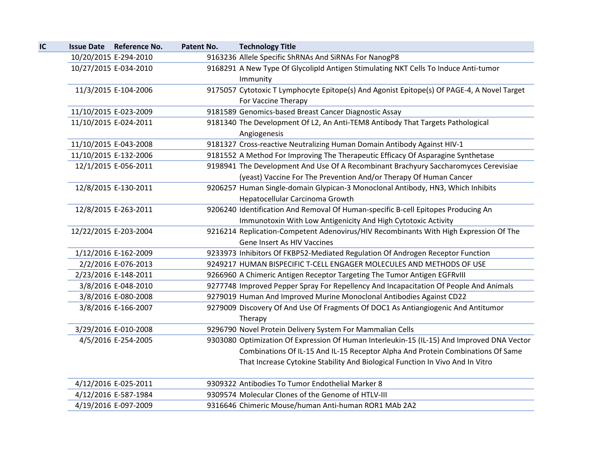| IC | Issue Date Reference No. | Patent No. | <b>Technology Title</b>                                                                    |
|----|--------------------------|------------|--------------------------------------------------------------------------------------------|
|    | 10/20/2015 E-294-2010    |            | 9163236 Allele Specific ShRNAs And SiRNAs For NanogP8                                      |
|    | 10/27/2015 E-034-2010    |            | 9168291 A New Type Of GlycolipId Antigen Stimulating NKT Cells To Induce Anti-tumor        |
|    |                          |            | Immunity                                                                                   |
|    | 11/3/2015 E-104-2006     |            | 9175057 Cytotoxic T Lymphocyte Epitope(s) And Agonist Epitope(s) Of PAGE-4, A Novel Target |
|    |                          |            | For Vaccine Therapy                                                                        |
|    | 11/10/2015 E-023-2009    |            | 9181589 Genomics-based Breast Cancer Diagnostic Assay                                      |
|    | 11/10/2015 E-024-2011    |            | 9181340 The Development Of L2, An Anti-TEM8 Antibody That Targets Pathological             |
|    |                          |            | Angiogenesis                                                                               |
|    | 11/10/2015 E-043-2008    |            | 9181327 Cross-reactive Neutralizing Human Domain Antibody Against HIV-1                    |
|    | 11/10/2015 E-132-2006    |            | 9181552 A Method For Improving The Therapeutic Efficacy Of Asparagine Synthetase           |
|    | 12/1/2015 E-056-2011     |            | 9198941 The Development And Use Of A Recombinant Brachyury Saccharomyces Cerevisiae        |
|    |                          |            | (yeast) Vaccine For The Prevention And/or Therapy Of Human Cancer                          |
|    | 12/8/2015 E-130-2011     |            | 9206257 Human Single-domain Glypican-3 Monoclonal Antibody, HN3, Which Inhibits            |
|    |                          |            | Hepatocellular Carcinoma Growth                                                            |
|    | 12/8/2015 E-263-2011     |            | 9206240 Identification And Removal Of Human-specific B-cell Epitopes Producing An          |
|    |                          |            | Immunotoxin With Low Antigenicity And High Cytotoxic Activity                              |
|    | 12/22/2015 E-203-2004    |            | 9216214 Replication-Competent Adenovirus/HIV Recombinants With High Expression Of The      |
|    |                          |            | Gene Insert As HIV Vaccines                                                                |
|    | 1/12/2016 E-162-2009     |            | 9233973 Inhibitors Of FKBP52-Mediated Regulation Of Androgen Receptor Function             |
|    | 2/2/2016 E-076-2013      |            | 9249217 HUMAN BISPECIFIC T-CELL ENGAGER MOLECULES AND METHODS OF USE                       |
|    | 2/23/2016 E-148-2011     |            | 9266960 A Chimeric Antigen Receptor Targeting The Tumor Antigen EGFRvIII                   |
|    | 3/8/2016 E-048-2010      |            | 9277748 Improved Pepper Spray For Repellency And Incapacitation Of People And Animals      |
|    | 3/8/2016 E-080-2008      |            | 9279019 Human And Improved Murine Monoclonal Antibodies Against CD22                       |
|    | 3/8/2016 E-166-2007      |            | 9279009 Discovery Of And Use Of Fragments Of DOC1 As Antiangiogenic And Antitumor          |
|    |                          |            | Therapy                                                                                    |
|    | 3/29/2016 E-010-2008     |            | 9296790 Novel Protein Delivery System For Mammalian Cells                                  |
|    | 4/5/2016 E-254-2005      |            | 9303080 Optimization Of Expression Of Human Interleukin-15 (IL-15) And Improved DNA Vector |
|    |                          |            | Combinations Of IL-15 And IL-15 Receptor Alpha And Protein Combinations Of Same            |
|    |                          |            | That Increase Cytokine Stability And Biological Function In Vivo And In Vitro              |
|    | 4/12/2016 E-025-2011     |            | 9309322 Antibodies To Tumor Endothelial Marker 8                                           |
|    | 4/12/2016 E-587-1984     |            | 9309574 Molecular Clones of the Genome of HTLV-III                                         |
|    | 4/19/2016 E-097-2009     |            | 9316646 Chimeric Mouse/human Anti-human ROR1 MAb 2A2                                       |
|    |                          |            |                                                                                            |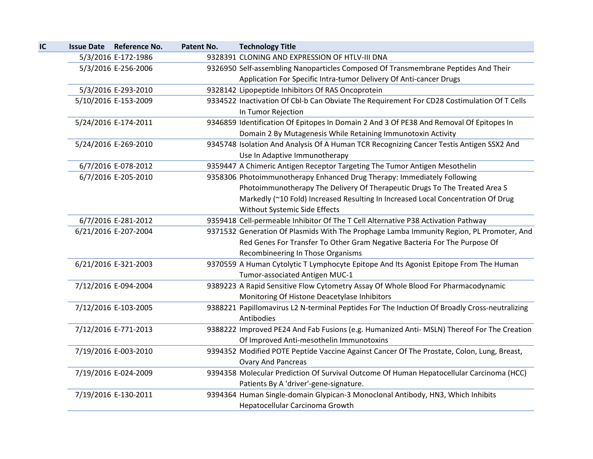| IC | Issue Date Reference No. | Patent No. | <b>Technology Title</b>                                                                       |
|----|--------------------------|------------|-----------------------------------------------------------------------------------------------|
|    | 5/3/2016 E-172-1986      |            | 9328391 CLONING AND EXPRESSION OF HTLV-III DNA                                                |
|    | 5/3/2016 E-256-2006      |            | 9326950 Self-assembling Nanoparticles Composed Of Transmembrane Peptides And Their            |
|    |                          |            | Application For Specific Intra-tumor Delivery Of Anti-cancer Drugs                            |
|    | 5/3/2016 E-293-2010      |            | 9328142 Lipopeptide Inhibitors Of RAS Oncoprotein                                             |
|    | 5/10/2016 E-153-2009     |            | 9334522 Inactivation Of Cbl-b Can Obviate The Requirement For CD28 Costimulation Of T Cells   |
|    |                          |            | In Tumor Rejection                                                                            |
|    | 5/24/2016 E-174-2011     |            | 9346859 Identification Of Epitopes In Domain 2 And 3 Of PE38 And Removal Of Epitopes In       |
|    |                          |            | Domain 2 By Mutagenesis While Retaining Immunotoxin Activity                                  |
|    | 5/24/2016 E-269-2010     |            | 9345748 Isolation And Analysis Of A Human TCR Recognizing Cancer Testis Antigen SSX2 And      |
|    |                          |            | Use In Adaptive Immunotherapy                                                                 |
|    | 6/7/2016 E-078-2012      |            | 9359447 A Chimeric Antigen Receptor Targeting The Tumor Antigen Mesothelin                    |
|    | 6/7/2016 E-205-2010      |            | 9358306 Photoimmunotherapy Enhanced Drug Therapy: Immediately Following                       |
|    |                          |            | Photoimmunotherapy The Delivery Of Therapeutic Drugs To The Treated Area S                    |
|    |                          |            | Markedly (~10 Fold) Increased Resulting In Increased Local Concentration Of Drug              |
|    |                          |            | Without Systemic Side Effects                                                                 |
|    | 6/7/2016 E-281-2012      |            | 9359418 Cell-permeable Inhibitor Of The T Cell Alternative P38 Activation Pathway             |
|    | 6/21/2016 E-207-2004     |            | 9371532 Generation Of Plasmids With The Prophage Lamba Immunity Region, PL Promoter, And      |
|    |                          |            | Red Genes For Transfer To Other Gram Negative Bacteria For The Purpose Of                     |
|    |                          |            | Recombineering In Those Organisms                                                             |
|    | 6/21/2016 E-321-2003     |            | 9370559 A Human Cytolytic T Lymphocyte Epitope And Its Agonist Epitope From The Human         |
|    |                          |            | Tumor-associated Antigen MUC-1                                                                |
|    | 7/12/2016 E-094-2004     |            | 9389223 A Rapid Sensitive Flow Cytometry Assay Of Whole Blood For Pharmacodynamic             |
|    |                          |            | Monitoring Of Histone Deacetylase Inhibitors                                                  |
|    | 7/12/2016 E-103-2005     |            | 9388221 Papillomavirus L2 N-terminal Peptides For The Induction Of Broadly Cross-neutralizing |
|    |                          |            | Antibodies                                                                                    |
|    | 7/12/2016 E-771-2013     |            | 9388222 Improved PE24 And Fab Fusions (e.g. Humanized Anti- MSLN) Thereof For The Creation    |
|    |                          |            | Of Improved Anti-mesothelin Immunotoxins                                                      |
|    | 7/19/2016 E-003-2010     |            | 9394352 Modified POTE Peptide Vaccine Against Cancer Of The Prostate, Colon, Lung, Breast,    |
|    |                          |            | <b>Ovary And Pancreas</b>                                                                     |
|    | 7/19/2016 E-024-2009     |            | 9394358 Molecular Prediction Of Survival Outcome Of Human Hepatocellular Carcinoma (HCC)      |
|    |                          |            | Patients By A 'driver'-gene-signature.                                                        |
|    | 7/19/2016 E-130-2011     |            | 9394364 Human Single-domain Glypican-3 Monoclonal Antibody, HN3, Which Inhibits               |
|    |                          |            | Hepatocellular Carcinoma Growth                                                               |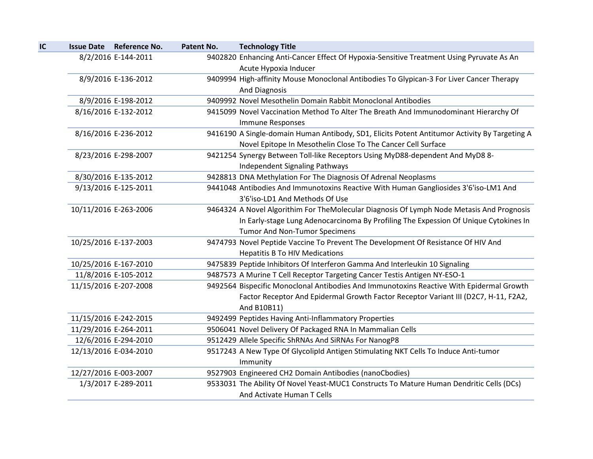| <b>Issue Date Reference No.</b> | Patent No. | <b>Technology Title</b>                                                                                                                                       |
|---------------------------------|------------|---------------------------------------------------------------------------------------------------------------------------------------------------------------|
| 8/2/2016 E-144-2011             |            | 9402820 Enhancing Anti-Cancer Effect Of Hypoxia-Sensitive Treatment Using Pyruvate As An<br>Acute Hypoxia Inducer                                             |
| 8/9/2016 E-136-2012             |            | 9409994 High-affinity Mouse Monoclonal Antibodies To Glypican-3 For Liver Cancer Therapy                                                                      |
|                                 |            | <b>And Diagnosis</b>                                                                                                                                          |
| 8/9/2016 E-198-2012             |            | 9409992 Novel Mesothelin Domain Rabbit Monoclonal Antibodies                                                                                                  |
| 8/16/2016 E-132-2012            |            | 9415099 Novel Vaccination Method To Alter The Breath And Immunodominant Hierarchy Of<br>Immune Responses                                                      |
| 8/16/2016 E-236-2012            |            | 9416190 A Single-domain Human Antibody, SD1, Elicits Potent Antitumor Activity By Targeting A<br>Novel Epitope In Mesothelin Close To The Cancer Cell Surface |
| 8/23/2016 E-298-2007            |            | 9421254 Synergy Between Toll-like Receptors Using MyD88-dependent And MyD8 8-<br><b>Independent Signaling Pathways</b>                                        |
| 8/30/2016 E-135-2012            |            | 9428813 DNA Methylation For The Diagnosis Of Adrenal Neoplasms                                                                                                |
| 9/13/2016 E-125-2011            |            | 9441048 Antibodies And Immunotoxins Reactive With Human Gangliosides 3'6'iso-LM1 And                                                                          |
|                                 |            | 3'6'iso-LD1 And Methods Of Use                                                                                                                                |
| 10/11/2016 E-263-2006           |            | 9464324 A Novel Algorithim For TheMolecular Diagnosis Of Lymph Node Metasis And Prognosis                                                                     |
|                                 |            | In Early-stage Lung Adenocarcinoma By Profiling The Expession Of Unique Cytokines In                                                                          |
|                                 |            | <b>Tumor And Non-Tumor Specimens</b>                                                                                                                          |
| 10/25/2016 E-137-2003           |            | 9474793 Novel Peptide Vaccine To Prevent The Development Of Resistance Of HIV And                                                                             |
|                                 |            | <b>Hepatitis B To HIV Medications</b>                                                                                                                         |
| 10/25/2016 E-167-2010           |            | 9475839 Peptide Inhibitors Of Interferon Gamma And Interleukin 10 Signaling                                                                                   |
| 11/8/2016 E-105-2012            |            | 9487573 A Murine T Cell Receptor Targeting Cancer Testis Antigen NY-ESO-1                                                                                     |
| 11/15/2016 E-207-2008           |            | 9492564 Bispecific Monoclonal Antibodies And Immunotoxins Reactive With Epidermal Growth                                                                      |
|                                 |            | Factor Receptor And Epidermal Growth Factor Receptor Variant III (D2C7, H-11, F2A2,                                                                           |
|                                 |            | And B10B11)                                                                                                                                                   |
| 11/15/2016 E-242-2015           |            | 9492499 Peptides Having Anti-Inflammatory Properties                                                                                                          |
| 11/29/2016 E-264-2011           |            | 9506041 Novel Delivery Of Packaged RNA In Mammalian Cells                                                                                                     |
| 12/6/2016 E-294-2010            |            | 9512429 Allele Specific ShRNAs And SiRNAs For NanogP8                                                                                                         |
| 12/13/2016 E-034-2010           |            | 9517243 A New Type Of GlycolipId Antigen Stimulating NKT Cells To Induce Anti-tumor<br>Immunity                                                               |
| 12/27/2016 E-003-2007           |            | 9527903 Engineered CH2 Domain Antibodies (nanoCbodies)                                                                                                        |
| 1/3/2017 E-289-2011             |            | 9533031 The Ability Of Novel Yeast-MUC1 Constructs To Mature Human Dendritic Cells (DCs)                                                                      |
|                                 |            | And Activate Human T Cells                                                                                                                                    |
|                                 |            |                                                                                                                                                               |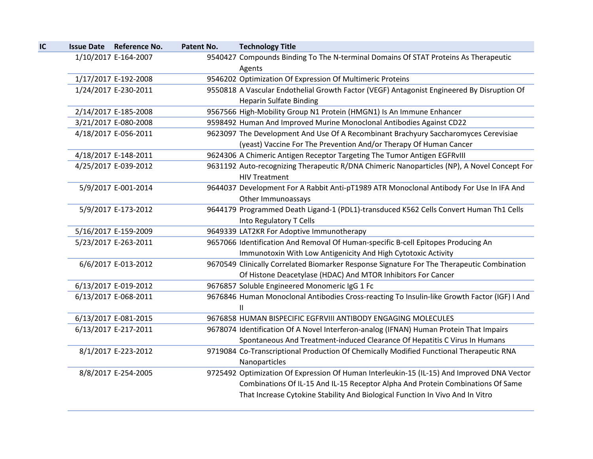| IC | <b>Issue Date Reference No.</b> | Patent No. | <b>Technology Title</b>                                                                                                                                                                                                                                        |
|----|---------------------------------|------------|----------------------------------------------------------------------------------------------------------------------------------------------------------------------------------------------------------------------------------------------------------------|
|    | 1/10/2017 E-164-2007            |            | 9540427 Compounds Binding To The N-terminal Domains Of STAT Proteins As Therapeutic<br>Agents                                                                                                                                                                  |
|    | 1/17/2017 E-192-2008            |            | 9546202 Optimization Of Expression Of Multimeric Proteins                                                                                                                                                                                                      |
|    | 1/24/2017 E-230-2011            |            | 9550818 A Vascular Endothelial Growth Factor (VEGF) Antagonist Engineered By Disruption Of<br><b>Heparin Sulfate Binding</b>                                                                                                                                   |
|    | 2/14/2017 E-185-2008            |            | 9567566 High-Mobility Group N1 Protein (HMGN1) Is An Immune Enhancer                                                                                                                                                                                           |
|    | 3/21/2017 E-080-2008            |            | 9598492 Human And Improved Murine Monoclonal Antibodies Against CD22                                                                                                                                                                                           |
|    | 4/18/2017 E-056-2011            |            | 9623097 The Development And Use Of A Recombinant Brachyury Saccharomyces Cerevisiae<br>(yeast) Vaccine For The Prevention And/or Therapy Of Human Cancer                                                                                                       |
|    | 4/18/2017 E-148-2011            |            | 9624306 A Chimeric Antigen Receptor Targeting The Tumor Antigen EGFRvIII                                                                                                                                                                                       |
|    | 4/25/2017 E-039-2012            |            | 9631192 Auto-recognizing Therapeutic R/DNA Chimeric Nanoparticles (NP), A Novel Concept For<br><b>HIV Treatment</b>                                                                                                                                            |
|    | 5/9/2017 E-001-2014             |            | 9644037 Development For A Rabbit Anti-pT1989 ATR Monoclonal Antibody For Use In IFA And<br>Other Immunoassays                                                                                                                                                  |
|    | 5/9/2017 E-173-2012             |            | 9644179 Programmed Death Ligand-1 (PDL1)-transduced K562 Cells Convert Human Th1 Cells<br>Into Regulatory T Cells                                                                                                                                              |
|    | 5/16/2017 E-159-2009            |            | 9649339 LAT2KR For Adoptive Immunotherapy                                                                                                                                                                                                                      |
|    | 5/23/2017 E-263-2011            |            | 9657066 Identification And Removal Of Human-specific B-cell Epitopes Producing An                                                                                                                                                                              |
|    |                                 |            | Immunotoxin With Low Antigenicity And High Cytotoxic Activity                                                                                                                                                                                                  |
|    | 6/6/2017 E-013-2012             |            | 9670549 Clinically Correlated Biomarker Response Signature For The Therapeutic Combination<br>Of Histone Deacetylase (HDAC) And MTOR Inhibitors For Cancer                                                                                                     |
|    | 6/13/2017 E-019-2012            |            | 9676857 Soluble Engineered Monomeric IgG 1 Fc                                                                                                                                                                                                                  |
|    | 6/13/2017 E-068-2011            |            | 9676846 Human Monoclonal Antibodies Cross-reacting To Insulin-like Growth Factor (IGF) I And<br>$\mathbf{H}$                                                                                                                                                   |
|    | 6/13/2017 E-081-2015            |            | 9676858 HUMAN BISPECIFIC EGFRVIII ANTIBODY ENGAGING MOLECULES                                                                                                                                                                                                  |
|    | 6/13/2017 E-217-2011            |            | 9678074 Identification Of A Novel Interferon-analog (IFNAN) Human Protein That Impairs<br>Spontaneous And Treatment-induced Clearance Of Hepatitis C Virus In Humans                                                                                           |
|    | 8/1/2017 E-223-2012             |            | 9719084 Co-Transcriptional Production Of Chemically Modified Functional Therapeutic RNA<br>Nanoparticles                                                                                                                                                       |
|    | 8/8/2017 E-254-2005             |            | 9725492 Optimization Of Expression Of Human Interleukin-15 (IL-15) And Improved DNA Vector<br>Combinations Of IL-15 And IL-15 Receptor Alpha And Protein Combinations Of Same<br>That Increase Cytokine Stability And Biological Function In Vivo And In Vitro |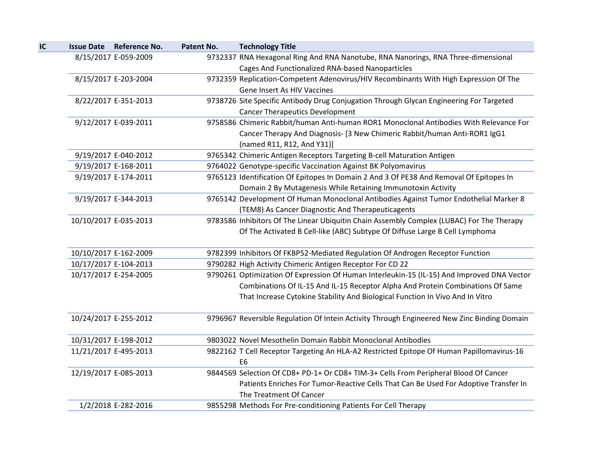|  | <b>Issue Date Reference No.</b> | Patent No. | <b>Technology Title</b>                                                                                     |
|--|---------------------------------|------------|-------------------------------------------------------------------------------------------------------------|
|  | 8/15/2017 E-059-2009            |            | 9732337 RNA Hexagonal Ring And RNA Nanotube, RNA Nanorings, RNA Three-dimensional                           |
|  |                                 |            | <b>Cages And Functionalized RNA-based Nanoparticles</b>                                                     |
|  | 8/15/2017 E-203-2004            |            | 9732359 Replication-Competent Adenovirus/HIV Recombinants With High Expression Of The                       |
|  |                                 |            | Gene Insert As HIV Vaccines                                                                                 |
|  | 8/22/2017 E-351-2013            |            | 9738726 Site Specific Antibody Drug Conjugation Through Glycan Engineering For Targeted                     |
|  |                                 |            | <b>Cancer Therapeutics Development</b>                                                                      |
|  | 9/12/2017 E-039-2011            |            | 9758586 Chimeric Rabbit/human Anti-human ROR1 Monoclonal Antibodies With Relevance For                      |
|  |                                 |            | Cancer Therapy And Diagnosis- [3 New Chimeric Rabbit/human Anti-ROR1 IgG1                                   |
|  |                                 |            | (named R11, R12, And Y31)]                                                                                  |
|  | 9/19/2017 E-040-2012            |            | 9765342 Chimeric Antigen Receptors Targeting B-cell Maturation Antigen                                      |
|  | 9/19/2017 E-168-2011            |            | 9764022 Genotype-specific Vaccination Against BK Polyomavirus                                               |
|  | 9/19/2017 E-174-2011            |            | 9765123 Identification Of Epitopes In Domain 2 And 3 Of PE38 And Removal Of Epitopes In                     |
|  |                                 |            | Domain 2 By Mutagenesis While Retaining Immunotoxin Activity                                                |
|  | 9/19/2017 E-344-2013            |            | 9765142 Development Of Human Monoclonal Antibodies Against Tumor Endothelial Marker 8                       |
|  |                                 |            | (TEM8) As Cancer Diagnostic And Therapeuticagents                                                           |
|  | 10/10/2017 E-035-2013           |            | 9783586 Inhibitors Of The Linear Ubiquitin Chain Assembly Complex (LUBAC) For The Therapy                   |
|  |                                 |            | Of The Activated B Cell-like (ABC) Subtype Of Diffuse Large B Cell Lymphoma                                 |
|  | 10/10/2017 E-162-2009           |            | 9782399 Inhibitors Of FKBP52-Mediated Regulation Of Androgen Receptor Function                              |
|  | 10/17/2017 E-104-2013           |            | 9790282 High Activity Chimeric Antigen Receptor For CD 22                                                   |
|  | 10/17/2017 E-254-2005           |            | 9790261 Optimization Of Expression Of Human Interleukin-15 (IL-15) And Improved DNA Vector                  |
|  |                                 |            | Combinations Of IL-15 And IL-15 Receptor Alpha And Protein Combinations Of Same                             |
|  |                                 |            | That Increase Cytokine Stability And Biological Function In Vivo And In Vitro                               |
|  | 10/24/2017 E-255-2012           |            | 9796967 Reversible Regulation Of Intein Activity Through Engineered New Zinc Binding Domain                 |
|  | 10/31/2017 E-198-2012           |            | 9803022 Novel Mesothelin Domain Rabbit Monoclonal Antibodies                                                |
|  | 11/21/2017 E-495-2013           |            | 9822162 T Cell Receptor Targeting An HLA-A2 Restricted Epitope Of Human Papillomavirus-16<br>E <sub>6</sub> |
|  | 12/19/2017 E-085-2013           |            | 9844569 Selection Of CD8+ PD-1+ Or CD8+ TIM-3+ Cells From Peripheral Blood Of Cancer                        |
|  |                                 |            | Patients Enriches For Tumor-Reactive Cells That Can Be Used For Adoptive Transfer In                        |
|  |                                 |            | The Treatment Of Cancer                                                                                     |
|  | 1/2/2018 E-282-2016             |            | 9855298 Methods For Pre-conditioning Patients For Cell Therapy                                              |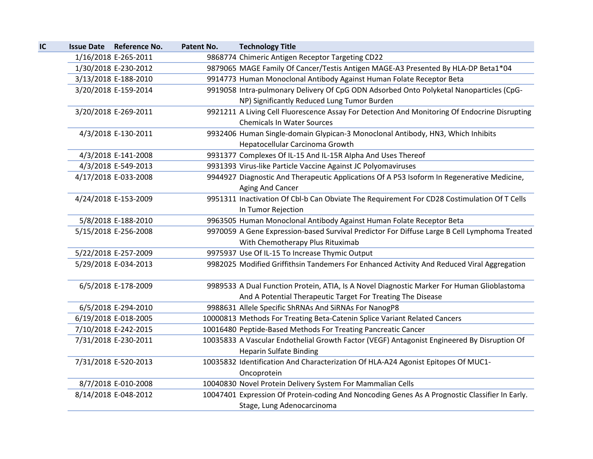| IC | Issue Date Reference No. | Patent No. | <b>Technology Title</b>                                                                        |
|----|--------------------------|------------|------------------------------------------------------------------------------------------------|
|    | 1/16/2018 E-265-2011     |            | 9868774 Chimeric Antigen Receptor Targeting CD22                                               |
|    | 1/30/2018 E-230-2012     |            | 9879065 MAGE Family Of Cancer/Testis Antigen MAGE-A3 Presented By HLA-DP Beta1*04              |
|    | 3/13/2018 E-188-2010     |            | 9914773 Human Monoclonal Antibody Against Human Folate Receptor Beta                           |
|    | 3/20/2018 E-159-2014     |            | 9919058 Intra-pulmonary Delivery Of CpG ODN Adsorbed Onto Polyketal Nanoparticles (CpG-        |
|    |                          |            | NP) Significantly Reduced Lung Tumor Burden                                                    |
|    | 3/20/2018 E-269-2011     |            | 9921211 A Living Cell Fluorescence Assay For Detection And Monitoring Of Endocrine Disrupting  |
|    |                          |            | <b>Chemicals In Water Sources</b>                                                              |
|    | 4/3/2018 E-130-2011      |            | 9932406 Human Single-domain Glypican-3 Monoclonal Antibody, HN3, Which Inhibits                |
|    |                          |            | Hepatocellular Carcinoma Growth                                                                |
|    | 4/3/2018 E-141-2008      |            | 9931377 Complexes Of IL-15 And IL-15R Alpha And Uses Thereof                                   |
|    | 4/3/2018 E-549-2013      |            | 9931393 Virus-like Particle Vaccine Against JC Polyomaviruses                                  |
|    | 4/17/2018 E-033-2008     |            | 9944927 Diagnostic And Therapeutic Applications Of A P53 Isoform In Regenerative Medicine,     |
|    |                          |            | Aging And Cancer                                                                               |
|    | 4/24/2018 E-153-2009     |            | 9951311 Inactivation Of Cbl-b Can Obviate The Requirement For CD28 Costimulation Of T Cells    |
|    |                          |            | In Tumor Rejection                                                                             |
|    | 5/8/2018 E-188-2010      |            | 9963505 Human Monoclonal Antibody Against Human Folate Receptor Beta                           |
|    | 5/15/2018 E-256-2008     |            | 9970059 A Gene Expression-based Survival Predictor For Diffuse Large B Cell Lymphoma Treated   |
|    |                          |            | With Chemotherapy Plus Rituximab                                                               |
|    | 5/22/2018 E-257-2009     |            | 9975937 Use Of IL-15 To Increase Thymic Output                                                 |
|    | 5/29/2018 E-034-2013     |            | 9982025 Modified Griffithsin Tandemers For Enhanced Activity And Reduced Viral Aggregation     |
|    |                          |            |                                                                                                |
|    | 6/5/2018 E-178-2009      |            | 9989533 A Dual Function Protein, ATIA, Is A Novel Diagnostic Marker For Human Glioblastoma     |
|    |                          |            | And A Potential Therapeutic Target For Treating The Disease                                    |
|    | 6/5/2018 E-294-2010      |            | 9988631 Allele Specific ShRNAs And SiRNAs For NanogP8                                          |
|    | 6/19/2018 E-018-2005     |            | 10000813 Methods For Treating Beta-Catenin Splice Variant Related Cancers                      |
|    | 7/10/2018 E-242-2015     |            | 10016480 Peptide-Based Methods For Treating Pancreatic Cancer                                  |
|    | 7/31/2018 E-230-2011     |            | 10035833 A Vascular Endothelial Growth Factor (VEGF) Antagonist Engineered By Disruption Of    |
|    |                          |            | <b>Heparin Sulfate Binding</b>                                                                 |
|    | 7/31/2018 E-520-2013     |            | 10035832 Identification And Characterization Of HLA-A24 Agonist Epitopes Of MUC1-              |
|    |                          |            | Oncoprotein                                                                                    |
|    | 8/7/2018 E-010-2008      |            | 10040830 Novel Protein Delivery System For Mammalian Cells                                     |
|    | 8/14/2018 E-048-2012     |            | 10047401 Expression Of Protein-coding And Noncoding Genes As A Prognostic Classifier In Early. |
|    |                          |            | Stage, Lung Adenocarcinoma                                                                     |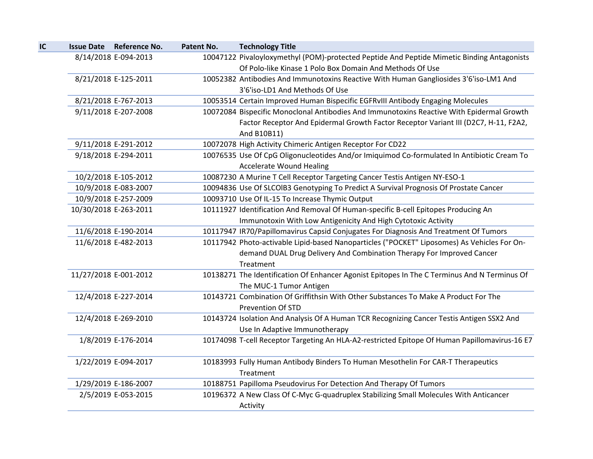| IC | <b>Issue Date Reference No.</b> | Patent No. | <b>Technology Title</b>                                                                       |
|----|---------------------------------|------------|-----------------------------------------------------------------------------------------------|
|    | 8/14/2018 E-094-2013            |            | 10047122 Pivaloyloxymethyl (POM)-protected Peptide And Peptide Mimetic Binding Antagonists    |
|    |                                 |            | Of Polo-like Kinase 1 Polo Box Domain And Methods Of Use                                      |
|    | 8/21/2018 E-125-2011            |            | 10052382 Antibodies And Immunotoxins Reactive With Human Gangliosides 3'6'iso-LM1 And         |
|    |                                 |            | 3'6'iso-LD1 And Methods Of Use                                                                |
|    | 8/21/2018 E-767-2013            |            | 10053514 Certain Improved Human Bispecific EGFRvIII Antibody Engaging Molecules               |
|    | 9/11/2018 E-207-2008            |            | 10072084 Bispecific Monoclonal Antibodies And Immunotoxins Reactive With Epidermal Growth     |
|    |                                 |            | Factor Receptor And Epidermal Growth Factor Receptor Variant III (D2C7, H-11, F2A2,           |
|    |                                 |            | And B10B11)                                                                                   |
|    | 9/11/2018 E-291-2012            |            | 10072078 High Activity Chimeric Antigen Receptor For CD22                                     |
|    | 9/18/2018 E-294-2011            |            | 10076535 Use Of CpG Oligonucleotides And/or Imiquimod Co-formulated In Antibiotic Cream To    |
|    |                                 |            | <b>Accelerate Wound Healing</b>                                                               |
|    | 10/2/2018 E-105-2012            |            | 10087230 A Murine T Cell Receptor Targeting Cancer Testis Antigen NY-ESO-1                    |
|    | 10/9/2018 E-083-2007            |            | 10094836 Use Of SLCOIB3 Genotyping To Predict A Survival Prognosis Of Prostate Cancer         |
|    | 10/9/2018 E-257-2009            |            | 10093710 Use Of IL-15 To Increase Thymic Output                                               |
|    | 10/30/2018 E-263-2011           |            | 10111927 Identification And Removal Of Human-specific B-cell Epitopes Producing An            |
|    |                                 |            | Immunotoxin With Low Antigenicity And High Cytotoxic Activity                                 |
|    | 11/6/2018 E-190-2014            |            | 10117947 IR70/Papillomavirus Capsid Conjugates For Diagnosis And Treatment Of Tumors          |
|    | 11/6/2018 E-482-2013            |            | 10117942 Photo-activable Lipid-based Nanoparticles ("POCKET" Liposomes) As Vehicles For On-   |
|    |                                 |            | demand DUAL Drug Delivery And Combination Therapy For Improved Cancer                         |
|    |                                 |            | Treatment                                                                                     |
|    | 11/27/2018 E-001-2012           |            | 10138271 The Identification Of Enhancer Agonist Epitopes In The C Terminus And N Terminus Of  |
|    |                                 |            | The MUC-1 Tumor Antigen                                                                       |
|    | 12/4/2018 E-227-2014            |            | 10143721 Combination Of Griffithsin With Other Substances To Make A Product For The           |
|    |                                 |            | Prevention Of STD                                                                             |
|    | 12/4/2018 E-269-2010            |            | 10143724 Isolation And Analysis Of A Human TCR Recognizing Cancer Testis Antigen SSX2 And     |
|    |                                 |            | Use In Adaptive Immunotherapy                                                                 |
|    | 1/8/2019 E-176-2014             |            | 10174098 T-cell Receptor Targeting An HLA-A2-restricted Epitope Of Human Papillomavirus-16 E7 |
|    |                                 |            |                                                                                               |
|    | 1/22/2019 E-094-2017            |            | 10183993 Fully Human Antibody Binders To Human Mesothelin For CAR-T Therapeutics              |
|    |                                 |            | Treatment                                                                                     |
|    | 1/29/2019 E-186-2007            |            | 10188751 Papilloma Pseudovirus For Detection And Therapy Of Tumors                            |
|    | 2/5/2019 E-053-2015             |            | 10196372 A New Class Of C-Myc G-quadruplex Stabilizing Small Molecules With Anticancer        |
|    |                                 |            | Activity                                                                                      |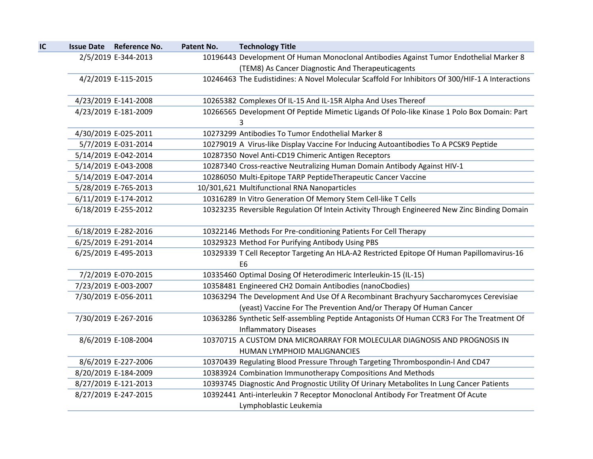| IC | <b>Issue Date Reference No.</b> | Patent No. | <b>Technology Title</b>                                                                          |
|----|---------------------------------|------------|--------------------------------------------------------------------------------------------------|
|    | 2/5/2019 E-344-2013             |            | 10196443 Development Of Human Monoclonal Antibodies Against Tumor Endothelial Marker 8           |
|    |                                 |            | (TEM8) As Cancer Diagnostic And Therapeuticagents                                                |
|    | 4/2/2019 E-115-2015             |            | 10246463 The Eudistidines: A Novel Molecular Scaffold For Inhibitors Of 300/HIF-1 A Interactions |
|    | 4/23/2019 E-141-2008            |            | 10265382 Complexes Of IL-15 And IL-15R Alpha And Uses Thereof                                    |
|    | 4/23/2019 E-181-2009            |            | 10266565 Development Of Peptide Mimetic Ligands Of Polo-like Kinase 1 Polo Box Domain: Part      |
|    | 4/30/2019 E-025-2011            |            | 3<br>10273299 Antibodies To Tumor Endothelial Marker 8                                           |
|    | 5/7/2019 E-031-2014             |            | 10279019 A Virus-like Display Vaccine For Inducing Autoantibodies To A PCSK9 Peptide             |
|    | 5/14/2019 E-042-2014            |            | 10287350 Novel Anti-CD19 Chimeric Antigen Receptors                                              |
|    | 5/14/2019 E-043-2008            |            | 10287340 Cross-reactive Neutralizing Human Domain Antibody Against HIV-1                         |
|    | 5/14/2019 E-047-2014            |            | 10286050 Multi-Epitope TARP PeptideTherapeutic Cancer Vaccine                                    |
|    | 5/28/2019 E-765-2013            |            | 10/301,621 Multifunctional RNA Nanoparticles                                                     |
|    | 6/11/2019 E-174-2012            |            | 10316289 In Vitro Generation Of Memory Stem Cell-like T Cells                                    |
|    | 6/18/2019 E-255-2012            |            | 10323235 Reversible Regulation Of Intein Activity Through Engineered New Zinc Binding Domain     |
|    | 6/18/2019 E-282-2016            |            | 10322146 Methods For Pre-conditioning Patients For Cell Therapy                                  |
|    | 6/25/2019 E-291-2014            |            | 10329323 Method For Purifying Antibody Using PBS                                                 |
|    | 6/25/2019 E-495-2013            |            | 10329339 T Cell Receptor Targeting An HLA-A2 Restricted Epitope Of Human Papillomavirus-16       |
|    |                                 |            | E <sub>6</sub>                                                                                   |
|    | 7/2/2019 E-070-2015             |            | 10335460 Optimal Dosing Of Heterodimeric Interleukin-15 (IL-15)                                  |
|    | 7/23/2019 E-003-2007            |            | 10358481 Engineered CH2 Domain Antibodies (nanoCbodies)                                          |
|    | 7/30/2019 E-056-2011            |            | 10363294 The Development And Use Of A Recombinant Brachyury Saccharomyces Cerevisiae             |
|    |                                 |            | (yeast) Vaccine For The Prevention And/or Therapy Of Human Cancer                                |
|    | 7/30/2019 E-267-2016            |            | 10363286 Synthetic Self-assembling Peptide Antagonists Of Human CCR3 For The Treatment Of        |
|    |                                 |            | <b>Inflammatory Diseases</b>                                                                     |
|    | 8/6/2019 E-108-2004             |            | 10370715 A CUSTOM DNA MICROARRAY FOR MOLECULAR DIAGNOSIS AND PROGNOSIS IN                        |
|    |                                 |            | HUMAN LYMPHOID MALIGNANCIES                                                                      |
|    | 8/6/2019 E-227-2006             |            | 10370439 Regulating Blood Pressure Through Targeting Thrombospondin-I And CD47                   |
|    | 8/20/2019 E-184-2009            |            | 10383924 Combination Immunotherapy Compositions And Methods                                      |
|    | 8/27/2019 E-121-2013            |            | 10393745 Diagnostic And Prognostic Utility Of Urinary Metabolites In Lung Cancer Patients        |
|    | 8/27/2019 E-247-2015            |            | 10392441 Anti-interleukin 7 Receptor Monoclonal Antibody For Treatment Of Acute                  |
|    |                                 |            | Lymphoblastic Leukemia                                                                           |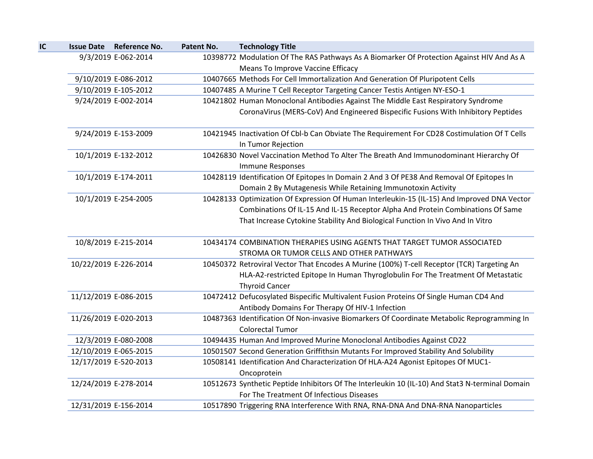| <b>Issue Date Reference No.</b> | Patent No. | <b>Technology Title</b>                                                                         |
|---------------------------------|------------|-------------------------------------------------------------------------------------------------|
| 9/3/2019 E-062-2014             |            | 10398772 Modulation Of The RAS Pathways As A Biomarker Of Protection Against HIV And As A       |
|                                 |            | Means To Improve Vaccine Efficacy                                                               |
| 9/10/2019 E-086-2012            |            | 10407665 Methods For Cell Immortalization And Generation Of Pluripotent Cells                   |
| 9/10/2019 E-105-2012            |            | 10407485 A Murine T Cell Receptor Targeting Cancer Testis Antigen NY-ESO-1                      |
| 9/24/2019 E-002-2014            |            | 10421802 Human Monoclonal Antibodies Against The Middle East Respiratory Syndrome               |
|                                 |            | CoronaVirus (MERS-CoV) And Engineered Bispecific Fusions With Inhibitory Peptides               |
| 9/24/2019 E-153-2009            |            | 10421945 Inactivation Of Cbl-b Can Obviate The Requirement For CD28 Costimulation Of T Cells    |
|                                 |            | In Tumor Rejection                                                                              |
| 10/1/2019 E-132-2012            |            | 10426830 Novel Vaccination Method To Alter The Breath And Immunodominant Hierarchy Of           |
|                                 |            | Immune Responses                                                                                |
| 10/1/2019 E-174-2011            |            | 10428119 Identification Of Epitopes In Domain 2 And 3 Of PE38 And Removal Of Epitopes In        |
|                                 |            | Domain 2 By Mutagenesis While Retaining Immunotoxin Activity                                    |
| 10/1/2019 E-254-2005            |            | 10428133 Optimization Of Expression Of Human Interleukin-15 (IL-15) And Improved DNA Vector     |
|                                 |            | Combinations Of IL-15 And IL-15 Receptor Alpha And Protein Combinations Of Same                 |
|                                 |            | That Increase Cytokine Stability And Biological Function In Vivo And In Vitro                   |
| 10/8/2019 E-215-2014            |            | 10434174 COMBINATION THERAPIES USING AGENTS THAT TARGET TUMOR ASSOCIATED                        |
|                                 |            | STROMA OR TUMOR CELLS AND OTHER PATHWAYS                                                        |
| 10/22/2019 E-226-2014           |            | 10450372 Retroviral Vector That Encodes A Murine (100%) T-cell Receptor (TCR) Targeting An      |
|                                 |            | HLA-A2-restricted Epitope In Human Thyroglobulin For The Treatment Of Metastatic                |
|                                 |            | <b>Thyroid Cancer</b>                                                                           |
| 11/12/2019 E-086-2015           |            | 10472412 Defucosylated Bispecific Multivalent Fusion Proteins Of Single Human CD4 And           |
|                                 |            | Antibody Domains For Therapy Of HIV-1 Infection                                                 |
| 11/26/2019 E-020-2013           |            | 10487363 Identification Of Non-invasive Biomarkers Of Coordinate Metabolic Reprogramming In     |
|                                 |            | <b>Colorectal Tumor</b>                                                                         |
| 12/3/2019 E-080-2008            |            | 10494435 Human And Improved Murine Monoclonal Antibodies Against CD22                           |
| 12/10/2019 E-065-2015           |            | 10501507 Second Generation Griffithsin Mutants For Improved Stability And Solubility            |
| 12/17/2019 E-520-2013           |            | 10508141 Identification And Characterization Of HLA-A24 Agonist Epitopes Of MUC1-               |
|                                 |            | Oncoprotein                                                                                     |
| 12/24/2019 E-278-2014           |            | 10512673 Synthetic Peptide Inhibitors Of The Interleukin 10 (IL-10) And Stat3 N-terminal Domain |
|                                 |            | For The Treatment Of Infectious Diseases                                                        |
| 12/31/2019 E-156-2014           |            | 10517890 Triggering RNA Interference With RNA, RNA-DNA And DNA-RNA Nanoparticles                |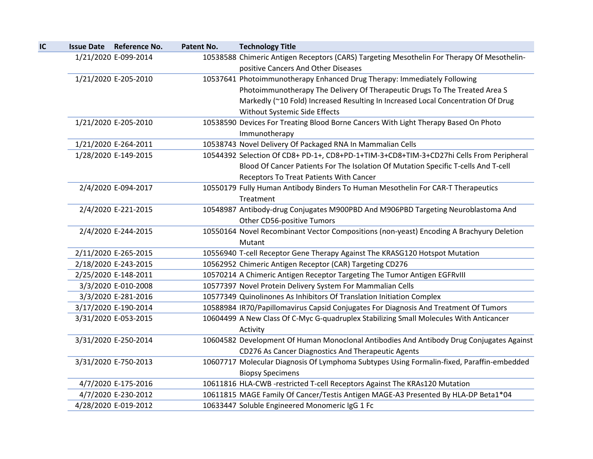| IC | <b>Issue Date Reference No.</b> | Patent No. | <b>Technology Title</b>                                                                    |
|----|---------------------------------|------------|--------------------------------------------------------------------------------------------|
|    | 1/21/2020 E-099-2014            |            | 10538588 Chimeric Antigen Receptors (CARS) Targeting Mesothelin For Therapy Of Mesothelin- |
|    |                                 |            | positive Cancers And Other Diseases                                                        |
|    | 1/21/2020 E-205-2010            |            | 10537641 Photoimmunotherapy Enhanced Drug Therapy: Immediately Following                   |
|    |                                 |            | Photoimmunotherapy The Delivery Of Therapeutic Drugs To The Treated Area S                 |
|    |                                 |            | Markedly (~10 Fold) Increased Resulting In Increased Local Concentration Of Drug           |
|    |                                 |            | Without Systemic Side Effects                                                              |
|    | 1/21/2020 E-205-2010            |            | 10538590 Devices For Treating Blood Borne Cancers With Light Therapy Based On Photo        |
|    |                                 |            | Immunotherapy                                                                              |
|    | 1/21/2020 E-264-2011            |            | 10538743 Novel Delivery Of Packaged RNA In Mammalian Cells                                 |
|    | 1/28/2020 E-149-2015            |            | 10544392 Selection Of CD8+ PD-1+, CD8+PD-1+TIM-3+CD8+TIM-3+CD27hi Cells From Peripheral    |
|    |                                 |            | Blood Of Cancer Patients For The Isolation Of Mutation Specific T-cells And T-cell         |
|    |                                 |            | Receptors To Treat Patients With Cancer                                                    |
|    | 2/4/2020 E-094-2017             |            | 10550179 Fully Human Antibody Binders To Human Mesothelin For CAR-T Therapeutics           |
|    |                                 |            | Treatment                                                                                  |
|    | 2/4/2020 E-221-2015             |            | 10548987 Antibody-drug Conjugates M900PBD And M906PBD Targeting Neuroblastoma And          |
|    |                                 |            | Other CD56-positive Tumors                                                                 |
|    | 2/4/2020 E-244-2015             |            | 10550164 Novel Recombinant Vector Compositions (non-yeast) Encoding A Brachyury Deletion   |
|    |                                 |            | Mutant                                                                                     |
|    | 2/11/2020 E-265-2015            |            | 10556940 T-cell Receptor Gene Therapy Against The KRASG120 Hotspot Mutation                |
|    | 2/18/2020 E-243-2015            |            | 10562952 Chimeric Antigen Receptor (CAR) Targeting CD276                                   |
|    | 2/25/2020 E-148-2011            |            | 10570214 A Chimeric Antigen Receptor Targeting The Tumor Antigen EGFRvIII                  |
|    | 3/3/2020 E-010-2008             |            | 10577397 Novel Protein Delivery System For Mammalian Cells                                 |
|    | 3/3/2020 E-281-2016             |            | 10577349 Quinolinones As Inhibitors Of Translation Initiation Complex                      |
|    | 3/17/2020 E-190-2014            |            | 10588984 IR70/Papillomavirus Capsid Conjugates For Diagnosis And Treatment Of Tumors       |
|    | 3/31/2020 E-053-2015            |            | 10604499 A New Class Of C-Myc G-quadruplex Stabilizing Small Molecules With Anticancer     |
|    |                                 |            | Activity                                                                                   |
|    | 3/31/2020 E-250-2014            |            | 10604582 Development Of Human Monoclonal Antibodies And Antibody Drug Conjugates Against   |
|    |                                 |            | CD276 As Cancer Diagnostics And Therapeutic Agents                                         |
|    | 3/31/2020 E-750-2013            |            | 10607717 Molecular Diagnosis Of Lymphoma Subtypes Using Formalin-fixed, Paraffin-embedded  |
|    |                                 |            | <b>Biopsy Specimens</b>                                                                    |
|    | 4/7/2020 E-175-2016             |            | 10611816 HLA-CWB -restricted T-cell Receptors Against The KRAs120 Mutation                 |
|    | 4/7/2020 E-230-2012             |            | 10611815 MAGE Family Of Cancer/Testis Antigen MAGE-A3 Presented By HLA-DP Beta1*04         |
|    | 4/28/2020 E-019-2012            |            | 10633447 Soluble Engineered Monomeric IgG 1 Fc                                             |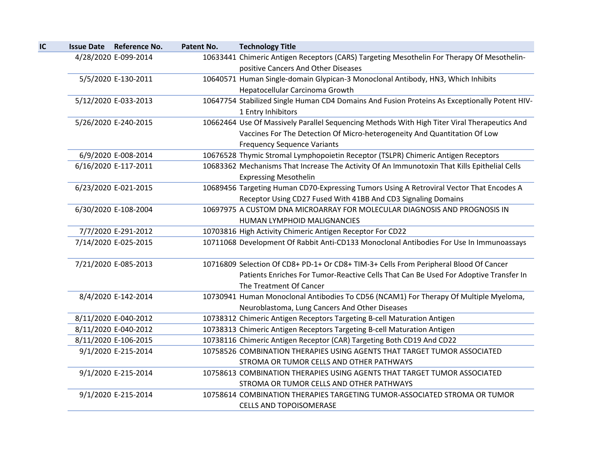| IC | <b>Issue Date</b><br><b>Reference No.</b> | Patent No. | <b>Technology Title</b>                                                                       |
|----|-------------------------------------------|------------|-----------------------------------------------------------------------------------------------|
|    | 4/28/2020 E-099-2014                      |            | 10633441 Chimeric Antigen Receptors (CARS) Targeting Mesothelin For Therapy Of Mesothelin-    |
|    |                                           |            | positive Cancers And Other Diseases                                                           |
|    | 5/5/2020 E-130-2011                       |            | 10640571 Human Single-domain Glypican-3 Monoclonal Antibody, HN3, Which Inhibits              |
|    |                                           |            | Hepatocellular Carcinoma Growth                                                               |
|    | 5/12/2020 E-033-2013                      |            | 10647754 Stabilized Single Human CD4 Domains And Fusion Proteins As Exceptionally Potent HIV- |
|    |                                           |            | 1 Entry Inhibitors                                                                            |
|    | 5/26/2020 E-240-2015                      |            | 10662464 Use Of Massively Parallel Sequencing Methods With High Titer Viral Therapeutics And  |
|    |                                           |            | Vaccines For The Detection Of Micro-heterogeneity And Quantitation Of Low                     |
|    |                                           |            | <b>Frequency Sequence Variants</b>                                                            |
|    | 6/9/2020 E-008-2014                       |            | 10676528 Thymic Stromal Lymphopoietin Receptor (TSLPR) Chimeric Antigen Receptors             |
|    | 6/16/2020 E-117-2011                      |            | 10683362 Mechanisms That Increase The Activity Of An Immunotoxin That Kills Epithelial Cells  |
|    |                                           |            | <b>Expressing Mesothelin</b>                                                                  |
|    | 6/23/2020 E-021-2015                      |            | 10689456 Targeting Human CD70-Expressing Tumors Using A Retroviral Vector That Encodes A      |
|    |                                           |            | Receptor Using CD27 Fused With 41BB And CD3 Signaling Domains                                 |
|    | 6/30/2020 E-108-2004                      |            | 10697975 A CUSTOM DNA MICROARRAY FOR MOLECULAR DIAGNOSIS AND PROGNOSIS IN                     |
|    |                                           |            | HUMAN LYMPHOID MALIGNANCIES                                                                   |
|    | 7/7/2020 E-291-2012                       |            | 10703816 High Activity Chimeric Antigen Receptor For CD22                                     |
|    | 7/14/2020 E-025-2015                      |            | 10711068 Development Of Rabbit Anti-CD133 Monoclonal Antibodies For Use In Immunoassays       |
|    |                                           |            |                                                                                               |
|    | 7/21/2020 E-085-2013                      |            | 10716809 Selection Of CD8+ PD-1+ Or CD8+ TIM-3+ Cells From Peripheral Blood Of Cancer         |
|    |                                           |            | Patients Enriches For Tumor-Reactive Cells That Can Be Used For Adoptive Transfer In          |
|    |                                           |            | The Treatment Of Cancer                                                                       |
|    | 8/4/2020 E-142-2014                       |            | 10730941 Human Monoclonal Antibodies To CD56 (NCAM1) For Therapy Of Multiple Myeloma,         |
|    |                                           |            | Neuroblastoma, Lung Cancers And Other Diseases                                                |
|    | 8/11/2020 E-040-2012                      |            | 10738312 Chimeric Antigen Receptors Targeting B-cell Maturation Antigen                       |
|    | 8/11/2020 E-040-2012                      |            | 10738313 Chimeric Antigen Receptors Targeting B-cell Maturation Antigen                       |
|    | 8/11/2020 E-106-2015                      |            | 10738116 Chimeric Antigen Receptor (CAR) Targeting Both CD19 And CD22                         |
|    | 9/1/2020 E-215-2014                       |            | 10758526 COMBINATION THERAPIES USING AGENTS THAT TARGET TUMOR ASSOCIATED                      |
|    |                                           |            | STROMA OR TUMOR CELLS AND OTHER PATHWAYS                                                      |
|    | 9/1/2020 E-215-2014                       |            | 10758613 COMBINATION THERAPIES USING AGENTS THAT TARGET TUMOR ASSOCIATED                      |
|    |                                           |            | STROMA OR TUMOR CELLS AND OTHER PATHWAYS                                                      |
|    | 9/1/2020 E-215-2014                       |            | 10758614 COMBINATION THERAPIES TARGETING TUMOR-ASSOCIATED STROMA OR TUMOR                     |
|    |                                           |            | <b>CELLS AND TOPOISOMERASE</b>                                                                |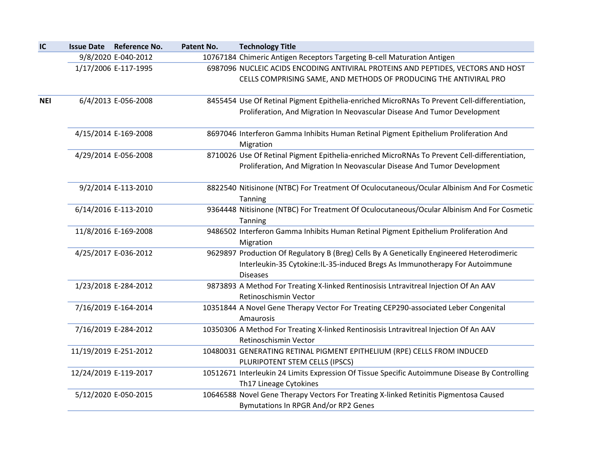| IC  |                       | <b>Issue Date Reference No.</b> | Patent No. | <b>Technology Title</b>                                                                                                                                                                     |
|-----|-----------------------|---------------------------------|------------|---------------------------------------------------------------------------------------------------------------------------------------------------------------------------------------------|
|     |                       | 9/8/2020 E-040-2012             |            | 10767184 Chimeric Antigen Receptors Targeting B-cell Maturation Antigen                                                                                                                     |
|     |                       | 1/17/2006 E-117-1995            |            | 6987096 NUCLEIC ACIDS ENCODING ANTIVIRAL PROTEINS AND PEPTIDES, VECTORS AND HOST                                                                                                            |
|     |                       |                                 |            | CELLS COMPRISING SAME, AND METHODS OF PRODUCING THE ANTIVIRAL PRO                                                                                                                           |
| NEI |                       | 6/4/2013 E-056-2008             |            | 8455454 Use Of Retinal Pigment Epithelia-enriched MicroRNAs To Prevent Cell-differentiation,<br>Proliferation, And Migration In Neovascular Disease And Tumor Development                   |
|     |                       | 4/15/2014 E-169-2008            |            | 8697046 Interferon Gamma Inhibits Human Retinal Pigment Epithelium Proliferation And<br>Migration                                                                                           |
|     |                       | 4/29/2014 E-056-2008            |            | 8710026 Use Of Retinal Pigment Epithelia-enriched MicroRNAs To Prevent Cell-differentiation,                                                                                                |
|     |                       |                                 |            | Proliferation, And Migration In Neovascular Disease And Tumor Development                                                                                                                   |
|     |                       | 9/2/2014 E-113-2010             |            | 8822540 Nitisinone (NTBC) For Treatment Of Oculocutaneous/Ocular Albinism And For Cosmetic<br>Tanning                                                                                       |
|     |                       | 6/14/2016 E-113-2010            |            | 9364448 Nitisinone (NTBC) For Treatment Of Oculocutaneous/Ocular Albinism And For Cosmetic<br>Tanning                                                                                       |
|     |                       | 11/8/2016 E-169-2008            |            | 9486502 Interferon Gamma Inhibits Human Retinal Pigment Epithelium Proliferation And<br>Migration                                                                                           |
|     |                       | 4/25/2017 E-036-2012            |            | 9629897 Production Of Regulatory B (Breg) Cells By A Genetically Engineered Heterodimeric<br>Interleukin-35 Cytokine:IL-35-induced Bregs As Immunotherapy For Autoimmune<br><b>Diseases</b> |
|     |                       | 1/23/2018 E-284-2012            |            | 9873893 A Method For Treating X-linked Rentinosisis Lntravitreal Injection Of An AAV<br>Retinoschismin Vector                                                                               |
|     |                       | 7/16/2019 E-164-2014            |            | 10351844 A Novel Gene Therapy Vector For Treating CEP290-associated Leber Congenital<br>Amaurosis                                                                                           |
|     |                       | 7/16/2019 E-284-2012            |            | 10350306 A Method For Treating X-linked Rentinosisis Lntravitreal Injection Of An AAV<br>Retinoschismin Vector                                                                              |
|     | 11/19/2019 E-251-2012 |                                 |            | 10480031 GENERATING RETINAL PIGMENT EPITHELIUM (RPE) CELLS FROM INDUCED<br>PLURIPOTENT STEM CELLS (IPSCS)                                                                                   |
|     | 12/24/2019 E-119-2017 |                                 |            | 10512671 Interleukin 24 Limits Expression Of Tissue Specific Autoimmune Disease By Controlling<br>Th17 Lineage Cytokines                                                                    |
|     |                       | 5/12/2020 E-050-2015            |            | 10646588 Novel Gene Therapy Vectors For Treating X-linked Retinitis Pigmentosa Caused<br>Bymutations In RPGR And/or RP2 Genes                                                               |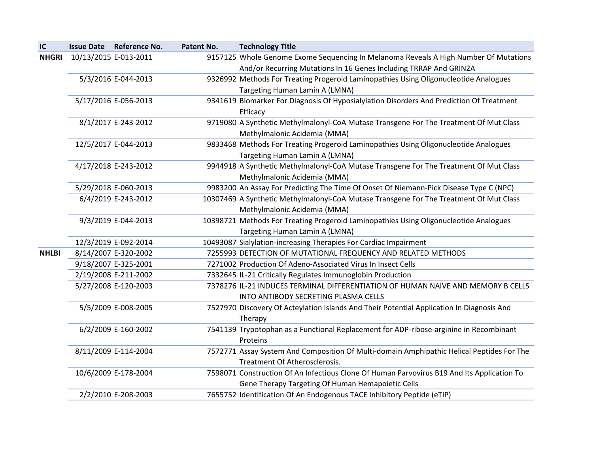| IC           |                       | <b>Issue Date Reference No.</b> | Patent No. | <b>Technology Title</b>                                                                    |
|--------------|-----------------------|---------------------------------|------------|--------------------------------------------------------------------------------------------|
| <b>NHGRI</b> | 10/13/2015 E-013-2011 |                                 |            | 9157125 Whole Genome Exome Sequencing In Melanoma Reveals A High Number Of Mutations       |
|              |                       |                                 |            | And/or Recurring Mutations In 16 Genes Including TRRAP And GRIN2A                          |
|              |                       | 5/3/2016 E-044-2013             |            | 9326992 Methods For Treating Progeroid Laminopathies Using Oligonucleotide Analogues       |
|              |                       |                                 |            | Targeting Human Lamin A (LMNA)                                                             |
|              |                       | 5/17/2016 E-056-2013            |            | 9341619 Biomarker For Diagnosis Of Hyposialylation Disorders And Prediction Of Treatment   |
|              |                       |                                 |            | Efficacy                                                                                   |
|              |                       | 8/1/2017 E-243-2012             |            | 9719080 A Synthetic Methylmalonyl-CoA Mutase Transgene For The Treatment Of Mut Class      |
|              |                       |                                 |            | Methylmalonic Acidemia (MMA)                                                               |
|              |                       | 12/5/2017 E-044-2013            |            | 9833468 Methods For Treating Progeroid Laminopathies Using Oligonucleotide Analogues       |
|              |                       |                                 |            | Targeting Human Lamin A (LMNA)                                                             |
|              |                       | 4/17/2018 E-243-2012            |            | 9944918 A Synthetic Methylmalonyl-CoA Mutase Transgene For The Treatment Of Mut Class      |
|              |                       |                                 |            | Methylmalonic Acidemia (MMA)                                                               |
|              |                       | 5/29/2018 E-060-2013            |            | 9983200 An Assay For Predicting The Time Of Onset Of Niemann-Pick Disease Type C (NPC)     |
|              |                       | 6/4/2019 E-243-2012             |            | 10307469 A Synthetic Methylmalonyl-CoA Mutase Transgene For The Treatment Of Mut Class     |
|              |                       |                                 |            | Methylmalonic Acidemia (MMA)                                                               |
|              |                       | 9/3/2019 E-044-2013             |            | 10398721 Methods For Treating Progeroid Laminopathies Using Oligonucleotide Analogues      |
|              |                       |                                 |            | Targeting Human Lamin A (LMNA)                                                             |
|              |                       | 12/3/2019 E-092-2014            |            | 10493087 Sialylation-increasing Therapies For Cardiac Impairment                           |
| <b>NHLBI</b> |                       | 8/14/2007 E-320-2002            |            | 7255993 DETECTION OF MUTATIONAL FREQUENCY AND RELATED METHODS                              |
|              |                       | 9/18/2007 E-325-2001            |            | 7271002 Production Of Adeno-Associated Virus In Insect Cells                               |
|              |                       | 2/19/2008 E-211-2002            |            | 7332645 IL-21 Critically Regulates Immunoglobin Production                                 |
|              |                       | 5/27/2008 E-120-2003            |            | 7378276 IL-21 INDUCES TERMINAL DIFFERENTIATION OF HUMAN NAIVE AND MEMORY B CELLS           |
|              |                       |                                 |            | INTO ANTIBODY SECRETING PLASMA CELLS                                                       |
|              |                       | 5/5/2009 E-008-2005             |            | 7527970 Discovery Of Acteylation Islands And Their Potential Application In Diagnosis And  |
|              |                       |                                 |            | Therapy                                                                                    |
|              |                       | 6/2/2009 E-160-2002             |            | 7541139 Trypotophan as a Functional Replacement for ADP-ribose-arginine in Recombinant     |
|              |                       |                                 |            | Proteins                                                                                   |
|              |                       | 8/11/2009 E-114-2004            |            | 7572771 Assay System And Composition Of Multi-domain Amphipathic Helical Peptides For The  |
|              |                       |                                 |            | Treatment Of Atherosclerosis.                                                              |
|              |                       | 10/6/2009 E-178-2004            |            | 7598071 Construction Of An Infectious Clone Of Human Parvovirus B19 And Its Application To |
|              |                       |                                 |            | Gene Therapy Targeting Of Human Hemapoietic Cells                                          |
|              |                       | 2/2/2010 E-208-2003             |            | 7655752 Identification Of An Endogenous TACE Inhibitory Peptide (eTIP)                     |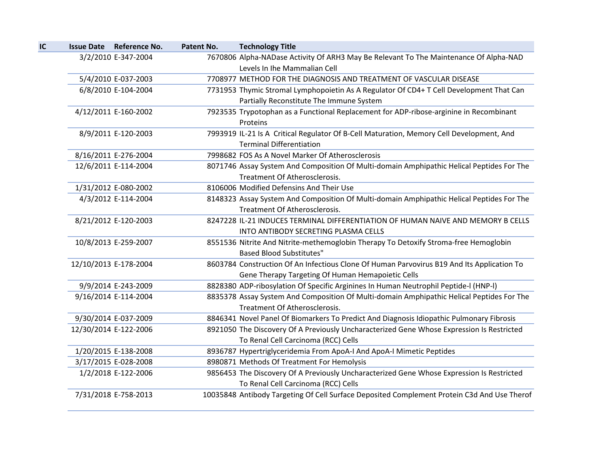| IC | <b>Issue Date</b> | Reference No.         | <b>Patent No.</b> | <b>Technology Title</b>                                                                                                     |
|----|-------------------|-----------------------|-------------------|-----------------------------------------------------------------------------------------------------------------------------|
|    |                   | 3/2/2010 E-347-2004   |                   | 7670806 Alpha-NADase Activity Of ARH3 May Be Relevant To The Maintenance Of Alpha-NAD                                       |
|    |                   |                       |                   | Levels In Ihe Mammalian Cell                                                                                                |
|    |                   | 5/4/2010 E-037-2003   |                   | 7708977 METHOD FOR THE DIAGNOSIS AND TREATMENT OF VASCULAR DISEASE                                                          |
|    |                   | 6/8/2010 E-104-2004   |                   | 7731953 Thymic Stromal Lymphopoietin As A Regulator Of CD4+ T Cell Development That Can                                     |
|    |                   |                       |                   | Partially Reconstitute The Immune System                                                                                    |
|    |                   | 4/12/2011 E-160-2002  |                   | 7923535 Trypotophan as a Functional Replacement for ADP-ribose-arginine in Recombinant<br>Proteins                          |
|    |                   | 8/9/2011 E-120-2003   |                   | 7993919 IL-21 Is A Critical Regulator Of B-Cell Maturation, Memory Cell Development, And<br><b>Terminal Differentiation</b> |
|    |                   | 8/16/2011 E-276-2004  |                   | 7998682 FOS As A Novel Marker Of Atherosclerosis                                                                            |
|    |                   | 12/6/2011 E-114-2004  |                   | 8071746 Assay System And Composition Of Multi-domain Amphipathic Helical Peptides For The                                   |
|    |                   |                       |                   | Treatment Of Atherosclerosis.                                                                                               |
|    |                   | 1/31/2012 E-080-2002  |                   | 8106006 Modified Defensins And Their Use                                                                                    |
|    |                   | 4/3/2012 E-114-2004   |                   | 8148323 Assay System And Composition Of Multi-domain Amphipathic Helical Peptides For The                                   |
|    |                   |                       |                   | Treatment Of Atherosclerosis.                                                                                               |
|    |                   | 8/21/2012 E-120-2003  |                   | 8247228 IL-21 INDUCES TERMINAL DIFFERENTIATION OF HUMAN NAIVE AND MEMORY B CELLS                                            |
|    |                   |                       |                   | INTO ANTIBODY SECRETING PLASMA CELLS                                                                                        |
|    |                   | 10/8/2013 E-259-2007  |                   | 8551536 Nitrite And Nitrite-methemoglobin Therapy To Detoxify Stroma-free Hemoglobin                                        |
|    |                   |                       |                   | <b>Based Blood Substitutes"</b>                                                                                             |
|    |                   | 12/10/2013 E-178-2004 |                   | 8603784 Construction Of An Infectious Clone Of Human Parvovirus B19 And Its Application To                                  |
|    |                   |                       |                   | Gene Therapy Targeting Of Human Hemapoietic Cells                                                                           |
|    |                   | 9/9/2014 E-243-2009   |                   | 8828380 ADP-ribosylation Of Specific Arginines In Human Neutrophil Peptide-I (HNP-I)                                        |
|    |                   | 9/16/2014 E-114-2004  |                   | 8835378 Assay System And Composition Of Multi-domain Amphipathic Helical Peptides For The                                   |
|    |                   |                       |                   | Treatment Of Atherosclerosis.                                                                                               |
|    |                   | 9/30/2014 E-037-2009  |                   | 8846341 Novel Panel Of Biomarkers To Predict And Diagnosis Idiopathic Pulmonary Fibrosis                                    |
|    |                   | 12/30/2014 E-122-2006 |                   | 8921050 The Discovery Of A Previously Uncharacterized Gene Whose Expression Is Restricted                                   |
|    |                   |                       |                   | To Renal Cell Carcinoma (RCC) Cells                                                                                         |
|    |                   | 1/20/2015 E-138-2008  |                   | 8936787 Hypertriglyceridemia From ApoA-I And ApoA-I Mimetic Peptides                                                        |
|    |                   | 3/17/2015 E-028-2008  |                   | 8980871 Methods Of Treatment For Hemolysis                                                                                  |
|    |                   | 1/2/2018 E-122-2006   |                   | 9856453 The Discovery Of A Previously Uncharacterized Gene Whose Expression Is Restricted                                   |
|    |                   |                       |                   | To Renal Cell Carcinoma (RCC) Cells                                                                                         |
|    |                   | 7/31/2018 E-758-2013  |                   | 10035848 Antibody Targeting Of Cell Surface Deposited Complement Protein C3d And Use Therof                                 |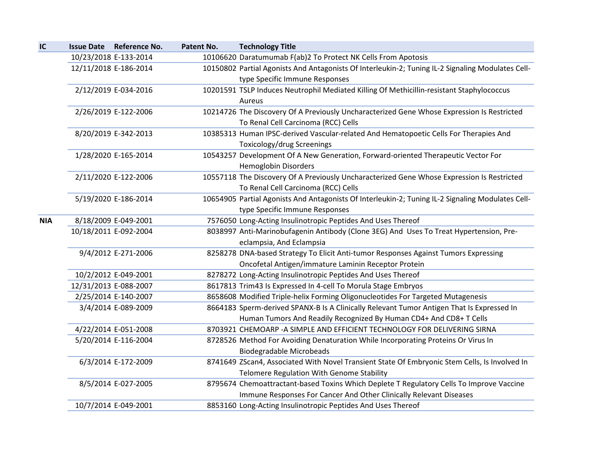| IC         | Issue Date Reference No. | Patent No. | <b>Technology Title</b>                                                                           |
|------------|--------------------------|------------|---------------------------------------------------------------------------------------------------|
|            | 10/23/2018 E-133-2014    |            | 10106620 Daratumumab F(ab)2 To Protect NK Cells From Apotosis                                     |
|            | 12/11/2018 E-186-2014    |            | 10150802 Partial Agonists And Antagonists Of Interleukin-2; Tuning IL-2 Signaling Modulates Cell- |
|            |                          |            | type Specific Immune Responses                                                                    |
|            | 2/12/2019 E-034-2016     |            | 10201591 TSLP Induces Neutrophil Mediated Killing Of Methicillin-resistant Staphylococcus         |
|            |                          |            | Aureus                                                                                            |
|            | 2/26/2019 E-122-2006     |            | 10214726 The Discovery Of A Previously Uncharacterized Gene Whose Expression Is Restricted        |
|            |                          |            | To Renal Cell Carcinoma (RCC) Cells                                                               |
|            | 8/20/2019 E-342-2013     |            | 10385313 Human IPSC-derived Vascular-related And Hematopoetic Cells For Therapies And             |
|            |                          |            | Toxicology/drug Screenings                                                                        |
|            | 1/28/2020 E-165-2014     |            | 10543257 Development Of A New Generation, Forward-oriented Therapeutic Vector For                 |
|            |                          |            | <b>Hemoglobin Disorders</b>                                                                       |
|            | 2/11/2020 E-122-2006     |            | 10557118 The Discovery Of A Previously Uncharacterized Gene Whose Expression Is Restricted        |
|            |                          |            | To Renal Cell Carcinoma (RCC) Cells                                                               |
|            | 5/19/2020 E-186-2014     |            | 10654905 Partial Agonists And Antagonists Of Interleukin-2; Tuning IL-2 Signaling Modulates Cell- |
|            |                          |            | type Specific Immune Responses                                                                    |
| <b>NIA</b> | 8/18/2009 E-049-2001     |            | 7576050 Long-Acting Insulinotropic Peptides And Uses Thereof                                      |
|            | 10/18/2011 E-092-2004    |            | 8038997 Anti-Marinobufagenin Antibody (Clone 3EG) And Uses To Treat Hypertension, Pre-            |
|            |                          |            | eclampsia, And Eclampsia                                                                          |
|            | 9/4/2012 E-271-2006      |            | 8258278 DNA-based Strategy To Elicit Anti-tumor Responses Against Tumors Expressing               |
|            |                          |            | Oncofetal Antigen/immature Laminin Receptor Protein                                               |
|            | 10/2/2012 E-049-2001     |            | 8278272 Long-Acting Insulinotropic Peptides And Uses Thereof                                      |
|            | 12/31/2013 E-088-2007    |            | 8617813 Trim43 Is Expressed In 4-cell To Morula Stage Embryos                                     |
|            | 2/25/2014 E-140-2007     |            | 8658608 Modified Triple-helix Forming Oligonucleotides For Targeted Mutagenesis                   |
|            | 3/4/2014 E-089-2009      |            | 8664183 Sperm-derived SPANX-B Is A Clinically Relevant Tumor Antigen That Is Expressed In         |
|            |                          |            | Human Tumors And Readily Recognized By Human CD4+ And CD8+ T Cells                                |
|            | 4/22/2014 E-051-2008     |            | 8703921 CHEMOARP -A SIMPLE AND EFFICIENT TECHNOLOGY FOR DELIVERING SIRNA                          |
|            | 5/20/2014 E-116-2004     |            | 8728526 Method For Avoiding Denaturation While Incorporating Proteins Or Virus In                 |
|            |                          |            | <b>Biodegradable Microbeads</b>                                                                   |
|            | 6/3/2014 E-172-2009      |            | 8741649 ZScan4, Associated With Novel Transient State Of Embryonic Stem Cells, Is Involved In     |
|            |                          |            | Telomere Regulation With Genome Stability                                                         |
|            | 8/5/2014 E-027-2005      |            | 8795674 Chemoattractant-based Toxins Which Deplete T Regulatory Cells To Improve Vaccine          |
|            |                          |            | Immune Responses For Cancer And Other Clinically Relevant Diseases                                |
|            | 10/7/2014 E-049-2001     |            | 8853160 Long-Acting Insulinotropic Peptides And Uses Thereof                                      |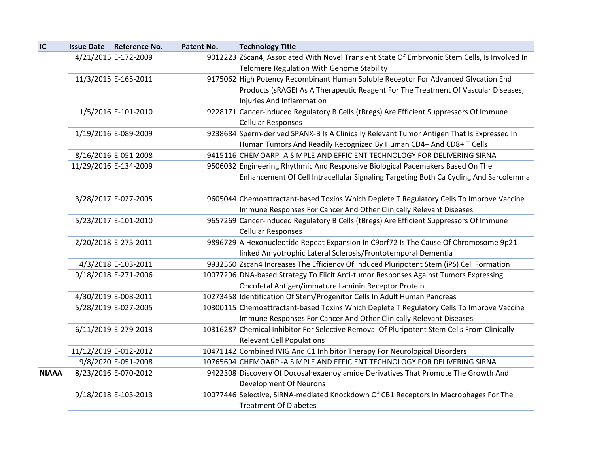| IC           | <b>Issue Date Reference No.</b> | Patent No. | <b>Technology Title</b>                                                                                                                                         |
|--------------|---------------------------------|------------|-----------------------------------------------------------------------------------------------------------------------------------------------------------------|
|              | 4/21/2015 E-172-2009            |            | 9012223 ZScan4, Associated With Novel Transient State Of Embryonic Stem Cells, Is Involved In<br>Telomere Regulation With Genome Stability                      |
|              | 11/3/2015 E-165-2011            |            | 9175062 High Potency Recombinant Human Soluble Receptor For Advanced Glycation End                                                                              |
|              |                                 |            | Products (sRAGE) As A Therapeutic Reagent For The Treatment Of Vascular Diseases,                                                                               |
|              |                                 |            | Injuries And Inflammation                                                                                                                                       |
|              | 1/5/2016 E-101-2010             |            | 9228171 Cancer-induced Regulatory B Cells (tBregs) Are Efficient Suppressors Of Immune                                                                          |
|              |                                 |            | <b>Cellular Responses</b>                                                                                                                                       |
|              | 1/19/2016 E-089-2009            |            | 9238684 Sperm-derived SPANX-B Is A Clinically Relevant Tumor Antigen That Is Expressed In<br>Human Tumors And Readily Recognized By Human CD4+ And CD8+ T Cells |
|              | 8/16/2016 E-051-2008            |            | 9415116 CHEMOARP -A SIMPLE AND EFFICIENT TECHNOLOGY FOR DELIVERING SIRNA                                                                                        |
|              | 11/29/2016 E-134-2009           |            | 9506032 Engineering Rhythmic And Responsive Biological Pacemakers Based On The                                                                                  |
|              |                                 |            |                                                                                                                                                                 |
|              |                                 |            | Enhancement Of Cell Intracellular Signaling Targeting Both Ca Cycling And Sarcolemma                                                                            |
|              | 3/28/2017 E-027-2005            |            | 9605044 Chemoattractant-based Toxins Which Deplete T Regulatory Cells To Improve Vaccine                                                                        |
|              |                                 |            | Immune Responses For Cancer And Other Clinically Relevant Diseases                                                                                              |
|              | 5/23/2017 E-101-2010            |            | 9657269 Cancer-induced Regulatory B Cells (tBregs) Are Efficient Suppressors Of Immune<br><b>Cellular Responses</b>                                             |
|              | 2/20/2018 E-275-2011            |            | 9896729 A Hexonucleotide Repeat Expansion In C9orf72 Is The Cause Of Chromosome 9p21-                                                                           |
|              |                                 |            | linked Amyotrophic Lateral Sclerosis/Frontotemporal Dementia                                                                                                    |
|              | 4/3/2018 E-103-2011             |            | 9932560 Zscan4 Increases The Efficiency Of Induced Pluripotent Stem (iPS) Cell Formation                                                                        |
|              | 9/18/2018 E-271-2006            |            | 10077296 DNA-based Strategy To Elicit Anti-tumor Responses Against Tumors Expressing                                                                            |
|              |                                 |            | Oncofetal Antigen/immature Laminin Receptor Protein                                                                                                             |
|              | 4/30/2019 E-008-2011            |            | 10273458 Identification Of Stem/Progenitor Cells In Adult Human Pancreas                                                                                        |
|              | 5/28/2019 E-027-2005            |            | 10300115 Chemoattractant-based Toxins Which Deplete T Regulatory Cells To Improve Vaccine                                                                       |
|              |                                 |            | Immune Responses For Cancer And Other Clinically Relevant Diseases                                                                                              |
|              | 6/11/2019 E-279-2013            |            | 10316287 Chemical Inhibitor For Selective Removal Of Pluripotent Stem Cells From Clinically                                                                     |
|              |                                 |            | <b>Relevant Cell Populations</b>                                                                                                                                |
|              | 11/12/2019 E-012-2012           |            | 10471142 Combined IVIG And C1 Inhibitor Therapy For Neurological Disorders                                                                                      |
|              | 9/8/2020 E-051-2008             |            | 10765694 CHEMOARP -A SIMPLE AND EFFICIENT TECHNOLOGY FOR DELIVERING SIRNA                                                                                       |
| <b>NIAAA</b> | 8/23/2016 E-070-2012            |            | 9422308 Discovery Of Docosahexaenoylamide Derivatives That Promote The Growth And                                                                               |
|              |                                 |            | <b>Development Of Neurons</b>                                                                                                                                   |
|              | 9/18/2018 E-103-2013            |            | 10077446 Selective, SiRNA-mediated Knockdown Of CB1 Receptors In Macrophages For The                                                                            |
|              |                                 |            | <b>Treatment Of Diabetes</b>                                                                                                                                    |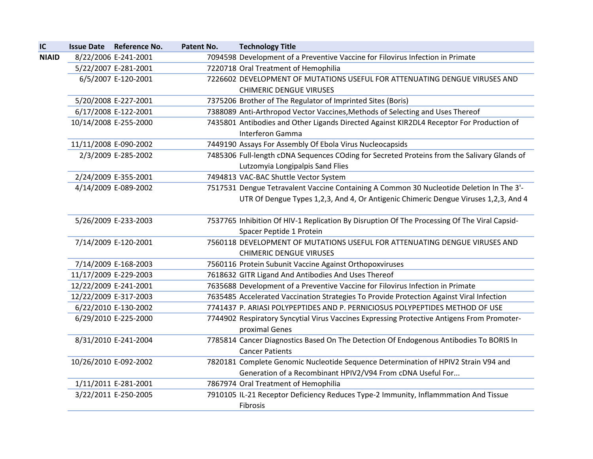| IC           |                       | Issue Date Reference No. | Patent No. | <b>Technology Title</b>                                                                      |
|--------------|-----------------------|--------------------------|------------|----------------------------------------------------------------------------------------------|
| <b>NIAID</b> |                       | 8/22/2006 E-241-2001     |            | 7094598 Development of a Preventive Vaccine for Filovirus Infection in Primate               |
|              |                       | 5/22/2007 E-281-2001     |            | 7220718 Oral Treatment of Hemophilia                                                         |
|              |                       | 6/5/2007 E-120-2001      |            | 7226602 DEVELOPMENT OF MUTATIONS USEFUL FOR ATTENUATING DENGUE VIRUSES AND                   |
|              |                       |                          |            | <b>CHIMERIC DENGUE VIRUSES</b>                                                               |
|              |                       | 5/20/2008 E-227-2001     |            | 7375206 Brother of The Regulator of Imprinted Sites (Boris)                                  |
|              |                       | 6/17/2008 E-122-2001     |            | 7388089 Anti-Arthropod Vector Vaccines, Methods of Selecting and Uses Thereof                |
|              | 10/14/2008 E-255-2000 |                          |            | 7435801 Antibodies and Other Ligands Directed Against KIR2DL4 Receptor For Production of     |
|              |                       |                          |            | Interferon Gamma                                                                             |
|              | 11/11/2008 E-090-2002 |                          |            | 7449190 Assays For Assembly Of Ebola Virus Nucleocapsids                                     |
|              |                       | 2/3/2009 E-285-2002      |            | 7485306 Full-length cDNA Sequences COding for Secreted Proteins from the Salivary Glands of  |
|              |                       |                          |            | Lutzomyia Longipalpis Sand Flies                                                             |
|              |                       | 2/24/2009 E-355-2001     |            | 7494813 VAC-BAC Shuttle Vector System                                                        |
|              |                       | 4/14/2009 E-089-2002     |            | 7517531 Dengue Tetravalent Vaccine Containing A Common 30 Nucleotide Deletion In The 3'-     |
|              |                       |                          |            | UTR Of Dengue Types 1,2,3, And 4, Or Antigenic Chimeric Dengue Viruses 1,2,3, And 4          |
|              |                       |                          |            |                                                                                              |
|              |                       | 5/26/2009 E-233-2003     |            | 7537765 Inhibition Of HIV-1 Replication By Disruption Of The Processing Of The Viral Capsid- |
|              |                       |                          |            | Spacer Peptide 1 Protein                                                                     |
|              |                       | 7/14/2009 E-120-2001     |            | 7560118 DEVELOPMENT OF MUTATIONS USEFUL FOR ATTENUATING DENGUE VIRUSES AND                   |
|              |                       |                          |            | <b>CHIMERIC DENGUE VIRUSES</b>                                                               |
|              |                       | 7/14/2009 E-168-2003     |            | 7560116 Protein Subunit Vaccine Against Orthopoxviruses                                      |
|              | 11/17/2009 E-229-2003 |                          |            | 7618632 GITR Ligand And Antibodies And Uses Thereof                                          |
|              | 12/22/2009 E-241-2001 |                          |            | 7635688 Development of a Preventive Vaccine for Filovirus Infection in Primate               |
|              | 12/22/2009 E-317-2003 |                          |            | 7635485 Accelerated Vaccination Strategies To Provide Protection Against Viral Infection     |
|              |                       | 6/22/2010 E-130-2002     |            | 7741437 P. ARIASI POLYPEPTIDES AND P. PERNICIOSUS POLYPEPTIDES METHOD OF USE                 |
|              |                       | 6/29/2010 E-225-2000     |            | 7744902 Respiratory Syncytial Virus Vaccines Expressing Protective Antigens From Promoter-   |
|              |                       |                          |            | proximal Genes                                                                               |
|              |                       | 8/31/2010 E-241-2004     |            | 7785814 Cancer Diagnostics Based On The Detection Of Endogenous Antibodies To BORIS In       |
|              |                       |                          |            | <b>Cancer Patients</b>                                                                       |
|              | 10/26/2010 E-092-2002 |                          |            | 7820181 Complete Genomic Nucleotide Sequence Determination of HPIV2 Strain V94 and           |
|              |                       |                          |            | Generation of a Recombinant HPIV2/V94 From cDNA Useful For                                   |
|              |                       | 1/11/2011 E-281-2001     |            | 7867974 Oral Treatment of Hemophilia                                                         |
|              |                       | 3/22/2011 E-250-2005     |            | 7910105 IL-21 Receptor Deficiency Reduces Type-2 Immunity, Inflammmation And Tissue          |
|              |                       |                          |            | Fibrosis                                                                                     |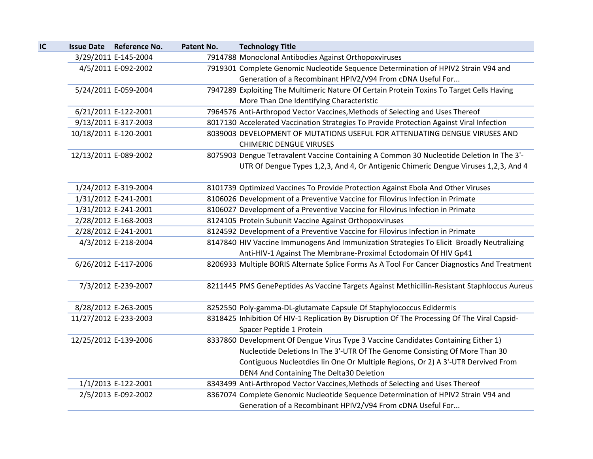| IC |                       | <b>Issue Date Reference No.</b> | Patent No. | <b>Technology Title</b>                                                                      |
|----|-----------------------|---------------------------------|------------|----------------------------------------------------------------------------------------------|
|    |                       | 3/29/2011 E-145-2004            |            | 7914788 Monoclonal Antibodies Against Orthopoxviruses                                        |
|    |                       | 4/5/2011 E-092-2002             |            | 7919301 Complete Genomic Nucleotide Sequence Determination of HPIV2 Strain V94 and           |
|    |                       |                                 |            | Generation of a Recombinant HPIV2/V94 From cDNA Useful For                                   |
|    |                       | 5/24/2011 E-059-2004            |            | 7947289 Exploiting The Multimeric Nature Of Certain Protein Toxins To Target Cells Having    |
|    |                       |                                 |            | More Than One Identifying Characteristic                                                     |
|    |                       | 6/21/2011 E-122-2001            |            | 7964576 Anti-Arthropod Vector Vaccines, Methods of Selecting and Uses Thereof                |
|    |                       | 9/13/2011 E-317-2003            |            | 8017130 Accelerated Vaccination Strategies To Provide Protection Against Viral Infection     |
|    | 10/18/2011 E-120-2001 |                                 |            | 8039003 DEVELOPMENT OF MUTATIONS USEFUL FOR ATTENUATING DENGUE VIRUSES AND                   |
|    |                       |                                 |            | <b>CHIMERIC DENGUE VIRUSES</b>                                                               |
|    |                       | 12/13/2011 E-089-2002           |            | 8075903 Dengue Tetravalent Vaccine Containing A Common 30 Nucleotide Deletion In The 3'-     |
|    |                       |                                 |            | UTR Of Dengue Types 1,2,3, And 4, Or Antigenic Chimeric Dengue Viruses 1,2,3, And 4          |
|    |                       |                                 |            |                                                                                              |
|    |                       | 1/24/2012 E-319-2004            |            | 8101739 Optimized Vaccines To Provide Protection Against Ebola And Other Viruses             |
|    |                       | 1/31/2012 E-241-2001            |            | 8106026 Development of a Preventive Vaccine for Filovirus Infection in Primate               |
|    |                       | 1/31/2012 E-241-2001            |            | 8106027 Development of a Preventive Vaccine for Filovirus Infection in Primate               |
|    |                       | 2/28/2012 E-168-2003            |            | 8124105 Protein Subunit Vaccine Against Orthopoxviruses                                      |
|    |                       | 2/28/2012 E-241-2001            |            | 8124592 Development of a Preventive Vaccine for Filovirus Infection in Primate               |
|    |                       | 4/3/2012 E-218-2004             |            | 8147840 HIV Vaccine Immunogens And Immunization Strategies To Elicit Broadly Neutralizing    |
|    |                       |                                 |            | Anti-HIV-1 Against The Membrane-Proximal Ectodomain Of HIV Gp41                              |
|    |                       | 6/26/2012 E-117-2006            |            | 8206933 Multiple BORIS Alternate Splice Forms As A Tool For Cancer Diagnostics And Treatment |
|    |                       |                                 |            |                                                                                              |
|    |                       | 7/3/2012 E-239-2007             |            | 8211445 PMS GenePeptides As Vaccine Targets Against Methicillin-Resistant Staphloccus Aureus |
|    |                       |                                 |            |                                                                                              |
|    |                       | 8/28/2012 E-263-2005            |            | 8252550 Poly-gamma-DL-glutamate Capsule Of Staphylococcus Edidermis                          |
|    |                       | 11/27/2012 E-233-2003           |            | 8318425 Inhibition Of HIV-1 Replication By Disruption Of The Processing Of The Viral Capsid- |
|    |                       |                                 |            | Spacer Peptide 1 Protein                                                                     |
|    |                       | 12/25/2012 E-139-2006           |            | 8337860 Development Of Dengue Virus Type 3 Vaccine Candidates Containing Either 1)           |
|    |                       |                                 |            | Nucleotide Deletions In The 3'-UTR Of The Genome Consisting Of More Than 30                  |
|    |                       |                                 |            | Contiguous Nucleotdies Iin One Or Multiple Regions, Or 2) A 3'-UTR Dervived From             |
|    |                       |                                 |            | DEN4 And Containing The Delta30 Deletion                                                     |
|    |                       | 1/1/2013 E-122-2001             |            | 8343499 Anti-Arthropod Vector Vaccines, Methods of Selecting and Uses Thereof                |
|    |                       | 2/5/2013 E-092-2002             |            | 8367074 Complete Genomic Nucleotide Sequence Determination of HPIV2 Strain V94 and           |
|    |                       |                                 |            | Generation of a Recombinant HPIV2/V94 From cDNA Useful For                                   |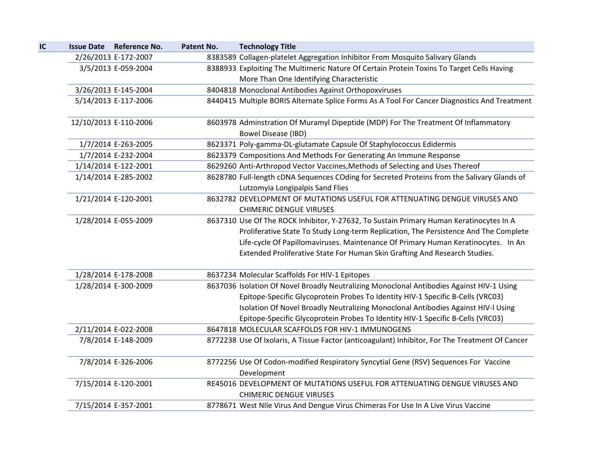| IC |                       | <b>Issue Date Reference No.</b> | Patent No. | <b>Technology Title</b>                                                                         |
|----|-----------------------|---------------------------------|------------|-------------------------------------------------------------------------------------------------|
|    |                       | 2/26/2013 E-172-2007            |            | 8383589 Collagen-platelet Aggregation Inhibitor From Mosquito Salivary Glands                   |
|    |                       | 3/5/2013 E-059-2004             |            | 8388933 Exploiting The Multimeric Nature Of Certain Protein Toxins To Target Cells Having       |
|    |                       |                                 |            | More Than One Identifying Characteristic                                                        |
|    |                       | 3/26/2013 E-145-2004            |            | 8404818 Monoclonal Antibodies Against Orthopoxviruses                                           |
|    |                       | 5/14/2013 E-117-2006            |            | 8440415 Multiple BORIS Alternate Splice Forms As A Tool For Cancer Diagnostics And Treatment    |
|    | 12/10/2013 E-110-2006 |                                 |            | 8603978 Adminstration Of Muramyl Dipeptide (MDP) For The Treatment Of Inflammatory              |
|    |                       |                                 |            | <b>Bowel Disease (IBD)</b>                                                                      |
|    |                       | 1/7/2014 E-263-2005             |            | 8623371 Poly-gamma-DL-glutamate Capsule Of Staphylococcus Edidermis                             |
|    |                       | 1/7/2014 E-232-2004             |            | 8623379 Compositions And Methods For Generating An Immune Response                              |
|    |                       | 1/14/2014 E-122-2001            |            | 8629260 Anti-Arthropod Vector Vaccines, Methods of Selecting and Uses Thereof                   |
|    |                       | 1/14/2014 E-285-2002            |            | 8628780 Full-length cDNA Sequences COding for Secreted Proteins from the Salivary Glands of     |
|    |                       |                                 |            | Lutzomyia Longipalpis Sand Flies                                                                |
|    |                       | 1/21/2014 E-120-2001            |            | 8632782 DEVELOPMENT OF MUTATIONS USEFUL FOR ATTENUATING DENGUE VIRUSES AND                      |
|    |                       |                                 |            | <b>CHIMERIC DENGUE VIRUSES</b>                                                                  |
|    |                       | 1/28/2014 E-055-2009            |            | 8637310 Use Of The ROCK Inhibitor, Y-27632, To Sustain Primary Human Keratinocytes In A         |
|    |                       |                                 |            | Proliferative State To Study Long-term Replication, The Persistence And The Complete            |
|    |                       |                                 |            | Life-cycle Of Papillomaviruses. Maintenance Of Primary Human Keratinocytes. In An               |
|    |                       |                                 |            | Extended Proliferative State For Human Skin Grafting And Research Studies.                      |
|    |                       | 1/28/2014 E-178-2008            |            | 8637234 Molecular Scaffolds For HIV-1 Epitopes                                                  |
|    |                       | 1/28/2014 E-300-2009            |            | 8637036 Isolation Of Novel Broadly Neutralizing Monoclonal Antibodies Against HIV-1 Using       |
|    |                       |                                 |            | Epitope-Specific Glycoprotein Probes To Identity HIV-1 Specific B-Cells (VRC03)                 |
|    |                       |                                 |            | Isolation Of Novel Broadly Neutralizing Monoclonal Antibodies Against HIV-I Using               |
|    |                       |                                 |            | Epitope-Specific Glycoprotein Probes To Identity HIV-1 Specific B-Cells (VRC03)                 |
|    |                       | 2/11/2014 E-022-2008            |            | 8647818 MOLECULAR SCAFFOLDS FOR HIV-1 IMMUNOGENS                                                |
|    |                       | 7/8/2014 E-148-2009             |            | 8772238 Use Of Ixolaris, A Tissue Factor (anticoagulant) Inhibitor, For The Treatment Of Cancer |
|    |                       | 7/8/2014 E-326-2006             |            | 8772256 Use Of Codon-modified Respiratory Syncytial Gene (RSV) Sequences For Vaccine            |
|    |                       |                                 |            | Development                                                                                     |
|    |                       | 7/15/2014 E-120-2001            |            | RE45016 DEVELOPMENT OF MUTATIONS USEFUL FOR ATTENUATING DENGUE VIRUSES AND                      |
|    |                       |                                 |            | <b>CHIMERIC DENGUE VIRUSES</b>                                                                  |
|    |                       | 7/15/2014 E-357-2001            |            | 8778671 West NIle Virus And Dengue Virus Chimeras For Use In A Live Virus Vaccine               |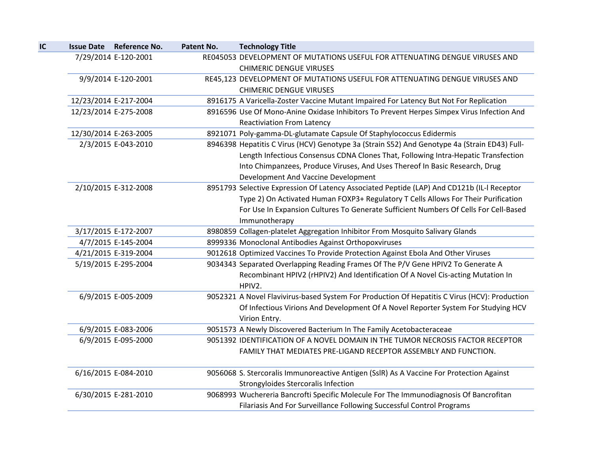| IC | <b>Issue Date</b>     | <b>Reference No.</b> | Patent No. | <b>Technology Title</b>                                                                                                        |
|----|-----------------------|----------------------|------------|--------------------------------------------------------------------------------------------------------------------------------|
|    |                       | 7/29/2014 E-120-2001 |            | RE045053 DEVELOPMENT OF MUTATIONS USEFUL FOR ATTENUATING DENGUE VIRUSES AND<br><b>CHIMERIC DENGUE VIRUSES</b>                  |
|    |                       | 9/9/2014 E-120-2001  |            | RE45,123 DEVELOPMENT OF MUTATIONS USEFUL FOR ATTENUATING DENGUE VIRUSES AND                                                    |
|    |                       |                      |            | <b>CHIMERIC DENGUE VIRUSES</b>                                                                                                 |
|    | 12/23/2014 E-217-2004 |                      |            | 8916175 A Varicella-Zoster Vaccine Mutant Impaired For Latency But Not For Replication                                         |
|    | 12/23/2014 E-275-2008 |                      |            | 8916596 Use Of Mono-Anine Oxidase Inhibitors To Prevent Herpes Simpex Virus Infection And<br><b>Reactiviation From Latency</b> |
|    | 12/30/2014 E-263-2005 |                      |            | 8921071 Poly-gamma-DL-glutamate Capsule Of Staphylococcus Edidermis                                                            |
|    |                       | 2/3/2015 E-043-2010  |            | 8946398 Hepatitis C Virus (HCV) Genotype 3a (Strain S52) And Genotype 4a (Strain ED43) Full-                                   |
|    |                       |                      |            | Length Infectious Consensus CDNA Clones That, Following Intra-Hepatic Transfection                                             |
|    |                       |                      |            | Into Chimpanzees, Produce Viruses, And Uses Thereof In Basic Research, Drug                                                    |
|    |                       |                      |            | Development And Vaccine Development                                                                                            |
|    |                       | 2/10/2015 E-312-2008 |            | 8951793 Selective Expression Of Latency Associated Peptide (LAP) And CD121b (IL-I Receptor                                     |
|    |                       |                      |            | Type 2) On Activated Human FOXP3+ Regulatory T Cells Allows For Their Purification                                             |
|    |                       |                      |            | For Use In Expansion Cultures To Generate Sufficient Numbers Of Cells For Cell-Based                                           |
|    |                       |                      |            | Immunotherapy                                                                                                                  |
|    |                       | 3/17/2015 E-172-2007 |            | 8980859 Collagen-platelet Aggregation Inhibitor From Mosquito Salivary Glands                                                  |
|    |                       | 4/7/2015 E-145-2004  |            | 8999336 Monoclonal Antibodies Against Orthopoxviruses                                                                          |
|    |                       | 4/21/2015 E-319-2004 |            | 9012618 Optimized Vaccines To Provide Protection Against Ebola And Other Viruses                                               |
|    |                       | 5/19/2015 E-295-2004 |            | 9034343 Separated Overlapping Reading Frames Of The P/V Gene HPIV2 To Generate A                                               |
|    |                       |                      |            | Recombinant HPIV2 (rHPIV2) And Identification Of A Novel Cis-acting Mutation In<br>HPIV2.                                      |
|    |                       | 6/9/2015 E-005-2009  |            | 9052321 A Novel Flavivirus-based System For Production Of Hepatitis C Virus (HCV): Production                                  |
|    |                       |                      |            | Of Infectious Virions And Development Of A Novel Reporter System For Studying HCV                                              |
|    |                       |                      |            | Virion Entry.                                                                                                                  |
|    |                       | 6/9/2015 E-083-2006  |            | 9051573 A Newly Discovered Bacterium In The Family Acetobacteraceae                                                            |
|    |                       | 6/9/2015 E-095-2000  |            | 9051392 IDENTIFICATION OF A NOVEL DOMAIN IN THE TUMOR NECROSIS FACTOR RECEPTOR                                                 |
|    |                       |                      |            | FAMILY THAT MEDIATES PRE-LIGAND RECEPTOR ASSEMBLY AND FUNCTION.                                                                |
|    |                       | 6/16/2015 E-084-2010 |            | 9056068 S. Stercoralis Immunoreactive Antigen (SslR) As A Vaccine For Protection Against                                       |
|    |                       |                      |            | Strongyloides Stercoralis Infection                                                                                            |
|    |                       | 6/30/2015 E-281-2010 |            | 9068993 Wuchereria Bancrofti Specific Molecule For The Immunodiagnosis Of Bancrofitan                                          |
|    |                       |                      |            | Filariasis And For Surveillance Following Successful Control Programs                                                          |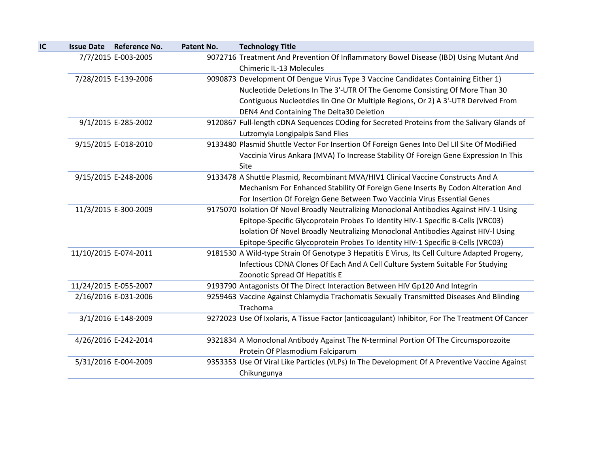| IC | <b>Issue Date</b>     | <b>Reference No.</b>  | Patent No. | <b>Technology Title</b>                                                                         |
|----|-----------------------|-----------------------|------------|-------------------------------------------------------------------------------------------------|
|    |                       | 7/7/2015 E-003-2005   |            | 9072716 Treatment And Prevention Of Inflammatory Bowel Disease (IBD) Using Mutant And           |
|    |                       |                       |            | <b>Chimeric IL-13 Molecules</b>                                                                 |
|    |                       | 7/28/2015 E-139-2006  |            | 9090873 Development Of Dengue Virus Type 3 Vaccine Candidates Containing Either 1)              |
|    |                       |                       |            | Nucleotide Deletions In The 3'-UTR Of The Genome Consisting Of More Than 30                     |
|    |                       |                       |            | Contiguous Nucleotdies Iin One Or Multiple Regions, Or 2) A 3'-UTR Dervived From                |
|    |                       |                       |            | DEN4 And Containing The Delta30 Deletion                                                        |
|    |                       | 9/1/2015 E-285-2002   |            | 9120867 Full-length cDNA Sequences COding for Secreted Proteins from the Salivary Glands of     |
|    |                       |                       |            | Lutzomyia Longipalpis Sand Flies                                                                |
|    |                       | 9/15/2015 E-018-2010  |            | 9133480 Plasmid Shuttle Vector For Insertion Of Foreign Genes Into Del LII Site Of ModiFied     |
|    |                       |                       |            | Vaccinia Virus Ankara (MVA) To Increase Stability Of Foreign Gene Expression In This            |
|    |                       |                       |            | Site                                                                                            |
|    |                       | 9/15/2015 E-248-2006  |            | 9133478 A Shuttle Plasmid, Recombinant MVA/HIV1 Clinical Vaccine Constructs And A               |
|    |                       |                       |            | Mechanism For Enhanced Stability Of Foreign Gene Inserts By Codon Alteration And                |
|    |                       |                       |            | For Insertion Of Foreign Gene Between Two Vaccinia Virus Essential Genes                        |
|    |                       | 11/3/2015 E-300-2009  |            | 9175070 Isolation Of Novel Broadly Neutralizing Monoclonal Antibodies Against HIV-1 Using       |
|    |                       |                       |            | Epitope-Specific Glycoprotein Probes To Identity HIV-1 Specific B-Cells (VRC03)                 |
|    |                       |                       |            | Isolation Of Novel Broadly Neutralizing Monoclonal Antibodies Against HIV-I Using               |
|    |                       |                       |            | Epitope-Specific Glycoprotein Probes To Identity HIV-1 Specific B-Cells (VRC03)                 |
|    |                       | 11/10/2015 E-074-2011 |            | 9181530 A Wild-type Strain Of Genotype 3 Hepatitis E Virus, Its Cell Culture Adapted Progeny,   |
|    |                       |                       |            | Infectious CDNA Clones Of Each And A Cell Culture System Suitable For Studying                  |
|    |                       |                       |            | Zoonotic Spread Of Hepatitis E                                                                  |
|    | 11/24/2015 E-055-2007 |                       |            | 9193790 Antagonists Of The Direct Interaction Between HIV Gp120 And Integrin                    |
|    |                       | 2/16/2016 E-031-2006  |            | 9259463 Vaccine Against Chlamydia Trachomatis Sexually Transmitted Diseases And Blinding        |
|    |                       |                       |            | Trachoma                                                                                        |
|    |                       | 3/1/2016 E-148-2009   |            | 9272023 Use Of Ixolaris, A Tissue Factor (anticoagulant) Inhibitor, For The Treatment Of Cancer |
|    |                       |                       |            |                                                                                                 |
|    |                       | 4/26/2016 E-242-2014  |            | 9321834 A Monoclonal Antibody Against The N-terminal Portion Of The Circumsporozoite            |
|    |                       |                       |            | Protein Of Plasmodium Falciparum                                                                |
|    |                       | 5/31/2016 E-004-2009  |            | 9353353 Use Of Viral Like Particles (VLPs) In The Development Of A Preventive Vaccine Against   |
|    |                       |                       |            | Chikungunya                                                                                     |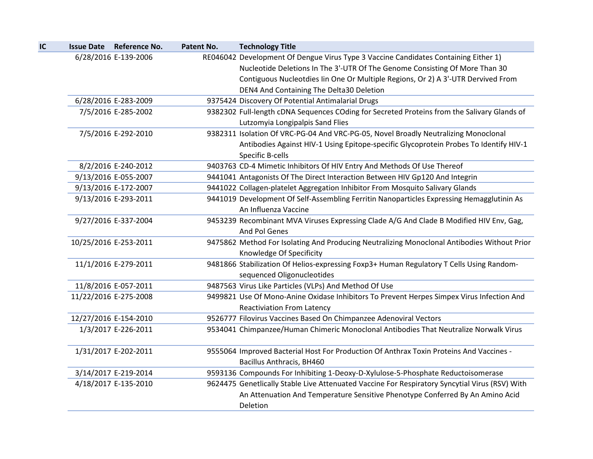| <b>Issue Date</b> | <b>Reference No.</b>  | Patent No. | <b>Technology Title</b>                                                                        |
|-------------------|-----------------------|------------|------------------------------------------------------------------------------------------------|
|                   | 6/28/2016 E-139-2006  |            | RE046042 Development Of Dengue Virus Type 3 Vaccine Candidates Containing Either 1)            |
|                   |                       |            | Nucleotide Deletions In The 3'-UTR Of The Genome Consisting Of More Than 30                    |
|                   |                       |            | Contiguous Nucleotdies Iin One Or Multiple Regions, Or 2) A 3'-UTR Dervived From               |
|                   |                       |            | DEN4 And Containing The Delta30 Deletion                                                       |
|                   | 6/28/2016 E-283-2009  |            | 9375424 Discovery Of Potential Antimalarial Drugs                                              |
|                   | 7/5/2016 E-285-2002   |            | 9382302 Full-length cDNA Sequences COding for Secreted Proteins from the Salivary Glands of    |
|                   |                       |            | Lutzomyia Longipalpis Sand Flies                                                               |
|                   | 7/5/2016 E-292-2010   |            | 9382311 Isolation Of VRC-PG-04 And VRC-PG-05, Novel Broadly Neutralizing Monoclonal            |
|                   |                       |            | Antibodies Against HIV-1 Using Epitope-specific Glycoprotein Probes To Identify HIV-1          |
|                   |                       |            | Specific B-cells                                                                               |
|                   | 8/2/2016 E-240-2012   |            | 9403763 CD-4 Mimetic Inhibitors Of HIV Entry And Methods Of Use Thereof                        |
|                   | 9/13/2016 E-055-2007  |            | 9441041 Antagonists Of The Direct Interaction Between HIV Gp120 And Integrin                   |
|                   | 9/13/2016 E-172-2007  |            | 9441022 Collagen-platelet Aggregation Inhibitor From Mosquito Salivary Glands                  |
|                   | 9/13/2016 E-293-2011  |            | 9441019 Development Of Self-Assembling Ferritin Nanoparticles Expressing Hemagglutinin As      |
|                   |                       |            | An Influenza Vaccine                                                                           |
|                   | 9/27/2016 E-337-2004  |            | 9453239 Recombinant MVA Viruses Expressing Clade A/G And Clade B Modified HIV Env, Gag,        |
|                   |                       |            | And Pol Genes                                                                                  |
|                   | 10/25/2016 E-253-2011 |            | 9475862 Method For Isolating And Producing Neutralizing Monoclonal Antibodies Without Prior    |
|                   |                       |            | Knowledge Of Specificity                                                                       |
|                   | 11/1/2016 E-279-2011  |            | 9481866 Stabilization Of Helios-expressing Foxp3+ Human Regulatory T Cells Using Random-       |
|                   |                       |            | sequenced Oligonucleotides                                                                     |
|                   | 11/8/2016 E-057-2011  |            | 9487563 Virus Like Particles (VLPs) And Method Of Use                                          |
|                   | 11/22/2016 E-275-2008 |            | 9499821 Use Of Mono-Anine Oxidase Inhibitors To Prevent Herpes Simpex Virus Infection And      |
|                   |                       |            | <b>Reactiviation From Latency</b>                                                              |
|                   | 12/27/2016 E-154-2010 |            | 9526777 Filovirus Vaccines Based On Chimpanzee Adenoviral Vectors                              |
|                   | 1/3/2017 E-226-2011   |            | 9534041 Chimpanzee/Human Chimeric Monoclonal Antibodies That Neutralize Norwalk Virus          |
|                   | 1/31/2017 E-202-2011  |            | 9555064 Improved Bacterial Host For Production Of Anthrax Toxin Proteins And Vaccines -        |
|                   |                       |            | Bacillus Anthracis, BH460                                                                      |
|                   | 3/14/2017 E-219-2014  |            | 9593136 Compounds For Inhibiting 1-Deoxy-D-Xylulose-5-Phosphate Reductoisomerase               |
|                   | 4/18/2017 E-135-2010  |            | 9624475 Genetlically Stable Live Attenuated Vaccine For Respiratory Syncytial Virus (RSV) With |
|                   |                       |            | An Attenuation And Temperature Sensitive Phenotype Conferred By An Amino Acid                  |
|                   |                       |            | Deletion                                                                                       |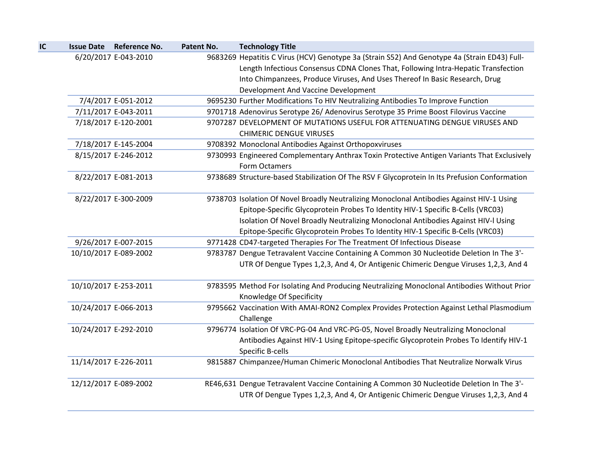| 6/20/2017 E-043-2010<br>7/4/2017 E-051-2012 |                       | 9683269 Hepatitis C Virus (HCV) Genotype 3a (Strain S52) And Genotype 4a (Strain ED43) Full-<br>Length Infectious Consensus CDNA Clones That, Following Intra-Hepatic Transfection<br>Into Chimpanzees, Produce Viruses, And Uses Thereof In Basic Research, Drug |
|---------------------------------------------|-----------------------|-------------------------------------------------------------------------------------------------------------------------------------------------------------------------------------------------------------------------------------------------------------------|
|                                             |                       |                                                                                                                                                                                                                                                                   |
|                                             |                       |                                                                                                                                                                                                                                                                   |
|                                             |                       |                                                                                                                                                                                                                                                                   |
|                                             |                       | Development And Vaccine Development                                                                                                                                                                                                                               |
|                                             |                       | 9695230 Further Modifications To HIV Neutralizing Antibodies To Improve Function                                                                                                                                                                                  |
| 7/11/2017 E-043-2011                        |                       | 9701718 Adenovirus Serotype 26/ Adenovirus Serotype 35 Prime Boost Filovirus Vaccine                                                                                                                                                                              |
| 7/18/2017 E-120-2001                        |                       | 9707287 DEVELOPMENT OF MUTATIONS USEFUL FOR ATTENUATING DENGUE VIRUSES AND                                                                                                                                                                                        |
|                                             |                       | <b>CHIMERIC DENGUE VIRUSES</b>                                                                                                                                                                                                                                    |
| 7/18/2017 E-145-2004                        |                       | 9708392 Monoclonal Antibodies Against Orthopoxviruses                                                                                                                                                                                                             |
| 8/15/2017 E-246-2012                        |                       | 9730993 Engineered Complementary Anthrax Toxin Protective Antigen Variants That Exclusively                                                                                                                                                                       |
|                                             |                       | Form Octamers                                                                                                                                                                                                                                                     |
| 8/22/2017 E-081-2013                        |                       | 9738689 Structure-based Stabilization Of The RSV F Glycoprotein In Its Prefusion Conformation                                                                                                                                                                     |
| 8/22/2017 E-300-2009                        |                       | 9738703 Isolation Of Novel Broadly Neutralizing Monoclonal Antibodies Against HIV-1 Using                                                                                                                                                                         |
|                                             |                       | Epitope-Specific Glycoprotein Probes To Identity HIV-1 Specific B-Cells (VRC03)                                                                                                                                                                                   |
|                                             |                       | Isolation Of Novel Broadly Neutralizing Monoclonal Antibodies Against HIV-I Using                                                                                                                                                                                 |
|                                             |                       | Epitope-Specific Glycoprotein Probes To Identity HIV-1 Specific B-Cells (VRC03)                                                                                                                                                                                   |
| 9/26/2017 E-007-2015                        |                       | 9771428 CD47-targeted Therapies For The Treatment Of Infectious Disease                                                                                                                                                                                           |
| 10/10/2017 E-089-2002                       |                       | 9783787 Dengue Tetravalent Vaccine Containing A Common 30 Nucleotide Deletion In The 3'-                                                                                                                                                                          |
|                                             |                       | UTR Of Dengue Types 1,2,3, And 4, Or Antigenic Chimeric Dengue Viruses 1,2,3, And 4                                                                                                                                                                               |
| 10/10/2017 E-253-2011                       |                       | 9783595 Method For Isolating And Producing Neutralizing Monoclonal Antibodies Without Prior                                                                                                                                                                       |
|                                             |                       | Knowledge Of Specificity                                                                                                                                                                                                                                          |
|                                             |                       | 9795662 Vaccination With AMAI-RON2 Complex Provides Protection Against Lethal Plasmodium<br>Challenge                                                                                                                                                             |
| 10/24/2017 E-292-2010                       |                       | 9796774 Isolation Of VRC-PG-04 And VRC-PG-05, Novel Broadly Neutralizing Monoclonal                                                                                                                                                                               |
|                                             |                       | Antibodies Against HIV-1 Using Epitope-specific Glycoprotein Probes To Identify HIV-1                                                                                                                                                                             |
|                                             |                       | Specific B-cells                                                                                                                                                                                                                                                  |
| 11/14/2017 E-226-2011                       |                       | 9815887 Chimpanzee/Human Chimeric Monoclonal Antibodies That Neutralize Norwalk Virus                                                                                                                                                                             |
| 12/12/2017 E-089-2002                       |                       | RE46,631 Dengue Tetravalent Vaccine Containing A Common 30 Nucleotide Deletion In The 3'-<br>UTR Of Dengue Types 1,2,3, And 4, Or Antigenic Chimeric Dengue Viruses 1,2,3, And 4                                                                                  |
|                                             | 10/24/2017 E-066-2013 |                                                                                                                                                                                                                                                                   |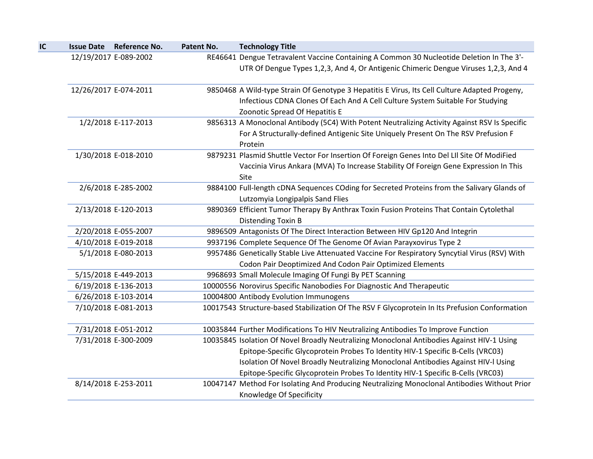| IC | <b>Issue Date</b> | <b>Reference No.</b>  | Patent No. | <b>Technology Title</b>                                                                                                                                                                                              |
|----|-------------------|-----------------------|------------|----------------------------------------------------------------------------------------------------------------------------------------------------------------------------------------------------------------------|
|    |                   | 12/19/2017 E-089-2002 |            | RE46641 Dengue Tetravalent Vaccine Containing A Common 30 Nucleotide Deletion In The 3'-<br>UTR Of Dengue Types 1,2,3, And 4, Or Antigenic Chimeric Dengue Viruses 1,2,3, And 4                                      |
|    |                   | 12/26/2017 E-074-2011 |            | 9850468 A Wild-type Strain Of Genotype 3 Hepatitis E Virus, Its Cell Culture Adapted Progeny,<br>Infectious CDNA Clones Of Each And A Cell Culture System Suitable For Studying                                      |
|    |                   | 1/2/2018 E-117-2013   |            | Zoonotic Spread Of Hepatitis E<br>9856313 A Monoclonal Antibody (5C4) With Potent Neutralizing Activity Against RSV Is Specific<br>For A Structurally-defined Antigenic Site Uniquely Present On The RSV Prefusion F |
|    |                   | 1/30/2018 E-018-2010  |            | Protein<br>9879231 Plasmid Shuttle Vector For Insertion Of Foreign Genes Into Del LII Site Of ModiFied<br>Vaccinia Virus Ankara (MVA) To Increase Stability Of Foreign Gene Expression In This<br>Site               |
|    |                   | 2/6/2018 E-285-2002   |            | 9884100 Full-length cDNA Sequences COding for Secreted Proteins from the Salivary Glands of<br>Lutzomyia Longipalpis Sand Flies                                                                                      |
|    |                   | 2/13/2018 E-120-2013  |            | 9890369 Efficient Tumor Therapy By Anthrax Toxin Fusion Proteins That Contain Cytolethal<br><b>Distending Toxin B</b>                                                                                                |
|    |                   | 2/20/2018 E-055-2007  |            | 9896509 Antagonists Of The Direct Interaction Between HIV Gp120 And Integrin                                                                                                                                         |
|    |                   | 4/10/2018 E-019-2018  |            | 9937196 Complete Sequence Of The Genome Of Avian Parayxovirus Type 2                                                                                                                                                 |
|    |                   | 5/1/2018 E-080-2013   |            | 9957486 Genetically Stable Live Attenuated Vaccine For Respiratory Syncytial Virus (RSV) With<br>Codon Pair Deoptimized And Codon Pair Optimized Elements                                                            |
|    |                   | 5/15/2018 E-449-2013  |            | 9968693 Small Molecule Imaging Of Fungi By PET Scanning                                                                                                                                                              |
|    |                   | 6/19/2018 E-136-2013  |            | 10000556 Norovirus Specific Nanobodies For Diagnostic And Therapeutic                                                                                                                                                |
|    |                   | 6/26/2018 E-103-2014  |            | 10004800 Antibody Evolution Immunogens                                                                                                                                                                               |
|    |                   | 7/10/2018 E-081-2013  |            | 10017543 Structure-based Stabilization Of The RSV F Glycoprotein In Its Prefusion Conformation                                                                                                                       |
|    |                   | 7/31/2018 E-051-2012  |            | 10035844 Further Modifications To HIV Neutralizing Antibodies To Improve Function                                                                                                                                    |
|    |                   | 7/31/2018 E-300-2009  |            | 10035845 Isolation Of Novel Broadly Neutralizing Monoclonal Antibodies Against HIV-1 Using                                                                                                                           |
|    |                   |                       |            | Epitope-Specific Glycoprotein Probes To Identity HIV-1 Specific B-Cells (VRC03)                                                                                                                                      |
|    |                   |                       |            | Isolation Of Novel Broadly Neutralizing Monoclonal Antibodies Against HIV-I Using                                                                                                                                    |
|    |                   |                       |            | Epitope-Specific Glycoprotein Probes To Identity HIV-1 Specific B-Cells (VRC03)                                                                                                                                      |
|    |                   | 8/14/2018 E-253-2011  |            | 10047147 Method For Isolating And Producing Neutralizing Monoclonal Antibodies Without Prior                                                                                                                         |
|    |                   |                       |            | Knowledge Of Specificity                                                                                                                                                                                             |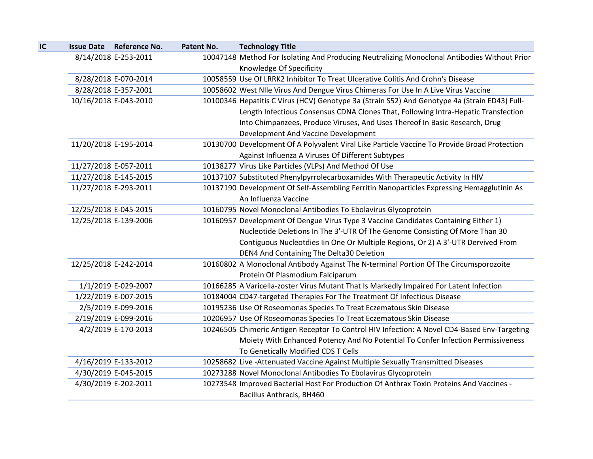| IC | <b>Issue Date Reference No.</b> | Patent No. | <b>Technology Title</b>                                                                                                  |
|----|---------------------------------|------------|--------------------------------------------------------------------------------------------------------------------------|
|    | 8/14/2018 E-253-2011            |            | 10047148 Method For Isolating And Producing Neutralizing Monoclonal Antibodies Without Prior<br>Knowledge Of Specificity |
|    | 8/28/2018 E-070-2014            |            | 10058559 Use Of LRRK2 Inhibitor To Treat Ulcerative Colitis And Crohn's Disease                                          |
|    | 8/28/2018 E-357-2001            |            | 10058602 West NIle Virus And Dengue Virus Chimeras For Use In A Live Virus Vaccine                                       |
|    | 10/16/2018 E-043-2010           |            | 10100346 Hepatitis C Virus (HCV) Genotype 3a (Strain S52) And Genotype 4a (Strain ED43) Full-                            |
|    |                                 |            | Length Infectious Consensus CDNA Clones That, Following Intra-Hepatic Transfection                                       |
|    |                                 |            | Into Chimpanzees, Produce Viruses, And Uses Thereof In Basic Research, Drug                                              |
|    |                                 |            | Development And Vaccine Development                                                                                      |
|    | 11/20/2018 E-195-2014           |            | 10130700 Development Of A Polyvalent Viral Like Particle Vaccine To Provide Broad Protection                             |
|    |                                 |            | Against Influenza A Viruses Of Different Subtypes                                                                        |
|    | 11/27/2018 E-057-2011           |            | 10138277 Virus Like Particles (VLPs) And Method Of Use                                                                   |
|    | 11/27/2018 E-145-2015           |            | 10137107 Substituted Phenylpyrrolecarboxamides With Therapeutic Activity In HIV                                          |
|    | 11/27/2018 E-293-2011           |            | 10137190 Development Of Self-Assembling Ferritin Nanoparticles Expressing Hemagglutinin As                               |
|    |                                 |            | An Influenza Vaccine                                                                                                     |
|    | 12/25/2018 E-045-2015           |            | 10160795 Novel Monoclonal Antibodies To Ebolavirus Glycoprotein                                                          |
|    | 12/25/2018 E-139-2006           |            | 10160957 Development Of Dengue Virus Type 3 Vaccine Candidates Containing Either 1)                                      |
|    |                                 |            | Nucleotide Deletions In The 3'-UTR Of The Genome Consisting Of More Than 30                                              |
|    |                                 |            | Contiguous Nucleotdies Iin One Or Multiple Regions, Or 2) A 3'-UTR Dervived From                                         |
|    |                                 |            | DEN4 And Containing The Delta30 Deletion                                                                                 |
|    | 12/25/2018 E-242-2014           |            | 10160802 A Monoclonal Antibody Against The N-terminal Portion Of The Circumsporozoite                                    |
|    |                                 |            | Protein Of Plasmodium Falciparum                                                                                         |
|    | 1/1/2019 E-029-2007             |            | 10166285 A Varicella-zoster Virus Mutant That Is Markedly Impaired For Latent Infection                                  |
|    | 1/22/2019 E-007-2015            |            | 10184004 CD47-targeted Therapies For The Treatment Of Infectious Disease                                                 |
|    | 2/5/2019 E-099-2016             |            | 10195236 Use Of Roseomonas Species To Treat Eczematous Skin Disease                                                      |
|    | 2/19/2019 E-099-2016            |            | 10206957 Use Of Roseomonas Species To Treat Eczematous Skin Disease                                                      |
|    | 4/2/2019 E-170-2013             |            | 10246505 Chimeric Antigen Receptor To Control HIV Infection: A Novel CD4-Based Env-Targeting                             |
|    |                                 |            | Moiety With Enhanced Potency And No Potential To Confer Infection Permissiveness                                         |
|    |                                 |            | To Genetically Modified CDS T Cells                                                                                      |
|    | 4/16/2019 E-133-2012            |            | 10258682 Live -Attenuated Vaccine Against Multiple Sexually Transmitted Diseases                                         |
|    | 4/30/2019 E-045-2015            |            | 10273288 Novel Monoclonal Antibodies To Ebolavirus Glycoprotein                                                          |
|    | 4/30/2019 E-202-2011            |            | 10273548 Improved Bacterial Host For Production Of Anthrax Toxin Proteins And Vaccines -                                 |
|    |                                 |            | Bacillus Anthracis, BH460                                                                                                |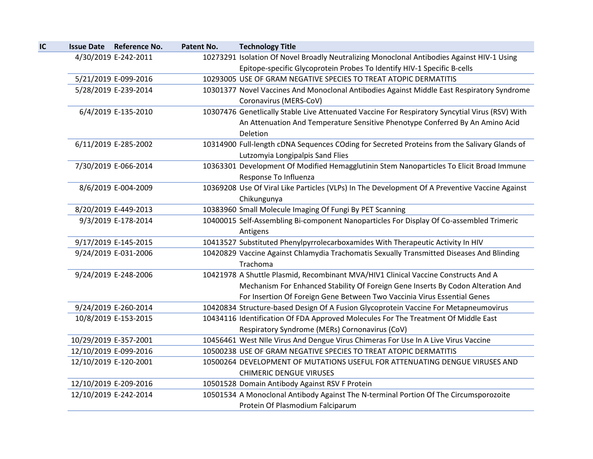| <b>Issue Date Reference No.</b> | Patent No. | <b>Technology Title</b>                                                                                              |
|---------------------------------|------------|----------------------------------------------------------------------------------------------------------------------|
| 4/30/2019 E-242-2011            |            | 10273291 Isolation Of Novel Broadly Neutralizing Monoclonal Antibodies Against HIV-1 Using                           |
|                                 |            | Epitope-specific Glycoprotein Probes To Identify HIV-1 Specific B-cells                                              |
| 5/21/2019 E-099-2016            |            | 10293005 USE OF GRAM NEGATIVE SPECIES TO TREAT ATOPIC DERMATITIS                                                     |
| 5/28/2019 E-239-2014            |            | 10301377 Novel Vaccines And Monoclonal Antibodies Against Middle East Respiratory Syndrome<br>Coronavirus (MERS-CoV) |
| 6/4/2019 E-135-2010             |            | 10307476 Genetlically Stable Live Attenuated Vaccine For Respiratory Syncytial Virus (RSV) With                      |
|                                 |            | An Attenuation And Temperature Sensitive Phenotype Conferred By An Amino Acid<br>Deletion                            |
| 6/11/2019 E-285-2002            |            | 10314900 Full-length cDNA Sequences COding for Secreted Proteins from the Salivary Glands of                         |
|                                 |            | Lutzomyia Longipalpis Sand Flies                                                                                     |
| 7/30/2019 E-066-2014            |            | 10363301 Development Of Modified Hemagglutinin Stem Nanoparticles To Elicit Broad Immune<br>Response To Influenza    |
| 8/6/2019 E-004-2009             |            | 10369208 Use Of Viral Like Particles (VLPs) In The Development Of A Preventive Vaccine Against                       |
|                                 |            | Chikungunya                                                                                                          |
| 8/20/2019 E-449-2013            |            | 10383960 Small Molecule Imaging Of Fungi By PET Scanning                                                             |
| 9/3/2019 E-178-2014             |            | 10400015 Self-Assembling Bi-component Nanoparticles For Display Of Co-assembled Trimeric<br>Antigens                 |
| 9/17/2019 E-145-2015            |            | 10413527 Substituted Phenylpyrrolecarboxamides With Therapeutic Activity In HIV                                      |
| 9/24/2019 E-031-2006            |            | 10420829 Vaccine Against Chlamydia Trachomatis Sexually Transmitted Diseases And Blinding<br>Trachoma                |
| 9/24/2019 E-248-2006            |            | 10421978 A Shuttle Plasmid, Recombinant MVA/HIV1 Clinical Vaccine Constructs And A                                   |
|                                 |            | Mechanism For Enhanced Stability Of Foreign Gene Inserts By Codon Alteration And                                     |
|                                 |            | For Insertion Of Foreign Gene Between Two Vaccinia Virus Essential Genes                                             |
| 9/24/2019 E-260-2014            |            | 10420834 Structure-based Design Of A Fusion Glycoprotein Vaccine For Metapneumovirus                                 |
| 10/8/2019 E-153-2015            |            | 10434116 Identification Of FDA Approved Molecules For The Treatment Of Middle East                                   |
|                                 |            | Respiratory Syndrome (MERs) Cornonavirus (CoV)                                                                       |
| 10/29/2019 E-357-2001           |            | 10456461 West NIIe Virus And Dengue Virus Chimeras For Use In A Live Virus Vaccine                                   |
| 12/10/2019 E-099-2016           |            | 10500238 USE OF GRAM NEGATIVE SPECIES TO TREAT ATOPIC DERMATITIS                                                     |
| 12/10/2019 E-120-2001           |            | 10500264 DEVELOPMENT OF MUTATIONS USEFUL FOR ATTENUATING DENGUE VIRUSES AND                                          |
|                                 |            | <b>CHIMERIC DENGUE VIRUSES</b>                                                                                       |
| 12/10/2019 E-209-2016           |            | 10501528 Domain Antibody Against RSV F Protein                                                                       |
| 12/10/2019 E-242-2014           |            | 10501534 A Monoclonal Antibody Against The N-terminal Portion Of The Circumsporozoite                                |
|                                 |            | Protein Of Plasmodium Falciparum                                                                                     |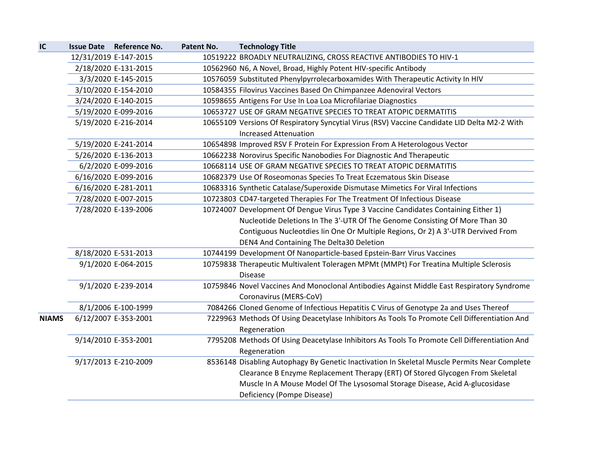| IC           | <b>Issue Date Reference No.</b> | Patent No. | <b>Technology Title</b>                                                                      |
|--------------|---------------------------------|------------|----------------------------------------------------------------------------------------------|
|              | 12/31/2019 E-147-2015           |            | 10519222 BROADLY NEUTRALIZING, CROSS REACTIVE ANTIBODIES TO HIV-1                            |
|              | 2/18/2020 E-131-2015            |            | 10562960 N6, A Novel, Broad, Highly Potent HIV-specific Antibody                             |
|              | 3/3/2020 E-145-2015             |            | 10576059 Substituted Phenylpyrrolecarboxamides With Therapeutic Activity In HIV              |
|              | 3/10/2020 E-154-2010            |            | 10584355 Filovirus Vaccines Based On Chimpanzee Adenoviral Vectors                           |
|              | 3/24/2020 E-140-2015            |            | 10598655 Antigens For Use In Loa Loa Microfilariae Diagnostics                               |
|              | 5/19/2020 E-099-2016            |            | 10653727 USE OF GRAM NEGATIVE SPECIES TO TREAT ATOPIC DERMATITIS                             |
|              | 5/19/2020 E-216-2014            |            | 10655109 Versions Of Respiratory Syncytial Virus (RSV) Vaccine Candidate LID Delta M2-2 With |
|              |                                 |            | <b>Increased Attenuation</b>                                                                 |
|              | 5/19/2020 E-241-2014            |            | 10654898 Improved RSV F Protein For Expression From A Heterologous Vector                    |
|              | 5/26/2020 E-136-2013            |            | 10662238 Norovirus Specific Nanobodies For Diagnostic And Therapeutic                        |
|              | 6/2/2020 E-099-2016             |            | 10668114 USE OF GRAM NEGATIVE SPECIES TO TREAT ATOPIC DERMATITIS                             |
|              | 6/16/2020 E-099-2016            |            | 10682379 Use Of Roseomonas Species To Treat Eczematous Skin Disease                          |
|              | 6/16/2020 E-281-2011            |            | 10683316 Synthetic Catalase/Superoxide Dismutase Mimetics For Viral Infections               |
|              | 7/28/2020 E-007-2015            |            | 10723803 CD47-targeted Therapies For The Treatment Of Infectious Disease                     |
|              | 7/28/2020 E-139-2006            |            | 10724007 Development Of Dengue Virus Type 3 Vaccine Candidates Containing Either 1)          |
|              |                                 |            | Nucleotide Deletions In The 3'-UTR Of The Genome Consisting Of More Than 30                  |
|              |                                 |            | Contiguous Nucleotdies lin One Or Multiple Regions, Or 2) A 3'-UTR Dervived From             |
|              |                                 |            | DEN4 And Containing The Delta30 Deletion                                                     |
|              | 8/18/2020 E-531-2013            |            | 10744199 Development Of Nanoparticle-based Epstein-Barr Virus Vaccines                       |
|              | 9/1/2020 E-064-2015             |            | 10759838 Therapeutic Multivalent Toleragen MPMt (MMPt) For Treatina Multiple Sclerosis       |
|              |                                 |            | <b>Disease</b>                                                                               |
|              | 9/1/2020 E-239-2014             |            | 10759846 Novel Vaccines And Monoclonal Antibodies Against Middle East Respiratory Syndrome   |
|              |                                 |            | Coronavirus (MERS-CoV)                                                                       |
|              | 8/1/2006 E-100-1999             |            | 7084266 Cloned Genome of Infectious Hepatitis C Virus of Genotype 2a and Uses Thereof        |
| <b>NIAMS</b> | 6/12/2007 E-353-2001            |            | 7229963 Methods Of Using Deacetylase Inhibitors As Tools To Promote Cell Differentiation And |
|              |                                 |            | Regeneration                                                                                 |
|              | 9/14/2010 E-353-2001            |            | 7795208 Methods Of Using Deacetylase Inhibitors As Tools To Promote Cell Differentiation And |
|              |                                 |            | Regeneration                                                                                 |
|              | 9/17/2013 E-210-2009            |            | 8536148 Disabling Autophagy By Genetic Inactivation In Skeletal Muscle Permits Near Complete |
|              |                                 |            | Clearance B Enzyme Replacement Therapy (ERT) Of Stored Glycogen From Skeletal                |
|              |                                 |            | Muscle In A Mouse Model Of The Lysosomal Storage Disease, Acid A-glucosidase                 |
|              |                                 |            | Deficiency (Pompe Disease)                                                                   |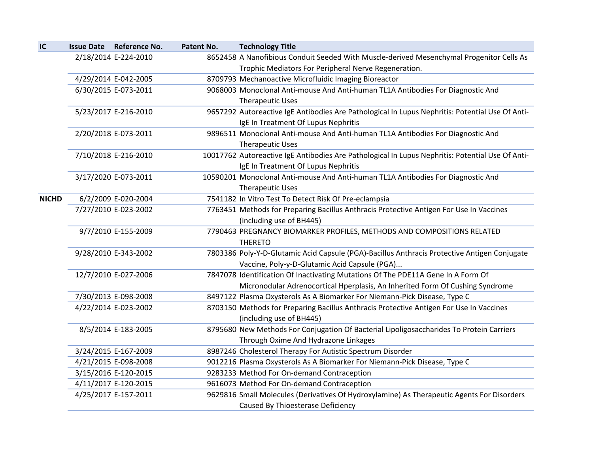| IC           | <b>Issue Date Reference No.</b> | Patent No. | <b>Technology Title</b>                                                                          |
|--------------|---------------------------------|------------|--------------------------------------------------------------------------------------------------|
|              | 2/18/2014 E-224-2010            |            | 8652458 A Nanofibious Conduit Seeded With Muscle-derived Mesenchymal Progenitor Cells As         |
|              |                                 |            | Trophic Mediators For Peripheral Nerve Regeneration.                                             |
|              | 4/29/2014 E-042-2005            |            | 8709793 Mechanoactive Microfluidic Imaging Bioreactor                                            |
|              | 6/30/2015 E-073-2011            |            | 9068003 Monoclonal Anti-mouse And Anti-human TL1A Antibodies For Diagnostic And                  |
|              |                                 |            | Therapeutic Uses                                                                                 |
|              | 5/23/2017 E-216-2010            |            | 9657292 Autoreactive IgE Antibodies Are Pathological In Lupus Nephritis: Potential Use Of Anti-  |
|              |                                 |            | IgE In Treatment Of Lupus Nephritis                                                              |
|              | 2/20/2018 E-073-2011            |            | 9896511 Monoclonal Anti-mouse And Anti-human TL1A Antibodies For Diagnostic And                  |
|              |                                 |            | <b>Therapeutic Uses</b>                                                                          |
|              | 7/10/2018 E-216-2010            |            | 10017762 Autoreactive IgE Antibodies Are Pathological In Lupus Nephritis: Potential Use Of Anti- |
|              |                                 |            | IgE In Treatment Of Lupus Nephritis                                                              |
|              | 3/17/2020 E-073-2011            |            | 10590201 Monoclonal Anti-mouse And Anti-human TL1A Antibodies For Diagnostic And                 |
|              |                                 |            | <b>Therapeutic Uses</b>                                                                          |
| <b>NICHD</b> | 6/2/2009 E-020-2004             |            | 7541182 In Vitro Test To Detect Risk Of Pre-eclampsia                                            |
|              | 7/27/2010 E-023-2002            |            | 7763451 Methods for Preparing Bacillus Anthracis Protective Antigen For Use In Vaccines          |
|              |                                 |            | (including use of BH445)                                                                         |
|              | 9/7/2010 E-155-2009             |            | 7790463 PREGNANCY BIOMARKER PROFILES, METHODS AND COMPOSITIONS RELATED                           |
|              |                                 |            | <b>THERETO</b>                                                                                   |
|              | 9/28/2010 E-343-2002            |            | 7803386 Poly-Y-D-Glutamic Acid Capsule (PGA)-Bacillus Anthracis Protective Antigen Conjugate     |
|              |                                 |            | Vaccine, Poly-y-D-Glutamic Acid Capsule (PGA)                                                    |
|              | 12/7/2010 E-027-2006            |            | 7847078 Identification Of Inactivating Mutations Of The PDE11A Gene In A Form Of                 |
|              |                                 |            | Micronodular Adrenocortical Hperplasis, An Inherited Form Of Cushing Syndrome                    |
|              | 7/30/2013 E-098-2008            |            | 8497122 Plasma Oxysterols As A Biomarker For Niemann-Pick Disease, Type C                        |
|              | 4/22/2014 E-023-2002            |            | 8703150 Methods for Preparing Bacillus Anthracis Protective Antigen For Use In Vaccines          |
|              |                                 |            | (including use of BH445)                                                                         |
|              | 8/5/2014 E-183-2005             |            | 8795680 New Methods For Conjugation Of Bacterial Lipoligosaccharides To Protein Carriers         |
|              |                                 |            | Through Oxime And Hydrazone Linkages                                                             |
|              | 3/24/2015 E-167-2009            |            | 8987246 Cholesterol Therapy For Autistic Spectrum Disorder                                       |
|              | 4/21/2015 E-098-2008            |            | 9012216 Plasma Oxysterols As A Biomarker For Niemann-Pick Disease, Type C                        |
|              | 3/15/2016 E-120-2015            |            | 9283233 Method For On-demand Contraception                                                       |
|              | 4/11/2017 E-120-2015            |            | 9616073 Method For On-demand Contraception                                                       |
|              | 4/25/2017 E-157-2011            |            | 9629816 Small Molecules (Derivatives Of Hydroxylamine) As Therapeutic Agents For Disorders       |
|              |                                 |            | Caused By Thioesterase Deficiency                                                                |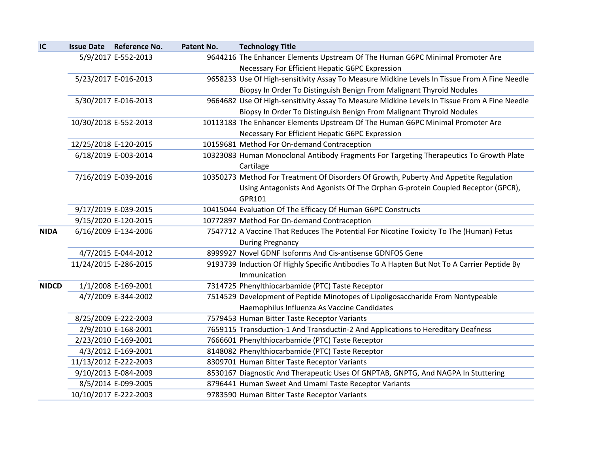| IC           | Issue Date Reference No. | Patent No. | <b>Technology Title</b>                                                                              |
|--------------|--------------------------|------------|------------------------------------------------------------------------------------------------------|
|              | 5/9/2017 E-552-2013      |            | 9644216 The Enhancer Elements Upstream Of The Human G6PC Minimal Promoter Are                        |
|              |                          |            | Necessary For Efficient Hepatic G6PC Expression                                                      |
|              | 5/23/2017 E-016-2013     |            | 9658233 Use Of High-sensitivity Assay To Measure Midkine Levels In Tissue From A Fine Needle         |
|              |                          |            | Biopsy In Order To Distinguish Benign From Malignant Thyroid Nodules                                 |
|              | 5/30/2017 E-016-2013     |            | 9664682 Use Of High-sensitivity Assay To Measure Midkine Levels In Tissue From A Fine Needle         |
|              |                          |            | Biopsy In Order To Distinguish Benign From Malignant Thyroid Nodules                                 |
|              | 10/30/2018 E-552-2013    |            | 10113183 The Enhancer Elements Upstream Of The Human G6PC Minimal Promoter Are                       |
|              |                          |            | Necessary For Efficient Hepatic G6PC Expression                                                      |
|              | 12/25/2018 E-120-2015    |            | 10159681 Method For On-demand Contraception                                                          |
|              | 6/18/2019 E-003-2014     |            | 10323083 Human Monoclonal Antibody Fragments For Targeting Therapeutics To Growth Plate<br>Cartilage |
|              | 7/16/2019 E-039-2016     |            | 10350273 Method For Treatment Of Disorders Of Growth, Puberty And Appetite Regulation                |
|              |                          |            | Using Antagonists And Agonists Of The Orphan G-protein Coupled Receptor (GPCR),                      |
|              |                          |            | GPR101                                                                                               |
|              | 9/17/2019 E-039-2015     |            | 10415044 Evaluation Of The Efficacy Of Human G6PC Constructs                                         |
|              | 9/15/2020 E-120-2015     |            | 10772897 Method For On-demand Contraception                                                          |
| <b>NIDA</b>  | 6/16/2009 E-134-2006     |            | 7547712 A Vaccine That Reduces The Potential For Nicotine Toxicity To The (Human) Fetus              |
|              |                          |            | <b>During Pregnancy</b>                                                                              |
|              | 4/7/2015 E-044-2012      |            | 8999927 Novel GDNF Isoforms And Cis-antisense GDNFOS Gene                                            |
|              | 11/24/2015 E-286-2015    |            | 9193739 Induction Of Highly Specific Antibodies To A Hapten But Not To A Carrier Peptide By          |
|              |                          |            | Immunication                                                                                         |
| <b>NIDCD</b> | 1/1/2008 E-169-2001      |            | 7314725 Phenylthiocarbamide (PTC) Taste Receptor                                                     |
|              | 4/7/2009 E-344-2002      |            | 7514529 Development of Peptide Minotopes of Lipoligosaccharide From Nontypeable                      |
|              |                          |            | Haemophilus Influenza As Vaccine Candidates                                                          |
|              | 8/25/2009 E-222-2003     |            | 7579453 Human Bitter Taste Receptor Variants                                                         |
|              | 2/9/2010 E-168-2001      |            | 7659115 Transduction-1 And Transductin-2 And Applications to Hereditary Deafness                     |
|              | 2/23/2010 E-169-2001     |            | 7666601 Phenylthiocarbamide (PTC) Taste Receptor                                                     |
|              | 4/3/2012 E-169-2001      |            | 8148082 Phenylthiocarbamide (PTC) Taste Receptor                                                     |
|              | 11/13/2012 E-222-2003    |            | 8309701 Human Bitter Taste Receptor Variants                                                         |
|              | 9/10/2013 E-084-2009     |            | 8530167 Diagnostic And Therapeutic Uses Of GNPTAB, GNPTG, And NAGPA In Stuttering                    |
|              | 8/5/2014 E-099-2005      |            | 8796441 Human Sweet And Umami Taste Receptor Variants                                                |
|              | 10/10/2017 E-222-2003    |            | 9783590 Human Bitter Taste Receptor Variants                                                         |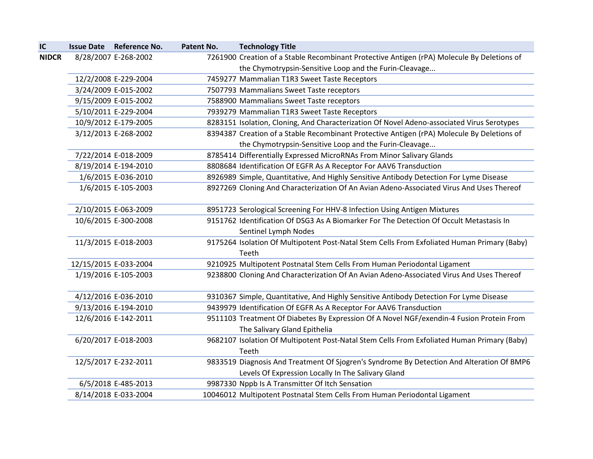| IC           | <b>Issue Date Reference No.</b> | Patent No. | <b>Technology Title</b>                                                                                                                         |
|--------------|---------------------------------|------------|-------------------------------------------------------------------------------------------------------------------------------------------------|
| <b>NIDCR</b> | 8/28/2007 E-268-2002            |            | 7261900 Creation of a Stable Recombinant Protective Antigen (rPA) Molecule By Deletions of                                                      |
|              |                                 |            | the Chymotrypsin-Sensitive Loop and the Furin-Cleavage                                                                                          |
|              | 12/2/2008 E-229-2004            |            | 7459277 Mammalian T1R3 Sweet Taste Receptors                                                                                                    |
|              | 3/24/2009 E-015-2002            |            | 7507793 Mammalians Sweet Taste receptors                                                                                                        |
|              | 9/15/2009 E-015-2002            |            | 7588900 Mammalians Sweet Taste receptors                                                                                                        |
|              | 5/10/2011 E-229-2004            |            | 7939279 Mammalian T1R3 Sweet Taste Receptors                                                                                                    |
|              | 10/9/2012 E-179-2005            |            | 8283151 Isolation, Cloning, And Characterization Of Novel Adeno-associated Virus Serotypes                                                      |
|              | 3/12/2013 E-268-2002            |            | 8394387 Creation of a Stable Recombinant Protective Antigen (rPA) Molecule By Deletions of                                                      |
|              |                                 |            | the Chymotrypsin-Sensitive Loop and the Furin-Cleavage                                                                                          |
|              | 7/22/2014 E-018-2009            |            | 8785414 Differentially Expressed MicroRNAs From Minor Salivary Glands                                                                           |
|              | 8/19/2014 E-194-2010            |            | 8808684 Identification Of EGFR As A Receptor For AAV6 Transduction                                                                              |
|              | 1/6/2015 E-036-2010             |            | 8926989 Simple, Quantitative, And Highly Sensitive Antibody Detection For Lyme Disease                                                          |
|              | 1/6/2015 E-105-2003             |            | 8927269 Cloning And Characterization Of An Avian Adeno-Associated Virus And Uses Thereof                                                        |
|              | 2/10/2015 E-063-2009            |            | 8951723 Serological Screening For HHV-8 Infection Using Antigen Mixtures                                                                        |
|              | 10/6/2015 E-300-2008            |            | 9151762 Identification Of DSG3 As A Biomarker For The Detection Of Occult Metastasis In<br>Sentinel Lymph Nodes                                 |
|              | 11/3/2015 E-018-2003            |            | 9175264 Isolation Of Multipotent Post-Natal Stem Cells From Exfoliated Human Primary (Baby)                                                     |
|              |                                 |            | Teeth                                                                                                                                           |
|              | 12/15/2015 E-033-2004           |            | 9210925 Multipotent Postnatal Stem Cells From Human Periodontal Ligament                                                                        |
|              | 1/19/2016 E-105-2003            |            | 9238800 Cloning And Characterization Of An Avian Adeno-Associated Virus And Uses Thereof                                                        |
|              | 4/12/2016 E-036-2010            |            | 9310367 Simple, Quantitative, And Highly Sensitive Antibody Detection For Lyme Disease                                                          |
|              | 9/13/2016 E-194-2010            |            | 9439979 Identification Of EGFR As A Receptor For AAV6 Transduction                                                                              |
|              | 12/6/2016 E-142-2011            |            | 9511103 Treatment Of Diabetes By Expression Of A Novel NGF/exendin-4 Fusion Protein From<br>The Salivary Gland Epithelia                        |
|              | 6/20/2017 E-018-2003            |            | 9682107 Isolation Of Multipotent Post-Natal Stem Cells From Exfoliated Human Primary (Baby)<br>Teeth                                            |
|              | 12/5/2017 E-232-2011            |            | 9833519 Diagnosis And Treatment Of Sjogren's Syndrome By Detection And Alteration Of BMP6<br>Levels Of Expression Locally In The Salivary Gland |
|              | 6/5/2018 E-485-2013             |            | 9987330 Nppb Is A Transmitter Of Itch Sensation                                                                                                 |
|              | 8/14/2018 E-033-2004            |            | 10046012 Multipotent Postnatal Stem Cells From Human Periodontal Ligament                                                                       |
|              |                                 |            |                                                                                                                                                 |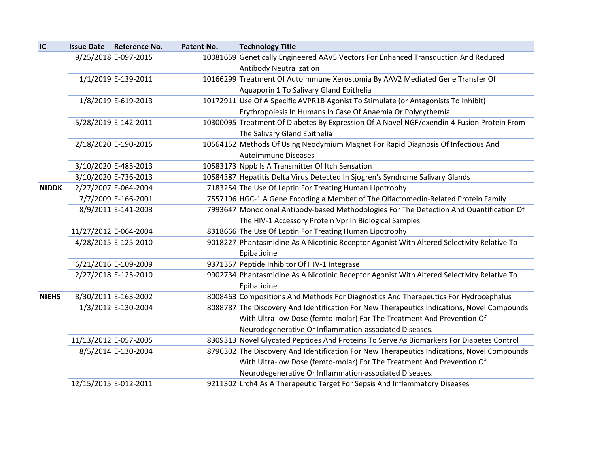| IC           | Issue Date Reference No. | Patent No. | <b>Technology Title</b>                                                                                                                           |
|--------------|--------------------------|------------|---------------------------------------------------------------------------------------------------------------------------------------------------|
|              | 9/25/2018 E-097-2015     |            | 10081659 Genetically Engineered AAV5 Vectors For Enhanced Transduction And Reduced<br><b>Antibody Neutralization</b>                              |
|              | 1/1/2019 E-139-2011      |            | 10166299 Treatment Of Autoimmune Xerostomia By AAV2 Mediated Gene Transfer Of<br>Aquaporin 1 To Salivary Gland Epithelia                          |
|              | 1/8/2019 E-619-2013      |            | 10172911 Use Of A Specific AVPR1B Agonist To Stimulate (or Antagonists To Inhibit)<br>Erythropoiesis In Humans In Case Of Anaemia Or Polycythemia |
|              | 5/28/2019 E-142-2011     |            | 10300095 Treatment Of Diabetes By Expression Of A Novel NGF/exendin-4 Fusion Protein From<br>The Salivary Gland Epithelia                         |
|              | 2/18/2020 E-190-2015     |            | 10564152 Methods Of Using Neodymium Magnet For Rapid Diagnosis Of Infectious And<br><b>Autoimmune Diseases</b>                                    |
|              | 3/10/2020 E-485-2013     |            | 10583173 Nppb Is A Transmitter Of Itch Sensation                                                                                                  |
|              | 3/10/2020 E-736-2013     |            | 10584387 Hepatitis Delta Virus Detected In Sjogren's Syndrome Salivary Glands                                                                     |
| <b>NIDDK</b> | 2/27/2007 E-064-2004     |            | 7183254 The Use Of Leptin For Treating Human Lipotrophy                                                                                           |
|              | 7/7/2009 E-166-2001      |            | 7557196 HGC-1 A Gene Encoding a Member of The Olfactomedin-Related Protein Family                                                                 |
|              | 8/9/2011 E-141-2003      |            | 7993647 Monoclonal Antibody-based Methodologies For The Detection And Quantification Of                                                           |
|              |                          |            | The HIV-1 Accessory Protein Vpr In Biological Samples                                                                                             |
|              | 11/27/2012 E-064-2004    |            | 8318666 The Use Of Leptin For Treating Human Lipotrophy                                                                                           |
|              | 4/28/2015 E-125-2010     |            | 9018227 Phantasmidine As A Nicotinic Receptor Agonist With Altered Selectivity Relative To<br>Epibatidine                                         |
|              | 6/21/2016 E-109-2009     |            | 9371357 Peptide Inhibitor Of HIV-1 Integrase                                                                                                      |
|              | 2/27/2018 E-125-2010     |            | 9902734 Phantasmidine As A Nicotinic Receptor Agonist With Altered Selectivity Relative To<br>Epibatidine                                         |
| <b>NIEHS</b> | 8/30/2011 E-163-2002     |            | 8008463 Compositions And Methods For Diagnostics And Therapeutics For Hydrocephalus                                                               |
|              | 1/3/2012 E-130-2004      |            | 8088787 The Discovery And Identification For New Therapeutics Indications, Novel Compounds                                                        |
|              |                          |            | With Ultra-low Dose (femto-molar) For The Treatment And Prevention Of                                                                             |
|              |                          |            | Neurodegenerative Or Inflammation-associated Diseases.                                                                                            |
|              | 11/13/2012 E-057-2005    |            | 8309313 Novel Glycated Peptides And Proteins To Serve As Biomarkers For Diabetes Control                                                          |
|              | 8/5/2014 E-130-2004      |            | 8796302 The Discovery And Identification For New Therapeutics Indications, Novel Compounds                                                        |
|              |                          |            | With Ultra-low Dose (femto-molar) For The Treatment And Prevention Of                                                                             |
|              |                          |            | Neurodegenerative Or Inflammation-associated Diseases.                                                                                            |
|              | 12/15/2015 E-012-2011    |            | 9211302 Lrch4 As A Therapeutic Target For Sepsis And Inflammatory Diseases                                                                        |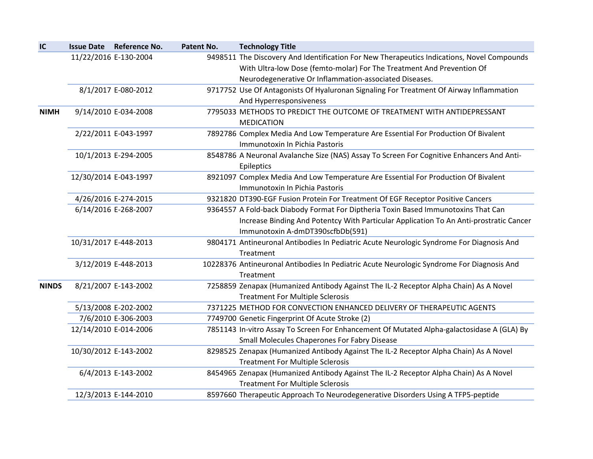| IC           | Issue Date Reference No. | Patent No. | <b>Technology Title</b>                                                                                              |
|--------------|--------------------------|------------|----------------------------------------------------------------------------------------------------------------------|
|              | 11/22/2016 E-130-2004    |            | 9498511 The Discovery And Identification For New Therapeutics Indications, Novel Compounds                           |
|              |                          |            | With Ultra-low Dose (femto-molar) For The Treatment And Prevention Of                                                |
|              |                          |            | Neurodegenerative Or Inflammation-associated Diseases.                                                               |
|              | 8/1/2017 E-080-2012      |            | 9717752 Use Of Antagonists Of Hyaluronan Signaling For Treatment Of Airway Inflammation                              |
|              |                          |            | And Hyperresponsiveness                                                                                              |
| <b>NIMH</b>  | 9/14/2010 E-034-2008     |            | 7795033 METHODS TO PREDICT THE OUTCOME OF TREATMENT WITH ANTIDEPRESSANT<br><b>MEDICATION</b>                         |
|              | 2/22/2011 E-043-1997     |            | 7892786 Complex Media And Low Temperature Are Essential For Production Of Bivalent<br>Immunotoxin In Pichia Pastoris |
|              | 10/1/2013 E-294-2005     |            | 8548786 A Neuronal Avalanche Size (NAS) Assay To Screen For Cognitive Enhancers And Anti-<br>Epileptics              |
|              | 12/30/2014 E-043-1997    |            | 8921097 Complex Media And Low Temperature Are Essential For Production Of Bivalent<br>Immunotoxin In Pichia Pastoris |
|              | 4/26/2016 E-274-2015     |            | 9321820 DT390-EGF Fusion Protein For Treatment Of EGF Receptor Positive Cancers                                      |
|              | 6/14/2016 E-268-2007     |            | 9364557 A Fold-back Diabody Format For Diptheria Toxin Based Immunotoxins That Can                                   |
|              |                          |            | Increase Binding And Potentcy With Particular Application To An Anti-prostratic Cancer                               |
|              |                          |            | Immunotoxin A-dmDT390scfbDb(591)                                                                                     |
|              | 10/31/2017 E-448-2013    |            | 9804171 Antineuronal Antibodies In Pediatric Acute Neurologic Syndrome For Diagnosis And                             |
|              |                          |            | Treatment                                                                                                            |
|              | 3/12/2019 E-448-2013     |            | 10228376 Antineuronal Antibodies In Pediatric Acute Neurologic Syndrome For Diagnosis And                            |
|              |                          |            | Treatment                                                                                                            |
| <b>NINDS</b> | 8/21/2007 E-143-2002     |            | 7258859 Zenapax (Humanized Antibody Against The IL-2 Receptor Alpha Chain) As A Novel                                |
|              |                          |            | <b>Treatment For Multiple Sclerosis</b>                                                                              |
|              | 5/13/2008 E-202-2002     |            | 7371225 METHOD FOR CONVECTION ENHANCED DELIVERY OF THERAPEUTIC AGENTS                                                |
|              | 7/6/2010 E-306-2003      |            | 7749700 Genetic Fingerprint Of Acute Stroke (2)                                                                      |
|              | 12/14/2010 E-014-2006    |            | 7851143 In-vitro Assay To Screen For Enhancement Of Mutated Alpha-galactosidase A (GLA) By                           |
|              |                          |            | Small Molecules Chaperones For Fabry Disease                                                                         |
|              | 10/30/2012 E-143-2002    |            | 8298525 Zenapax (Humanized Antibody Against The IL-2 Receptor Alpha Chain) As A Novel                                |
|              |                          |            | <b>Treatment For Multiple Sclerosis</b>                                                                              |
|              | 6/4/2013 E-143-2002      |            | 8454965 Zenapax (Humanized Antibody Against The IL-2 Receptor Alpha Chain) As A Novel                                |
|              |                          |            | <b>Treatment For Multiple Sclerosis</b>                                                                              |
|              | 12/3/2013 E-144-2010     |            | 8597660 Therapeutic Approach To Neurodegenerative Disorders Using A TFP5-peptide                                     |